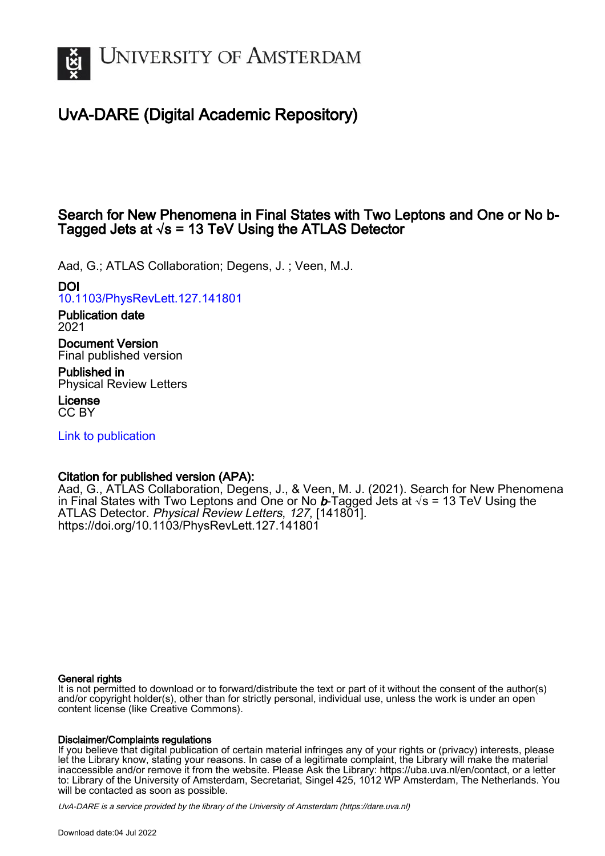

# UvA-DARE (Digital Academic Repository)

# Search for New Phenomena in Final States with Two Leptons and One or No b-Tagged Jets at  $\sqrt{s}$  = 13 TeV Using the ATLAS Detector

Aad, G.; ATLAS Collaboration; Degens, J. ; Veen, M.J.

# DOI

[10.1103/PhysRevLett.127.141801](https://doi.org/10.1103/PhysRevLett.127.141801)

#### Publication date 2021

Document Version Final published version

Published in Physical Review Letters

License CC BY

[Link to publication](https://dare.uva.nl/personal/pure/en/publications/search-for-new-phenomena-in-final-states-with-two-leptons-and-one-or-no-btagged-jets-at-s--13-tev-using-the-atlas-detector(f8889405-6476-4ccc-a1f1-404c6bd299be).html)

# Citation for published version (APA):

Aad, G., ATLAS Collaboration, Degens, J., & Veen, M. J. (2021). Search for New Phenomena in Final States with Two Leptons and One or No b-Tagged Jets at √s = 13 TeV Using the ATLAS Detector. Physical Review Letters, 127, [141801]. <https://doi.org/10.1103/PhysRevLett.127.141801>

#### General rights

It is not permitted to download or to forward/distribute the text or part of it without the consent of the author(s) and/or copyright holder(s), other than for strictly personal, individual use, unless the work is under an open content license (like Creative Commons).

#### Disclaimer/Complaints regulations

If you believe that digital publication of certain material infringes any of your rights or (privacy) interests, please let the Library know, stating your reasons. In case of a legitimate complaint, the Library will make the material inaccessible and/or remove it from the website. Please Ask the Library: https://uba.uva.nl/en/contact, or a letter to: Library of the University of Amsterdam, Secretariat, Singel 425, 1012 WP Amsterdam, The Netherlands. You will be contacted as soon as possible.

UvA-DARE is a service provided by the library of the University of Amsterdam (http*s*://dare.uva.nl)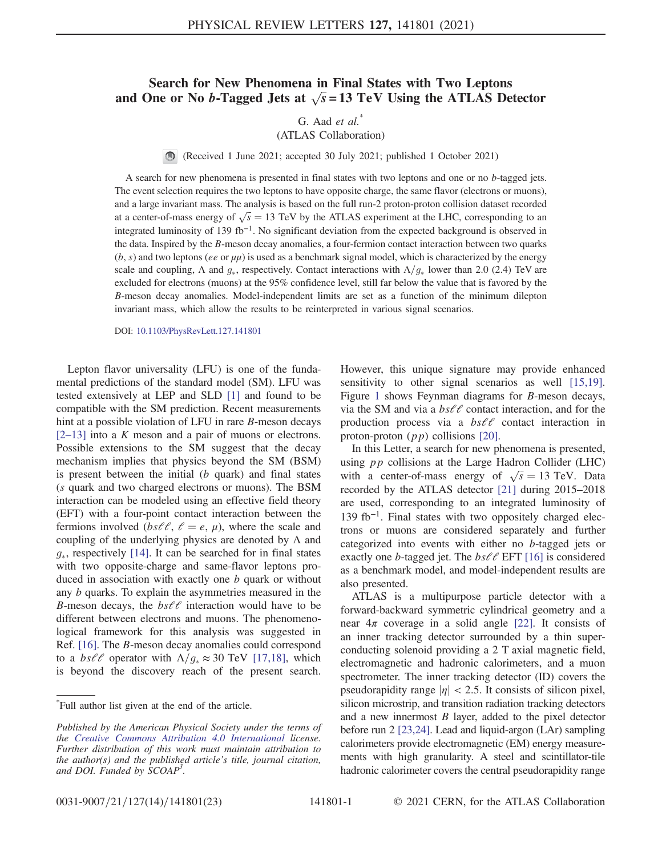### Search for New Phenomena in Final States with Two Leptons and One or No b-Tagged Jets at  $\sqrt{s}$  = 13 TeV Using the ATLAS Detector

#### G. Aad  $et \ al.^*$ (ATLAS Collaboration)

(Received 1 June 2021; accepted 30 July 2021; published 1 October 2021)

A search for new phenomena is presented in final states with two leptons and one or no b-tagged jets. The event selection requires the two leptons to have opposite charge, the same flavor (electrons or muons), and a large invariant mass. The analysis is based on the full run-2 proton-proton collision dataset recorded at a center-of-mass energy of  $\sqrt{s} = 13$  TeV by the ATLAS experiment at the LHC, corresponding to an integrated luminosity of 139 fb<sup>-1</sup>. No significant deviation from the expected background is observed in the data. Inspired by the B-meson decay anomalies, a four-fermion contact interaction between two quarks  $(b, s)$  and two leptons (ee or  $\mu\mu$ ) is used as a benchmark signal model, which is characterized by the energy scale and coupling,  $\Lambda$  and  $g_*$ , respectively. Contact interactions with  $\Lambda/g_*$  lower than 2.0 (2.4) TeV are excluded for electrons (muons) at the 95% confidence level, still far below the value that is favored by the B-meson decay anomalies. Model-independent limits are set as a function of the minimum dilepton invariant mass, which allow the results to be reinterpreted in various signal scenarios.

DOI: [10.1103/PhysRevLett.127.141801](https://doi.org/10.1103/PhysRevLett.127.141801)

Lepton flavor universality (LFU) is one of the fundamental predictions of the standard model (SM). LFU was tested extensively at LEP and SLD [\[1\]](#page-8-0) and found to be compatible with the SM prediction. Recent measurements hint at a possible violation of LFU in rare B-meson decays  $[2-13]$  $[2-13]$  into a K meson and a pair of muons or electrons. Possible extensions to the SM suggest that the decay mechanism implies that physics beyond the SM (BSM) is present between the initial  $(b \text{ quark})$  and final states (s quark and two charged electrons or muons). The BSM interaction can be modeled using an effective field theory (EFT) with a four-point contact interaction between the fermions involved ( $bs\ell\ell$ ,  $\ell = e$ ,  $\mu$ ), where the scale and coupling of the underlying physics are denoted by  $\Lambda$  and  $g_*$ , respectively [\[14\].](#page-8-2) It can be searched for in final states with two opposite-charge and same-flavor leptons produced in association with exactly one b quark or without any b quarks. To explain the asymmetries measured in the B-meson decays, the  $bs\ell\ell$  interaction would have to be different between electrons and muons. The phenomenological framework for this analysis was suggested in Ref. [\[16\]](#page-8-3). The B-meson decay anomalies could correspond to a  $bs\ell\ell$  operator with  $\Lambda/g_* \approx 30$  TeV [\[17,18\]](#page-8-4), which is beyond the discovery reach of the present search. However, this unique signature may provide enhanced sensitivity to other signal scenarios as well [\[15,19\]](#page-8-5). Figure [1](#page-2-0) shows Feynman diagrams for B-meson decays, via the SM and via a  $bs\ell\ell$  contact interaction, and for the production process via a  $bs\ell\ell$  contact interaction in proton-proton  $(pp)$  collisions [\[20\].](#page-8-6)

In this Letter, a search for new phenomena is presented, using  $pp$  collisions at the Large Hadron Collider (LHC) with a center-of-mass energy of  $\sqrt{s} = 13$  TeV. Data recorded by the ATLAS detector [\[21\]](#page-8-7) during 2015–2018 are used, corresponding to an integrated luminosity of 139 fb<sup>−</sup><sup>1</sup>. Final states with two oppositely charged electrons or muons are considered separately and further categorized into events with either no b-tagged jets or exactly one *b*-tagged jet. The  $bs\ell\ell$  EFT [\[16\]](#page-8-3) is considered as a benchmark model, and model-independent results are also presented.

ATLAS is a multipurpose particle detector with a forward-backward symmetric cylindrical geometry and a near  $4\pi$  coverage in a solid angle [\[22\].](#page-8-8) It consists of an inner tracking detector surrounded by a thin superconducting solenoid providing a 2 T axial magnetic field, electromagnetic and hadronic calorimeters, and a muon spectrometer. The inner tracking detector (ID) covers the pseudorapidity range  $|\eta|$  < 2.5. It consists of silicon pixel, silicon microstrip, and transition radiation tracking detectors and a new innermost  $B$  layer, added to the pixel detector before run 2 [\[23,24\].](#page-8-9) Lead and liquid-argon (LAr) sampling calorimeters provide electromagnetic (EM) energy measurements with high granularity. A steel and scintillator-tile hadronic calorimeter covers the central pseudorapidity range

<sup>\*</sup> Full author list given at the end of the article.

Published by the American Physical Society under the terms of the [Creative Commons Attribution 4.0 International](https://creativecommons.org/licenses/by/4.0/) license. Further distribution of this work must maintain attribution to the author(s) and the published article's title, journal citation, and DOI. Funded by SCOAP<sup>3</sup>.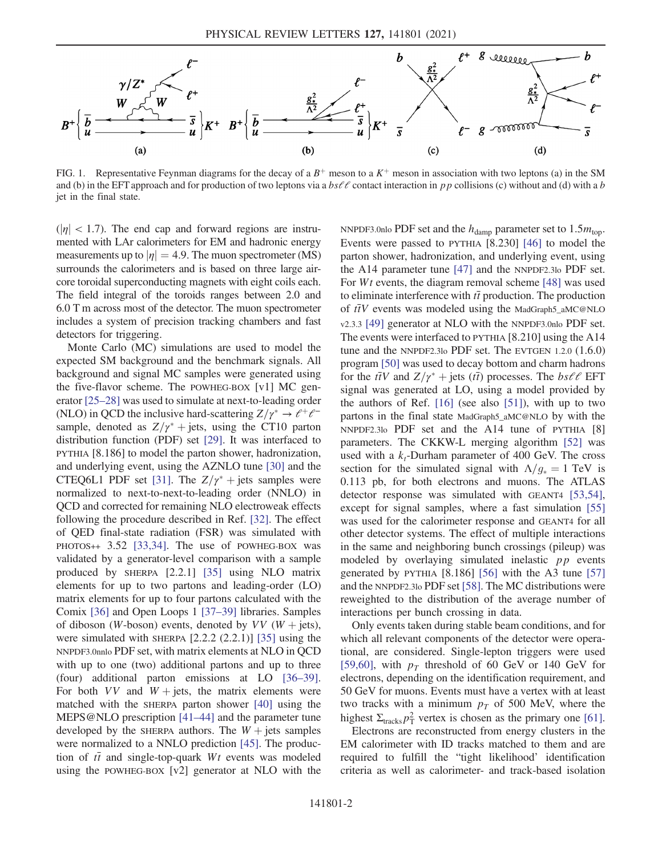<span id="page-2-0"></span>

FIG. 1. Representative Feynman diagrams for the decay of a  $B^+$  meson to a  $K^+$  meson in association with two leptons (a) in the SM and (b) in the EFT approach and for production of two leptons via a  $bs\ell\ell$  contact interaction in pp collisions (c) without and (d) with a b jet in the final state.

 $(|\eta| < 1.7)$ . The end cap and forward regions are instrumented with LAr calorimeters for EM and hadronic energy measurements up to  $|\eta| = 4.9$ . The muon spectrometer (MS) surrounds the calorimeters and is based on three large aircore toroidal superconducting magnets with eight coils each. The field integral of the toroids ranges between 2.0 and 6.0 T m across most of the detector. The muon spectrometer includes a system of precision tracking chambers and fast detectors for triggering.

Monte Carlo (MC) simulations are used to model the expected SM background and the benchmark signals. All background and signal MC samples were generated using the five-flavor scheme. The POWHEG-BOX [v1] MC generator [\[25](#page-8-10)–28] was used to simulate at next-to-leading order (NLO) in QCD the inclusive hard-scattering  $Z/\gamma^* \rightarrow \ell^+ \ell^$ sample, denoted as  $Z/\gamma^*$  + jets, using the CT10 parton distribution function (PDF) set [\[29\].](#page-8-11) It was interfaced to PYTHIA [8.186] to model the parton shower, hadronization, and underlying event, using the AZNLO tune [\[30\]](#page-8-12) and the CTEQ6L1 PDF set [\[31\]](#page-8-13). The  $Z/\gamma^*$  + jets samples were normalized to next-to-next-to-leading order (NNLO) in QCD and corrected for remaining NLO electroweak effects following the procedure described in Ref. [\[32\].](#page-8-14) The effect of QED final-state radiation (FSR) was simulated with PHOTOS++ 3.52 [\[33,34\].](#page-8-15) The use of POWHEG-BOX was validated by a generator-level comparison with a sample produced by SHERPA [2.2.1] [\[35\]](#page-8-16) using NLO matrix elements for up to two partons and leading-order (LO) matrix elements for up to four partons calculated with the Comix [\[36\]](#page-8-17) and Open Loops 1 [\[37](#page-8-18)–39] libraries. Samples of diboson (W-boson) events, denoted by  $VV$  (W + jets), were simulated with SHERPA  $[2.2.2 (2.2.1)]$   $[35]$  using the NNPDF3.0nnlo PDF set, with matrix elements at NLO in QCD with up to one (two) additional partons and up to three (four) additional parton emissions at LO [\[36](#page-8-17)–39]. For both  $VV$  and  $W + \text{jets}$ , the matrix elements were matched with the SHERPA parton shower [\[40\]](#page-9-0) using the MEPS@NLO prescription [\[41](#page-9-1)–44] and the parameter tune developed by the SHERPA authors. The  $W +$  jets samples were normalized to a NNLO prediction [\[45\]](#page-9-2). The production of  $t\bar{t}$  and single-top-quark Wt events was modeled using the POWHEG-BOX [v2] generator at NLO with the NNPDF3.0nlo PDF set and the  $h_{\text{damp}}$  parameter set to 1.5 $m_{\text{top}}$ . Events were passed to PYTHIA [8.230] [\[46\]](#page-9-3) to model the parton shower, hadronization, and underlying event, using the A14 parameter tune [\[47\]](#page-9-4) and the NNPDF2.3lo PDF set. For Wt events, the diagram removal scheme [\[48\]](#page-9-5) was used to eliminate interference with  $t\bar{t}$  production. The production of  $t\bar{t}V$  events was modeled using the MadGraph5\_aMC@NLO v2.3.3 [\[49\]](#page-9-6) generator at NLO with the NNPDF3.0nlo PDF set. The events were interfaced to PYTHIA [8.210] using the A14 tune and the NNPDF2.3lo PDF set. The EVTGEN 1.2.0 (1.6.0) program [\[50\]](#page-9-7) was used to decay bottom and charm hadrons for the  $t\bar{t}V$  and  $Z/\gamma^*$  + jets ( $t\bar{t}$ ) processes. The  $bs\ell\ell$  EFT signal was generated at LO, using a model provided by the authors of Ref. [\[16\]](#page-8-3) (see also [\[51\]\)](#page-9-8), with up to two partons in the final state MadGraph5\_aMC@NLO by with the NNPDF2.3lo PDF set and the A14 tune of PYTHIA [8] parameters. The CKKW-L merging algorithm [\[52\]](#page-9-9) was used with a  $k_t$ -Durham parameter of 400 GeV. The cross section for the simulated signal with  $\Lambda/g_* = 1 \text{ TeV}$  is 0.113 pb, for both electrons and muons. The ATLAS detector response was simulated with GEANT4 [\[53,54\]](#page-9-10), except for signal samples, where a fast simulation [\[55\]](#page-9-11) was used for the calorimeter response and GEANT4 for all other detector systems. The effect of multiple interactions in the same and neighboring bunch crossings (pileup) was modeled by overlaying simulated inelastic pp events generated by PYTHIA  $[8.186]$   $[56]$  with the A3 tune  $[57]$ and the NNPDF2.3lo PDF set [\[58\].](#page-9-14) The MC distributions were reweighted to the distribution of the average number of interactions per bunch crossing in data.

Only events taken during stable beam conditions, and for which all relevant components of the detector were operational, are considered. Single-lepton triggers were used [\[59,60\]](#page-9-15), with  $p<sub>T</sub>$  threshold of 60 GeV or 140 GeV for electrons, depending on the identification requirement, and 50 GeV for muons. Events must have a vertex with at least two tracks with a minimum  $p_T$  of 500 MeV, where the highest  $\Sigma_{\text{tracks}} p_{\text{T}}^2$  vertex is chosen as the primary one [\[61\]](#page-9-16).

Electrons are reconstructed from energy clusters in the EM calorimeter with ID tracks matched to them and are required to fulfill the "tight likelihood' identification criteria as well as calorimeter- and track-based isolation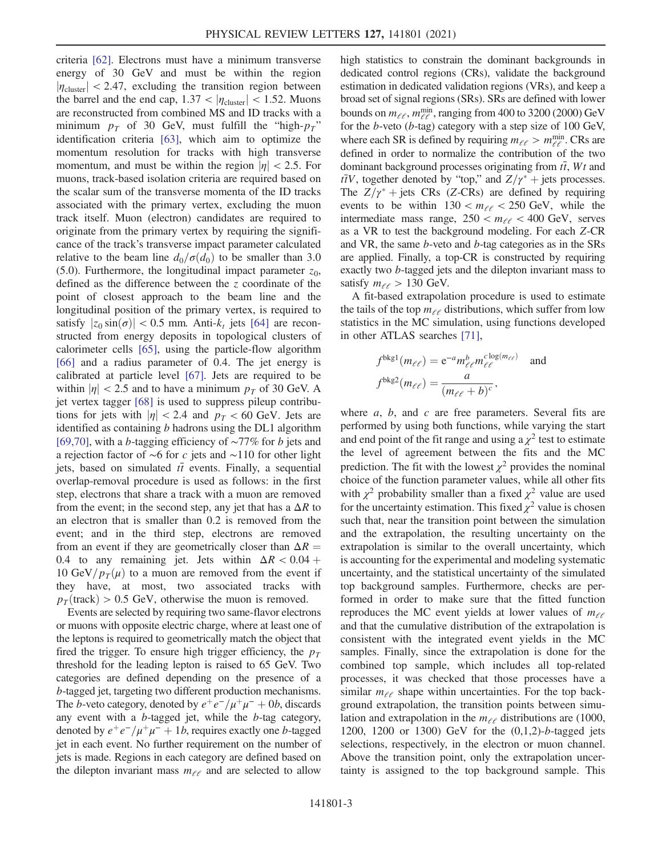criteria [\[62\].](#page-9-17) Electrons must have a minimum transverse energy of 30 GeV and must be within the region  $|\eta_{\text{cluster}}|$  < 2.47, excluding the transition region between the barrel and the end cap,  $1.37 < |\eta_{\text{cluster}}| < 1.52$ . Muons are reconstructed from combined MS and ID tracks with a minimum  $p<sub>T</sub>$  of 30 GeV, must fulfill the "high- $p<sub>T</sub>$ " identification criteria [\[63\],](#page-9-18) which aim to optimize the momentum resolution for tracks with high transverse momentum, and must be within the region  $|\eta| < 2.5$ . For muons, track-based isolation criteria are required based on the scalar sum of the transverse momenta of the ID tracks associated with the primary vertex, excluding the muon track itself. Muon (electron) candidates are required to originate from the primary vertex by requiring the significance of the track's transverse impact parameter calculated relative to the beam line  $d_0/\sigma(d_0)$  to be smaller than 3.0 (5.0). Furthermore, the longitudinal impact parameter  $z_0$ , defined as the difference between the z coordinate of the point of closest approach to the beam line and the longitudinal position of the primary vertex, is required to satisfy  $|z_0 \sin(\sigma)| < 0.5$  mm. Anti- $k_t$  jets [\[64\]](#page-9-19) are reconstructed from energy deposits in topological clusters of calorimeter cells [\[65\]](#page-9-20), using the particle-flow algorithm [\[66\]](#page-9-21) and a radius parameter of 0.4. The jet energy is calibrated at particle level [\[67\]](#page-9-22). Jets are required to be within  $|\eta|$  < 2.5 and to have a minimum  $p_T$  of 30 GeV. A jet vertex tagger [\[68\]](#page-9-23) is used to suppress pileup contributions for jets with  $|\eta| < 2.4$  and  $p_T < 60$  GeV. Jets are identified as containing  $b$  hadrons using the DL1 algorithm [\[69,70\]](#page-9-24), with a b-tagging efficiency of ∼77% for b jets and a rejection factor of ∼6 for c jets and ∼110 for other light jets, based on simulated  $t\bar{t}$  events. Finally, a sequential overlap-removal procedure is used as follows: in the first step, electrons that share a track with a muon are removed from the event; in the second step, any jet that has a  $\Delta R$  to an electron that is smaller than 0.2 is removed from the event; and in the third step, electrons are removed from an event if they are geometrically closer than  $\Delta R =$ 0.4 to any remaining jet. Jets within  $\Delta R < 0.04 +$ 10 GeV/ $p_T(\mu)$  to a muon are removed from the event if they have, at most, two associated tracks with  $p_T$ (track) > 0.5 GeV, otherwise the muon is removed.

Events are selected by requiring two same-flavor electrons or muons with opposite electric charge, where at least one of the leptons is required to geometrically match the object that fired the trigger. To ensure high trigger efficiency, the  $p_T$ threshold for the leading lepton is raised to 65 GeV. Two categories are defined depending on the presence of a b-tagged jet, targeting two different production mechanisms. The *b*-veto category, denoted by  $e^+e^-/\mu^+\mu^- + 0b$ , discards any event with a b-tagged jet, while the b-tag category, denoted by  $e^+e^-/\mu^+\mu^- + 1b$ , requires exactly one b-tagged jet in each event. No further requirement on the number of jets is made. Regions in each category are defined based on the dilepton invariant mass  $m_{\ell\ell}$  and are selected to allow

high statistics to constrain the dominant backgrounds in dedicated control regions (CRs), validate the background estimation in dedicated validation regions (VRs), and keep a broad set of signal regions (SRs). SRs are defined with lower bounds on  $m_{\ell\ell}$ ,  $m_{\ell\ell}^{\text{min}}$ , ranging from 400 to 3200 (2000) GeV for the b-veto (b-tag) category with a step size of 100 GeV, where each SR is defined by requiring  $m_{\ell\ell} > m_{\ell\ell}^{\min}$ . CRs are defined in order to normalize the contribution of the two dominant background processes originating from  $t\bar{t}$ , Wt and  $t\bar{t}V$ , together denoted by "top," and  $Z/\gamma^*$  + jets processes. The  $Z/\gamma^*$  + jets CRs (Z-CRs) are defined by requiring events to be within  $130 < m_{\ell\ell} < 250$  GeV, while the intermediate mass range,  $250 < m_{\ell\ell} < 400$  GeV, serves as a VR to test the background modeling. For each Z-CR and VR, the same b-veto and b-tag categories as in the SRs are applied. Finally, a top-CR is constructed by requiring exactly two b-tagged jets and the dilepton invariant mass to satisfy  $m_{\ell \ell} > 130$  GeV.

A fit-based extrapolation procedure is used to estimate the tails of the top  $m_{\ell \ell}$  distributions, which suffer from low statistics in the MC simulation, using functions developed in other ATLAS searches [\[71\],](#page-9-25)

$$
f^{\text{bkg1}}(m_{\ell\ell}) = e^{-a} m_{\ell\ell}^b m_{\ell\ell}^{c \log(m_{\ell\ell})} \text{ and}
$$
  

$$
f^{\text{bkg2}}(m_{\ell\ell}) = \frac{a}{(m_{\ell\ell} + b)^c},
$$

where  $a, b,$  and  $c$  are free parameters. Several fits are performed by using both functions, while varying the start and end point of the fit range and using a  $\chi^2$  test to estimate the level of agreement between the fits and the MC prediction. The fit with the lowest  $\chi^2$  provides the nominal choice of the function parameter values, while all other fits with  $\chi^2$  probability smaller than a fixed  $\chi^2$  value are used for the uncertainty estimation. This fixed  $\chi^2$  value is chosen such that, near the transition point between the simulation and the extrapolation, the resulting uncertainty on the extrapolation is similar to the overall uncertainty, which is accounting for the experimental and modeling systematic uncertainty, and the statistical uncertainty of the simulated top background samples. Furthermore, checks are performed in order to make sure that the fitted function reproduces the MC event yields at lower values of  $m_{\ell\ell}$ and that the cumulative distribution of the extrapolation is consistent with the integrated event yields in the MC samples. Finally, since the extrapolation is done for the combined top sample, which includes all top-related processes, it was checked that those processes have a similar  $m_{\ell\ell}$  shape within uncertainties. For the top background extrapolation, the transition points between simulation and extrapolation in the  $m_{\ell \ell}$  distributions are (1000, 1200, 1200 or 1300) GeV for the (0,1,2)-b-tagged jets selections, respectively, in the electron or muon channel. Above the transition point, only the extrapolation uncertainty is assigned to the top background sample. This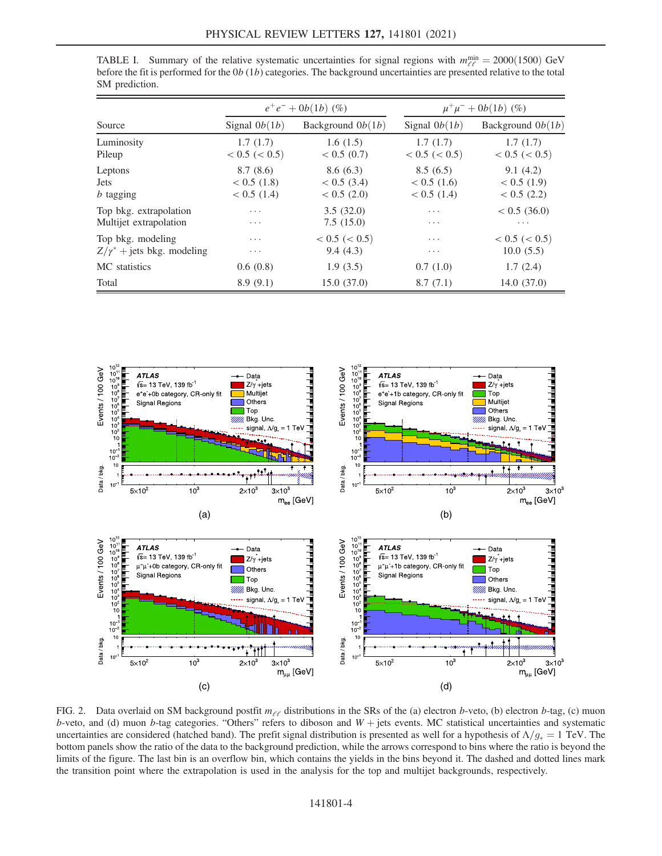<span id="page-4-0"></span>TABLE I. Summary of the relative systematic uncertainties for signal regions with  $m_{\ell\ell}^{\text{min}} = 2000(1500)$  GeV before the fit is performed for the  $0b(1b)$  categories. The background uncertainties are presented relative to the total

| Source                            | $e^+e^- + 0b(1b)$ (%) |                     | $\mu^+\mu^- + 0b(1b)$ (%) |                     |
|-----------------------------------|-----------------------|---------------------|---------------------------|---------------------|
|                                   | Signal $0b(1b)$       | Background $0b(1b)$ | Signal $0b(1b)$           | Background $0b(1b)$ |
| Luminosity                        | 1.7(1.7)              | 1.6(1.5)            | 1.7(1.7)                  | 1.7(1.7)            |
| Pileup                            | < 0.5 (< 0.5)         | $< 0.5$ (0.7)       | < 0.5 (< 0.5)             | < 0.5 (< 0.5)       |
| Leptons                           | 8.7(8.6)              | 8.6(6.3)            | 8.5(6.5)                  | 9.1(4.2)            |
| <b>Jets</b>                       | < 0.5(1.8)            | $< 0.5$ (3.4)       | < 0.5(1.6)                | < 0.5(1.9)          |
| $b$ tagging                       | $< 0.5$ (1.4)         | $< 0.5$ (2.0)       | $< 0.5$ (1.4)             | $< 0.5$ (2.2)       |
| Top bkg. extrapolation            | $\cdots$              | 3.5(32.0)           | $\cdots$                  | $< 0.5$ (36.0)      |
| Multijet extrapolation            | $\cdots$              | 7.5(15.0)           | $\cdots$                  | $\cdots$            |
| Top bkg. modeling                 | $\cdots$              | < 0.5 (< 0.5)       | $\cdots$                  | < 0.5 (< 0.5)       |
| $Z/\gamma^*$ + jets bkg. modeling | $\cdots$              | 9.4(4.3)            | .                         | 10.0(5.5)           |
| MC statistics                     | 0.6(0.8)              | 1.9(3.5)            | 0.7(1.0)                  | 1.7(2.4)            |
| Total                             | 8.9(9.1)              | 15.0(37.0)          | 8.7(7.1)                  | 14.0(37.0)          |

<span id="page-4-1"></span>

FIG. 2. Data overlaid on SM background postfit  $m_{\ell\ell}$  distributions in the SRs of the (a) electron b-veto, (b) electron b-tag, (c) muon b-veto, and (d) muon b-tag categories. "Others" refers to diboson and  $W +$  jets events. MC statistical uncertainties and systematic uncertainties are considered (hatched band). The prefit signal distribution is presented as well for a hypothesis of  $\Lambda/g_* = 1$  TeV. The bottom panels show the ratio of the data to the background prediction, while the arrows correspond to bins where the ratio is beyond the limits of the figure. The last bin is an overflow bin, which contains the yields in the bins beyond it. The dashed and dotted lines mark the transition point where the extrapolation is used in the analysis for the top and multijet backgrounds, respectively.

SM prediction.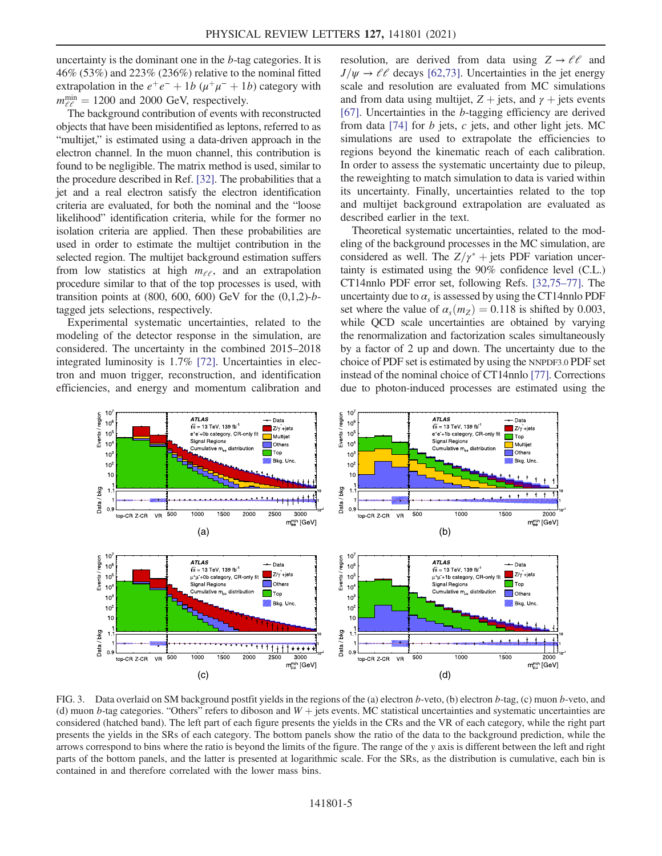uncertainty is the dominant one in the b-tag categories. It is 46% (53%) and 223% (236%) relative to the nominal fitted extrapolation in the  $e^+e^- + 1b$  ( $\mu^+\mu^- + 1b$ ) category with  $m_{\ell\ell}^{\text{min}} = 1200$  and 2000 GeV, respectively.

The background contribution of events with reconstructed objects that have been misidentified as leptons, referred to as "multijet," is estimated using a data-driven approach in the electron channel. In the muon channel, this contribution is found to be negligible. The matrix method is used, similar to the procedure described in Ref. [\[32\]](#page-8-14). The probabilities that a jet and a real electron satisfy the electron identification criteria are evaluated, for both the nominal and the "loose likelihood" identification criteria, while for the former no isolation criteria are applied. Then these probabilities are used in order to estimate the multijet contribution in the selected region. The multijet background estimation suffers from low statistics at high  $m_{\ell,\ell}$ , and an extrapolation procedure similar to that of the top processes is used, with transition points at  $(800, 600, 600)$  GeV for the  $(0,1,2)$ -btagged jets selections, respectively.

Experimental systematic uncertainties, related to the modeling of the detector response in the simulation, are considered. The uncertainty in the combined 2015–2018 integrated luminosity is 1.7% [\[72\]](#page-9-26). Uncertainties in electron and muon trigger, reconstruction, and identification efficiencies, and energy and momentum calibration and resolution, are derived from data using  $Z \rightarrow \ell \ell$  and  $J/\psi \rightarrow \ell \ell$  decays [\[62,73\].](#page-9-17) Uncertainties in the jet energy scale and resolution are evaluated from MC simulations and from data using multijet,  $Z +$  jets, and  $\gamma$  + jets events [\[67\]](#page-9-22). Uncertainties in the b-tagging efficiency are derived from data  $[74]$  for b jets, c jets, and other light jets. MC simulations are used to extrapolate the efficiencies to regions beyond the kinematic reach of each calibration. In order to assess the systematic uncertainty due to pileup, the reweighting to match simulation to data is varied within its uncertainty. Finally, uncertainties related to the top and multijet background extrapolation are evaluated as described earlier in the text.

Theoretical systematic uncertainties, related to the modeling of the background processes in the MC simulation, are considered as well. The  $Z/\gamma^*$  + jets PDF variation uncertainty is estimated using the 90% confidence level (C.L.) CT14nnlo PDF error set, following Refs. [\[32,75](#page-8-14)–77]. The uncertainty due to  $\alpha_s$  is assessed by using the CT14nnlo PDF set where the value of  $\alpha_s(m_Z) = 0.118$  is shifted by 0.003, while OCD scale uncertainties are obtained by varying the renormalization and factorization scales simultaneously by a factor of 2 up and down. The uncertainty due to the choice of PDF set is estimated by using the NNPDF3.0 PDF set instead of the nominal choice of CT14nnlo [\[77\].](#page-10-0) Corrections due to photon-induced processes are estimated using the

<span id="page-5-0"></span>

FIG. 3. Data overlaid on SM background postfit yields in the regions of the (a) electron b-veto, (b) electron b-tag, (c) muon b-veto, and (d) muon b-tag categories. "Others" refers to diboson and  $W +$  jets events. MC statistical uncertainties and systematic uncertainties are considered (hatched band). The left part of each figure presents the yields in the CRs and the VR of each category, while the right part presents the yields in the SRs of each category. The bottom panels show the ratio of the data to the background prediction, while the arrows correspond to bins where the ratio is beyond the limits of the figure. The range of the y axis is different between the left and right parts of the bottom panels, and the latter is presented at logarithmic scale. For the SRs, as the distribution is cumulative, each bin is contained in and therefore correlated with the lower mass bins.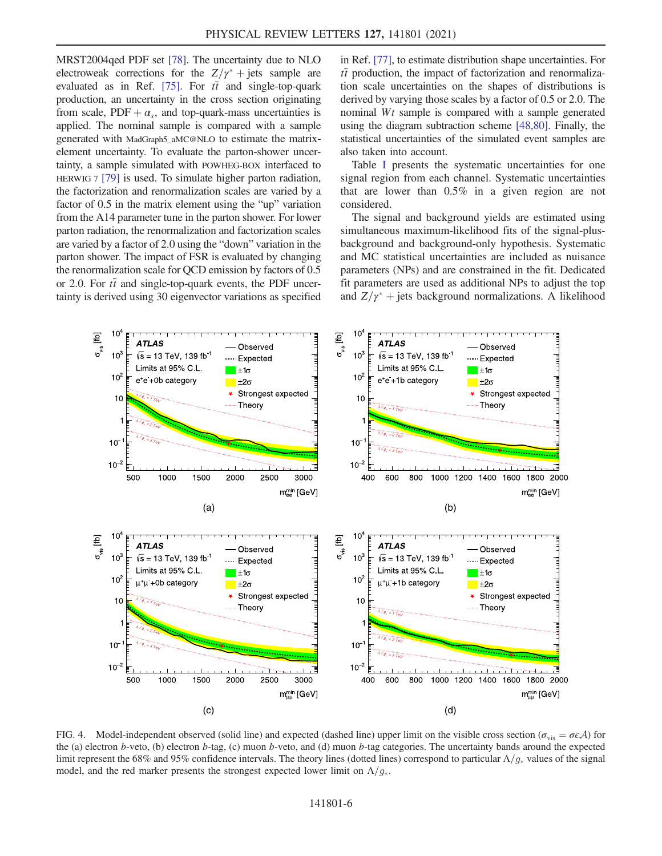MRST2004qed PDF set [\[78\]](#page-10-1). The uncertainty due to NLO electroweak corrections for the  $Z/\gamma^*$  + jets sample are evaluated as in Ref. [\[75\]](#page-9-28). For  $t\bar{t}$  and single-top-quark production, an uncertainty in the cross section originating from scale,  $PDF + \alpha_s$ , and top-quark-mass uncertainties is applied. The nominal sample is compared with a sample generated with MadGraph5\_aMC@NLO to estimate the matrixelement uncertainty. To evaluate the parton-shower uncertainty, a sample simulated with POWHEG-BOX interfaced to HERWIG 7 [\[79\]](#page-10-2) is used. To simulate higher parton radiation, the factorization and renormalization scales are varied by a factor of 0.5 in the matrix element using the "up" variation from the A14 parameter tune in the parton shower. For lower parton radiation, the renormalization and factorization scales are varied by a factor of 2.0 using the "down" variation in the parton shower. The impact of FSR is evaluated by changing the renormalization scale for QCD emission by factors of 0.5 or 2.0. For  $t\bar{t}$  and single-top-quark events, the PDF uncertainty is derived using 30 eigenvector variations as specified in Ref. [\[77\]](#page-10-0), to estimate distribution shape uncertainties. For  $t\bar{t}$  production, the impact of factorization and renormalization scale uncertainties on the shapes of distributions is derived by varying those scales by a factor of 0.5 or 2.0. The nominal Wt sample is compared with a sample generated using the diagram subtraction scheme [\[48,80\].](#page-9-5) Finally, the statistical uncertainties of the simulated event samples are also taken into account.

Table [I](#page-4-0) presents the systematic uncertainties for one signal region from each channel. Systematic uncertainties that are lower than 0.5% in a given region are not considered.

The signal and background yields are estimated using simultaneous maximum-likelihood fits of the signal-plusbackground and background-only hypothesis. Systematic and MC statistical uncertainties are included as nuisance parameters (NPs) and are constrained in the fit. Dedicated fit parameters are used as additional NPs to adjust the top and  $Z/\gamma^*$  + jets background normalizations. A likelihood

<span id="page-6-0"></span>

FIG. 4. Model-independent observed (solid line) and expected (dashed line) upper limit on the visible cross section ( $\sigma_{vis} = \sigma \epsilon A$ ) for the (a) electron b-veto, (b) electron b-tag, (c) muon b-veto, and (d) muon b-tag categories. The uncertainty bands around the expected limit represent the 68% and 95% confidence intervals. The theory lines (dotted lines) correspond to particular  $\Lambda/g_*$  values of the signal model, and the red marker presents the strongest expected lower limit on  $\Lambda/g_*$ .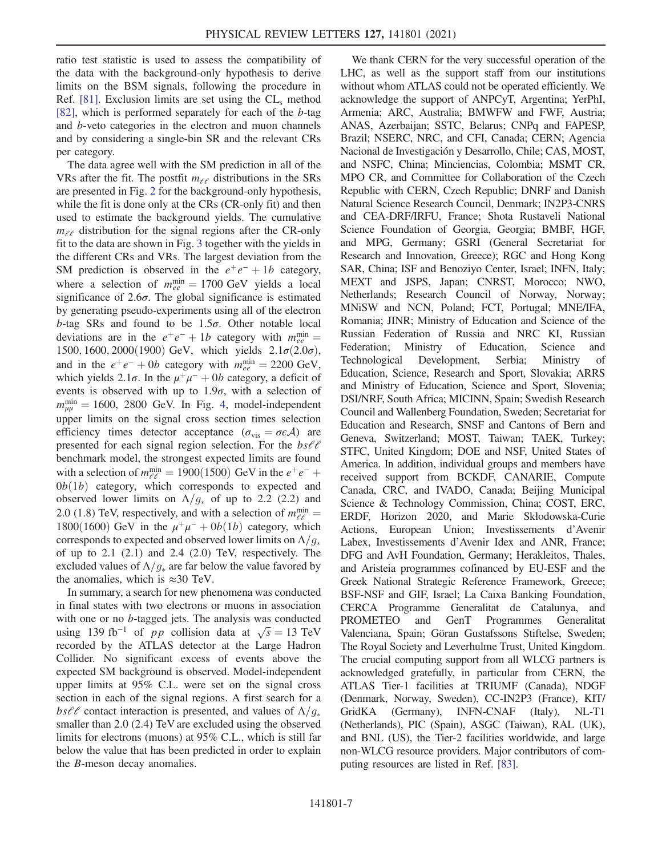ratio test statistic is used to assess the compatibility of the data with the background-only hypothesis to derive limits on the BSM signals, following the procedure in Ref. [\[81\].](#page-10-3) Exclusion limits are set using the  $CL<sub>s</sub>$  method [\[82\]](#page-10-4), which is performed separately for each of the b-tag and b-veto categories in the electron and muon channels and by considering a single-bin SR and the relevant CRs per category.

The data agree well with the SM prediction in all of the VRs after the fit. The postfit  $m_{\ell \ell}$  distributions in the SRs are presented in Fig. [2](#page-4-1) for the background-only hypothesis, while the fit is done only at the CRs (CR-only fit) and then used to estimate the background yields. The cumulative  $m_{\ell\ell}$  distribution for the signal regions after the CR-only fit to the data are shown in Fig. [3](#page-5-0) together with the yields in the different CRs and VRs. The largest deviation from the SM prediction is observed in the  $e^+e^- + 1b$  category, where a selection of  $m_{ee}^{\text{min}} = 1700 \text{ GeV}$  yields a local significance of  $2.6\sigma$ . The global significance is estimated by generating pseudo-experiments using all of the electron b-tag SRs and found to be  $1.5\sigma$ . Other notable local deviations are in the  $e^+e^- + 1b$  category with  $m_{ee}^{\text{min}} =$ 1500, 1600, 2000(1900) GeV, which yields  $2.1\sigma(2.0\sigma)$ , and in the  $e^+e^- + 0b$  category with  $m_{ee}^{\text{min}} = 2200 \text{ GeV}$ , which yields 2.1 $\sigma$ . In the  $\mu^+\mu^- + 0b$  category, a deficit of events is observed with up to  $1.9\sigma$ , with a selection of  $m_{\mu\mu}^{\text{min}} = 1600$ , 2800 GeV. In Fig. [4,](#page-6-0) model-independent upper limits on the signal cross section times selection efficiency times detector acceptance ( $\sigma_{\rm vis} = \sigma \epsilon A$ ) are presented for each signal region selection. For the  $bs\ell\ell$ benchmark model, the strongest expected limits are found with a selection of  $m_{\ell\ell}^{\text{min}} = 1900(1500) \text{ GeV}$  in the  $e^+e^-$  +  $0b(1b)$  category, which corresponds to expected and observed lower limits on  $\Lambda/g_*$  of up to 2.2 (2.2) and 2.0 (1.8) TeV, respectively, and with a selection of  $m_{\ell\ell}^{\text{min}} =$ 1800(1600) GeV in the  $\mu^+\mu^- + 0b(1b)$  category, which corresponds to expected and observed lower limits on  $\Lambda/g_*$ of up to  $2.1$   $(2.1)$  and  $2.4$   $(2.0)$  TeV, respectively. The excluded values of  $\Lambda/g_*$  are far below the value favored by the anomalies, which is  $\approx 30$  TeV.

In summary, a search for new phenomena was conducted in final states with two electrons or muons in association with one or no *b*-tagged jets. The analysis was conducted using 139 fb<sup>-1</sup> of *pp* collision data at  $\sqrt{s} = 13$  TeV recorded by the ATLAS detector at the Large Hadron Collider. No significant excess of events above the expected SM background is observed. Model-independent upper limits at 95% C.L. were set on the signal cross section in each of the signal regions. A first search for a bs $\ell\ell$  contact interaction is presented, and values of  $\Lambda/g_*$ smaller than 2.0 (2.4) TeV are excluded using the observed limits for electrons (muons) at 95% C.L., which is still far below the value that has been predicted in order to explain the B-meson decay anomalies.

We thank CERN for the very successful operation of the LHC, as well as the support staff from our institutions without whom ATLAS could not be operated efficiently. We acknowledge the support of ANPCyT, Argentina; YerPhI, Armenia; ARC, Australia; BMWFW and FWF, Austria; ANAS, Azerbaijan; SSTC, Belarus; CNPq and FAPESP, Brazil; NSERC, NRC, and CFI, Canada; CERN; Agencia Nacional de Investigación y Desarrollo, Chile; CAS, MOST, and NSFC, China; Minciencias, Colombia; MSMT CR, MPO CR, and Committee for Collaboration of the Czech Republic with CERN, Czech Republic; DNRF and Danish Natural Science Research Council, Denmark; IN2P3-CNRS and CEA-DRF/IRFU, France; Shota Rustaveli National Science Foundation of Georgia, Georgia; BMBF, HGF, and MPG, Germany; GSRI (General Secretariat for Research and Innovation, Greece); RGC and Hong Kong SAR, China; ISF and Benoziyo Center, Israel; INFN, Italy; MEXT and JSPS, Japan; CNRST, Morocco; NWO, Netherlands; Research Council of Norway, Norway; MNiSW and NCN, Poland; FCT, Portugal; MNE/IFA, Romania; JINR; Ministry of Education and Science of the Russian Federation of Russia and NRC KI, Russian Federation; Ministry of Education, Science and Technological Development, Serbia; Ministry of Education, Science, Research and Sport, Slovakia; ARRS and Ministry of Education, Science and Sport, Slovenia; DSI/NRF, South Africa; MICINN, Spain; Swedish Research Council and Wallenberg Foundation, Sweden; Secretariat for Education and Research, SNSF and Cantons of Bern and Geneva, Switzerland; MOST, Taiwan; TAEK, Turkey; STFC, United Kingdom; DOE and NSF, United States of America. In addition, individual groups and members have received support from BCKDF, CANARIE, Compute Canada, CRC, and IVADO, Canada; Beijing Municipal Science & Technology Commission, China; COST, ERC, ERDF, Horizon 2020, and Marie Skłodowska-Curie Actions, European Union; Investissements d'Avenir Labex, Investissements d'Avenir Idex and ANR, France; DFG and AvH Foundation, Germany; Herakleitos, Thales, and Aristeia programmes cofinanced by EU-ESF and the Greek National Strategic Reference Framework, Greece; BSF-NSF and GIF, Israel; La Caixa Banking Foundation, CERCA Programme Generalitat de Catalunya, and PROMETEO and GenT Programmes Generalitat Valenciana, Spain; Göran Gustafssons Stiftelse, Sweden; The Royal Society and Leverhulme Trust, United Kingdom. The crucial computing support from all WLCG partners is acknowledged gratefully, in particular from CERN, the ATLAS Tier-1 facilities at TRIUMF (Canada), NDGF (Denmark, Norway, Sweden), CC-IN2P3 (France), KIT/ GridKA (Germany), INFN-CNAF (Italy), NL-T1 (Netherlands), PIC (Spain), ASGC (Taiwan), RAL (UK), and BNL (US), the Tier-2 facilities worldwide, and large non-WLCG resource providers. Major contributors of computing resources are listed in Ref. [\[83\]](#page-10-5).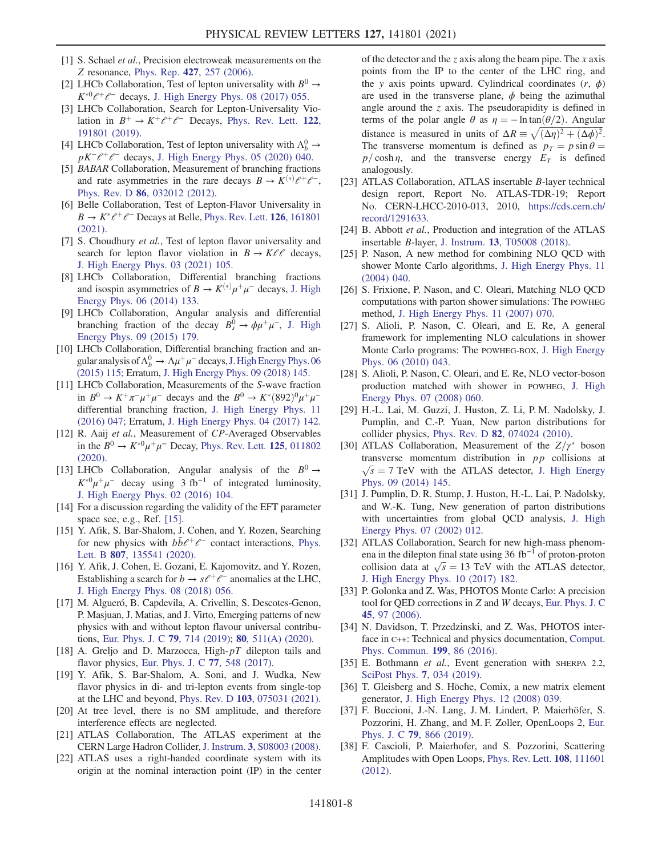- <span id="page-8-0"></span>[1] S. Schael et al., Precision electroweak measurements on the Z resonance, Phys. Rep. 427[, 257 \(2006\)](https://doi.org/10.1016/j.physrep.2005.12.006).
- <span id="page-8-1"></span>[2] LHCb Collaboration, Test of lepton universality with  $B^0 \rightarrow$  $K^{*0}$  $\ell^+$  $\ell^-$  decays, [J. High Energy Phys. 08 \(2017\) 055.](https://doi.org/10.1007/JHEP08(2017)055)
- [3] LHCb Collaboration, Search for Lepton-Universality Violation in  $B^+ \to K^+ \ell^+ \ell^-$  Decays, [Phys. Rev. Lett.](https://doi.org/10.1103/PhysRevLett.122.191801) 122, [191801 \(2019\).](https://doi.org/10.1103/PhysRevLett.122.191801)
- [4] LHCb Collaboration, Test of lepton universality with  $\Lambda_b^0 \to$  $pK^{-}e^{+}e^{-}$  decays, [J. High Energy Phys. 05 \(2020\) 040.](https://doi.org/10.1007/JHEP05(2020)040)
- [5] *BABAR* Collaboration, Measurement of branching fractions and rate asymmetries in the rare decays  $B \to K^{(*)} \ell^+ \ell^-$ , Phys. Rev. D 86[, 032012 \(2012\)](https://doi.org/10.1103/PhysRevD.86.032012).
- [6] Belle Collaboration, Test of Lepton-Flavor Universality in  $B \to K^* \ell^+ \ell^-$  Decays at Belle, [Phys. Rev. Lett.](https://doi.org/10.1103/PhysRevLett.126.161801) 126, 161801 [\(2021\).](https://doi.org/10.1103/PhysRevLett.126.161801)
- [7] S. Choudhury et al., Test of lepton flavor universality and search for lepton flavor violation in  $B \to K \ell \ell$  decays, [J. High Energy Phys. 03 \(2021\) 105.](https://doi.org/10.1007/JHEP03(2021)105)
- [8] LHCb Collaboration, Differential branching fractions and isospin asymmetries of  $B \to K^{(*)} \mu^+ \mu^-$  decays, [J. High](https://doi.org/10.1007/JHEP06(2014)133) [Energy Phys. 06 \(2014\) 133.](https://doi.org/10.1007/JHEP06(2014)133)
- [9] LHCb Collaboration, Angular analysis and differential branching fraction of the decay  $B_s^0 \rightarrow \phi \mu^+ \mu^-$ , [J. High](https://doi.org/10.1007/JHEP09(2015)179) [Energy Phys. 09 \(2015\) 179.](https://doi.org/10.1007/JHEP09(2015)179)
- [10] LHCb Collaboration, Differential branching fraction and angular analysis of  $\Lambda_b^0 \to \Lambda \mu^+ \mu^-$  decays, J. High Energy Phys. 06 [\(2015\) 115;](https://doi.org/10.1007/JHEP06(2015)115) Erratum, [J. High Energy Phys. 09 \(2018\) 145.](https://doi.org/10.1007/JHEP09(2018)145)
- [11] LHCb Collaboration, Measurements of the S-wave fraction in  $B^0 \to K^+\pi^-\mu^+\mu^-$  decays and the  $B^0 \to K^*(892)^0\mu^+\mu^$ differential branching fraction, [J. High Energy Phys. 11](https://doi.org/10.1007/JHEP11(2016)047) [\(2016\) 047;](https://doi.org/10.1007/JHEP11(2016)047) Erratum, [J. High Energy Phys. 04 \(2017\) 142.](https://doi.org/10.1007/JHEP04(2017)142)
- [12] R. Aaij et al., Measurement of CP-Averaged Observables in the  $B^0 \to K^{*0} \mu^+ \mu^-$  Decay, [Phys. Rev. Lett.](https://doi.org/10.1103/PhysRevLett.125.011802) 125, 011802 [\(2020\).](https://doi.org/10.1103/PhysRevLett.125.011802)
- [13] LHCb Collaboration, Angular analysis of the  $B^0 \rightarrow$  $K^{*0}\mu^+\mu^-$  decay using 3 fb<sup>-1</sup> of integrated luminosity, [J. High Energy Phys. 02 \(2016\) 104.](https://doi.org/10.1007/JHEP02(2016)104)
- <span id="page-8-2"></span>[14] For a discussion regarding the validity of the EFT parameter space see, e.g., Ref. [\[15\].](#page-8-5)
- <span id="page-8-5"></span>[15] Y. Afik, S. Bar-Shalom, J. Cohen, and Y. Rozen, Searching for new physics with  $b\bar{b}\ell^+\ell^-$  contact interactions, [Phys.](https://doi.org/10.1016/j.physletb.2020.135541) Lett. B 807[, 135541 \(2020\)](https://doi.org/10.1016/j.physletb.2020.135541).
- <span id="page-8-3"></span>[16] Y. Afik, J. Cohen, E. Gozani, E. Kajomovitz, and Y. Rozen, Establishing a search for  $b \to s\ell^+\ell^-$  anomalies at the LHC, [J. High Energy Phys. 08 \(2018\) 056.](https://doi.org/10.1007/JHEP08(2018)056)
- <span id="page-8-4"></span>[17] M. Algueró, B. Capdevila, A. Crivellin, S. Descotes-Genon, P. Masjuan, J. Matias, and J. Virto, Emerging patterns of new physics with and without lepton flavour universal contributions, [Eur. Phys. J. C](https://doi.org/10.1140/epjc/s10052-019-7216-3) 79, 714 (2019); 80[, 511\(A\) \(2020\)](https://doi.org/10.1140/epjc/s10052-020-8018-3).
- [18] A. Greljo and D. Marzocca, High- $pT$  dilepton tails and flavor physics, [Eur. Phys. J. C](https://doi.org/10.1140/epjc/s10052-017-5119-8) 77, 548 (2017).
- [19] Y. Afik, S. Bar-Shalom, A. Soni, and J. Wudka, New flavor physics in di- and tri-lepton events from single-top at the LHC and beyond, Phys. Rev. D 103[, 075031 \(2021\).](https://doi.org/10.1103/PhysRevD.103.075031)
- <span id="page-8-6"></span>[20] At tree level, there is no SM amplitude, and therefore interference effects are neglected.
- <span id="page-8-7"></span>[21] ATLAS Collaboration, The ATLAS experiment at the CERN Large Hadron Collider, J. Instrum. 3[, S08003 \(2008\).](https://doi.org/10.1088/1748-0221/3/08/S08003)
- <span id="page-8-8"></span>[22] ATLAS uses a right-handed coordinate system with its origin at the nominal interaction point (IP) in the center

of the detector and the z axis along the beam pipe. The x axis points from the IP to the center of the LHC ring, and the y axis points upward. Cylindrical coordinates  $(r, \phi)$ are used in the transverse plane,  $\phi$  being the azimuthal angle around the  $z$  axis. The pseudorapidity is defined in terms of the polar angle  $\theta$  as  $\eta = -\ln \tan(\theta/2)$ . Angular distance is measured in units of  $\Delta R \equiv \sqrt{(\Delta \eta)^2 + (\Delta \phi)^2}$ . The transverse momentum is defined as  $p_T = p \sin \theta =$  $p/\cosh \eta$ , and the transverse energy  $E_T$  is defined analogously.

- <span id="page-8-9"></span>[23] ATLAS Collaboration, ATLAS insertable *B*-layer technical design report, Report No. ATLAS-TDR-19; Report No. CERN-LHCC-2010-013, 2010, [https://cds.cern.ch/](https://cds.cern.ch/record/1291633) [record/1291633.](https://cds.cern.ch/record/1291633)
- [24] B. Abbott et al., Production and integration of the ATLAS insertable B-layer, J. Instrum. 13[, T05008 \(2018\)](https://doi.org/10.1088/1748-0221/13/05/T05008).
- <span id="page-8-10"></span>[25] P. Nason, A new method for combining NLO OCD with shower Monte Carlo algorithms, [J. High Energy Phys. 11](https://doi.org/10.1088/1126-6708/2004/11/040) [\(2004\) 040.](https://doi.org/10.1088/1126-6708/2004/11/040)
- [26] S. Frixione, P. Nason, and C. Oleari, Matching NLO QCD computations with parton shower simulations: The POWHEG method, [J. High Energy Phys. 11 \(2007\) 070.](https://doi.org/10.1088/1126-6708/2007/11/070)
- [27] S. Alioli, P. Nason, C. Oleari, and E. Re, A general framework for implementing NLO calculations in shower Monte Carlo programs: The POWHEG-BOX, [J. High Energy](https://doi.org/10.1007/JHEP06(2010)043) [Phys. 06 \(2010\) 043.](https://doi.org/10.1007/JHEP06(2010)043)
- [28] S. Alioli, P. Nason, C. Oleari, and E. Re, NLO vector-boson production matched with shower in POWHEG, [J. High](https://doi.org/10.1088/1126-6708/2008/07/060) [Energy Phys. 07 \(2008\) 060.](https://doi.org/10.1088/1126-6708/2008/07/060)
- <span id="page-8-11"></span>[29] H.-L. Lai, M. Guzzi, J. Huston, Z. Li, P. M. Nadolsky, J. Pumplin, and C.-P. Yuan, New parton distributions for collider physics, Phys. Rev. D 82[, 074024 \(2010\)](https://doi.org/10.1103/PhysRevD.82.074024).
- <span id="page-8-12"></span>[30] ATLAS Collaboration, Measurement of the  $Z/\gamma^*$  boson transverse momentum distribution in pp collisions at  $\sqrt{s}$  = 7 TeV with the ATLAS detector, [J. High Energy](https://doi.org/10.1007/JHEP09(2014)145) [Phys. 09 \(2014\) 145.](https://doi.org/10.1007/JHEP09(2014)145)
- <span id="page-8-13"></span>[31] J. Pumplin, D. R. Stump, J. Huston, H.-L. Lai, P. Nadolsky, and W.-K. Tung, New generation of parton distributions with uncertainties from global QCD analysis, [J. High](https://doi.org/10.1088/1126-6708/2002/07/012) [Energy Phys. 07 \(2002\) 012.](https://doi.org/10.1088/1126-6708/2002/07/012)
- <span id="page-8-14"></span>[32] ATLAS Collaboration, Search for new high-mass phenomena in the dilepton final state using 36 fb<sup>−</sup><sup>1</sup> of proton-proton collision data at  $\sqrt{s} = 13$  TeV with the ATLAS detector, [J. High Energy Phys. 10 \(2017\) 182.](https://doi.org/10.1007/JHEP10(2017)182)
- <span id="page-8-15"></span>[33] P. Golonka and Z. Was, PHOTOS Monte Carlo: A precision tool for QED corrections in Z and W decays, [Eur. Phys. J. C](https://doi.org/10.1140/epjc/s2005-02396-4) 45[, 97 \(2006\).](https://doi.org/10.1140/epjc/s2005-02396-4)
- [34] N. Davidson, T. Przedzinski, and Z. Was, PHOTOS interface in C++: Technical and physics documentation, [Comput.](https://doi.org/10.1016/j.cpc.2015.09.013) [Phys. Commun.](https://doi.org/10.1016/j.cpc.2015.09.013) 199, 86 (2016).
- <span id="page-8-16"></span>[35] E. Bothmann et al., Event generation with SHERPA 2.2, [SciPost Phys.](https://doi.org/10.21468/SciPostPhys.7.3.034) 7, 034 (2019).
- <span id="page-8-17"></span>[36] T. Gleisberg and S. Höche, Comix, a new matrix element generator, [J. High Energy Phys. 12 \(2008\) 039.](https://doi.org/10.1088/1126-6708/2008/12/039)
- <span id="page-8-18"></span>[37] F. Buccioni, J.-N. Lang, J. M. Lindert, P. Maierhöfer, S. Pozzorini, H. Zhang, and M. F. Zoller, OpenLoops 2, [Eur.](https://doi.org/10.1140/epjc/s10052-019-7306-2) Phys. J. C 79[, 866 \(2019\).](https://doi.org/10.1140/epjc/s10052-019-7306-2)
- [38] F. Cascioli, P. Maierhofer, and S. Pozzorini, Scattering Amplitudes with Open Loops, [Phys. Rev. Lett.](https://doi.org/10.1103/PhysRevLett.108.111601) 108, 111601 [\(2012\).](https://doi.org/10.1103/PhysRevLett.108.111601)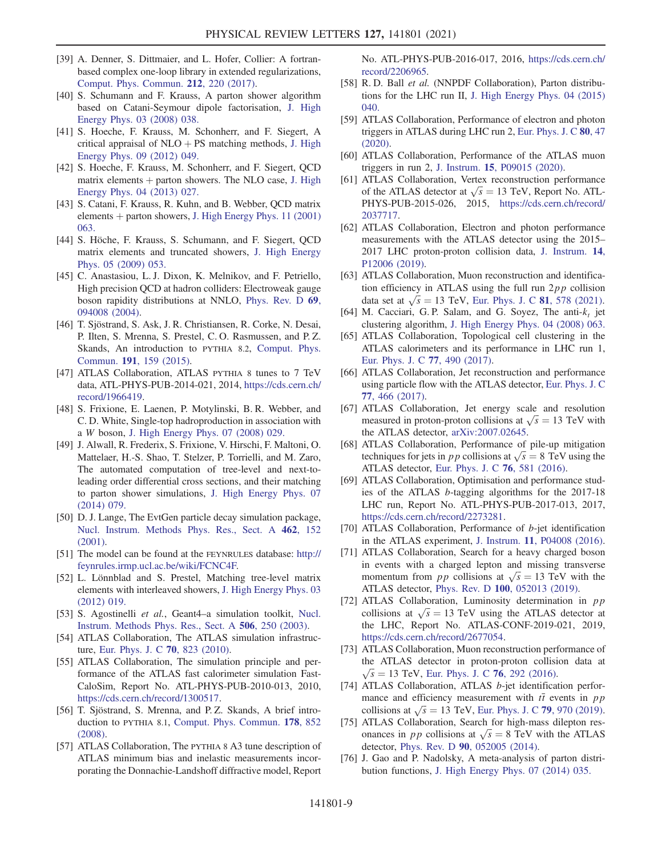- [39] A. Denner, S. Dittmaier, and L. Hofer, Collier: A fortranbased complex one-loop library in extended regularizations, [Comput. Phys. Commun.](https://doi.org/10.1016/j.cpc.2016.10.013) 212, 220 (2017).
- <span id="page-9-0"></span>[40] S. Schumann and F. Krauss, A parton shower algorithm based on Catani-Seymour dipole factorisation, [J. High](https://doi.org/10.1088/1126-6708/2008/03/038) [Energy Phys. 03 \(2008\) 038.](https://doi.org/10.1088/1126-6708/2008/03/038)
- <span id="page-9-1"></span>[41] S. Hoeche, F. Krauss, M. Schonherr, and F. Siegert, A critical appraisal of  $NLO + PS$  matching methods, [J. High](https://doi.org/10.1007/JHEP09(2012)049) [Energy Phys. 09 \(2012\) 049.](https://doi.org/10.1007/JHEP09(2012)049)
- [42] S. Hoeche, F. Krauss, M. Schonherr, and F. Siegert, QCD matrix elements  $+$  parton showers. The NLO case, [J. High](https://doi.org/10.1007/JHEP04(2013)027) [Energy Phys. 04 \(2013\) 027.](https://doi.org/10.1007/JHEP04(2013)027)
- [43] S. Catani, F. Krauss, R. Kuhn, and B. Webber, QCD matrix elements  $+$  parton showers, [J. High Energy Phys. 11 \(2001\)](https://doi.org/10.1088/1126-6708/2001/11/063) [063.](https://doi.org/10.1088/1126-6708/2001/11/063)
- [44] S. Höche, F. Krauss, S. Schumann, and F. Siegert, QCD matrix elements and truncated showers, [J. High Energy](https://doi.org/10.1088/1126-6708/2009/05/053) [Phys. 05 \(2009\) 053.](https://doi.org/10.1088/1126-6708/2009/05/053)
- <span id="page-9-2"></span>[45] C. Anastasiou, L. J. Dixon, K. Melnikov, and F. Petriello, High precision QCD at hadron colliders: Electroweak gauge boson rapidity distributions at NNLO, [Phys. Rev. D](https://doi.org/10.1103/PhysRevD.69.094008) 69, [094008 \(2004\).](https://doi.org/10.1103/PhysRevD.69.094008)
- <span id="page-9-3"></span>[46] T. Sjöstrand, S. Ask, J. R. Christiansen, R. Corke, N. Desai, P. Ilten, S. Mrenna, S. Prestel, C. O. Rasmussen, and P. Z. Skands, An introduction to PYTHIA 8.2, [Comput. Phys.](https://doi.org/10.1016/j.cpc.2015.01.024) Commun. 191[, 159 \(2015\)](https://doi.org/10.1016/j.cpc.2015.01.024).
- <span id="page-9-4"></span>[47] ATLAS Collaboration, ATLAS PYTHIA 8 tunes to 7 TeV data, ATL-PHYS-PUB-2014-021, 2014, [https://cds.cern.ch/](https://cds.cern.ch/record/1966419) [record/1966419.](https://cds.cern.ch/record/1966419)
- <span id="page-9-5"></span>[48] S. Frixione, E. Laenen, P. Motylinski, B. R. Webber, and C. D. White, Single-top hadroproduction in association with a W boson, [J. High Energy Phys. 07 \(2008\) 029.](https://doi.org/10.1088/1126-6708/2008/07/029)
- <span id="page-9-6"></span>[49] J. Alwall, R. Frederix, S. Frixione, V. Hirschi, F. Maltoni, O. Mattelaer, H.-S. Shao, T. Stelzer, P. Torrielli, and M. Zaro, The automated computation of tree-level and next-toleading order differential cross sections, and their matching to parton shower simulations, [J. High Energy Phys. 07](https://doi.org/10.1007/JHEP07(2014)079) [\(2014\) 079.](https://doi.org/10.1007/JHEP07(2014)079)
- <span id="page-9-7"></span>[50] D. J. Lange, The EvtGen particle decay simulation package, [Nucl. Instrum. Methods Phys. Res., Sect. A](https://doi.org/10.1016/S0168-9002(01)00089-4) 462, 152 [\(2001\).](https://doi.org/10.1016/S0168-9002(01)00089-4)
- <span id="page-9-8"></span>[51] The model can be found at the FEYNRULES database: [http://](http://feynrules.irmp.ucl.ac.be/wiki/FCNC4F) [feynrules.irmp.ucl.ac.be/wiki/FCNC4F.](http://feynrules.irmp.ucl.ac.be/wiki/FCNC4F)
- <span id="page-9-9"></span>[52] L. Lönnblad and S. Prestel, Matching tree-level matrix elements with interleaved showers, [J. High Energy Phys. 03](https://doi.org/10.1007/JHEP03(2012)019) [\(2012\) 019.](https://doi.org/10.1007/JHEP03(2012)019)
- <span id="page-9-10"></span>[53] S. Agostinelli et al., Geant4–a simulation toolkit, [Nucl.](https://doi.org/10.1016/S0168-9002(03)01368-8) [Instrum. Methods Phys. Res., Sect. A](https://doi.org/10.1016/S0168-9002(03)01368-8) 506, 250 (2003).
- <span id="page-9-11"></span>[54] ATLAS Collaboration, The ATLAS simulation infrastructure, [Eur. Phys. J. C](https://doi.org/10.1140/epjc/s10052-010-1429-9) 70, 823 (2010).
- [55] ATLAS Collaboration, The simulation principle and performance of the ATLAS fast calorimeter simulation Fast-CaloSim, Report No. ATL-PHYS-PUB-2010-013, 2010, [https://cds.cern.ch/record/1300517.](https://cds.cern.ch/record/1300517)
- <span id="page-9-12"></span>[56] T. Sjöstrand, S. Mrenna, and P. Z. Skands, A brief introduction to PYTHIA 8.1, [Comput. Phys. Commun.](https://doi.org/10.1016/j.cpc.2008.01.036) 178, 852 [\(2008\).](https://doi.org/10.1016/j.cpc.2008.01.036)
- <span id="page-9-13"></span>[57] ATLAS Collaboration, The PYTHIA 8 A3 tune description of ATLAS minimum bias and inelastic measurements incorporating the Donnachie-Landshoff diffractive model, Report

No. ATL-PHYS-PUB-2016-017, 2016, [https://cds.cern.ch/](https://cds.cern.ch/record/2206965) [record/2206965.](https://cds.cern.ch/record/2206965)

- <span id="page-9-14"></span>[58] R. D. Ball et al. (NNPDF Collaboration), Parton distributions for the LHC run II, [J. High Energy Phys. 04 \(2015\)](https://doi.org/10.1007/JHEP04(2015)040) [040.](https://doi.org/10.1007/JHEP04(2015)040)
- <span id="page-9-15"></span>[59] ATLAS Collaboration, Performance of electron and photon triggers in ATLAS during LHC run 2, [Eur. Phys. J. C](https://doi.org/10.1140/epjc/s10052-019-7500-2) 80, 47 [\(2020\).](https://doi.org/10.1140/epjc/s10052-019-7500-2)
- [60] ATLAS Collaboration, Performance of the ATLAS muon triggers in run 2, J. Instrum. 15[, P09015 \(2020\).](https://doi.org/10.1088/1748-0221/15/09/P09015)
- <span id="page-9-16"></span>[61] ATLAS Collaboration, Vertex reconstruction performance of the ATLAS detector at  $\sqrt{s} = 13$  TeV, Report No. ATL-PHYS-PUB-2015-026, 2015, [https://cds.cern.ch/record/](https://cds.cern.ch/record/2037717) [2037717.](https://cds.cern.ch/record/2037717)
- <span id="page-9-17"></span>[62] ATLAS Collaboration, Electron and photon performance measurements with the ATLAS detector using the 2015– 2017 LHC proton-proton collision data, [J. Instrum.](https://doi.org/10.1088/1748-0221/14/12/P12006) 14, [P12006 \(2019\)](https://doi.org/10.1088/1748-0221/14/12/P12006).
- <span id="page-9-18"></span>[63] ATLAS Collaboration, Muon reconstruction and identification efficiency in ATLAS using the full run  $2pp$  collision data set at  $\sqrt{s} = 13$  TeV, [Eur. Phys. J. C](https://doi.org/10.1140/epjc/s10052-021-09233-2) 81, 578 (2021).
- <span id="page-9-19"></span>[64] M. Cacciari, G. P. Salam, and G. Soyez, The anti- $k_t$  jet clustering algorithm, [J. High Energy Phys. 04 \(2008\) 063.](https://doi.org/10.1088/1126-6708/2008/04/063)
- <span id="page-9-20"></span>[65] ATLAS Collaboration, Topological cell clustering in the ATLAS calorimeters and its performance in LHC run 1, [Eur. Phys. J. C](https://doi.org/10.1140/epjc/s10052-017-5004-5) 77, 490 (2017).
- <span id="page-9-21"></span>[66] ATLAS Collaboration, Jet reconstruction and performance using particle flow with the ATLAS detector, [Eur. Phys. J. C](https://doi.org/10.1140/epjc/s10052-017-5031-2) 77[, 466 \(2017\).](https://doi.org/10.1140/epjc/s10052-017-5031-2)
- <span id="page-9-22"></span>[67] ATLAS Collaboration, Jet energy scale and resolution measured in proton-proton collisions at  $\sqrt{s} = 13$  TeV with the ATLAS detector, [arXiv:2007.02645.](https://arXiv.org/abs/2007.02645)
- <span id="page-9-23"></span>[68] ATLAS Collaboration, Performance of pile-up mitigation techniques for jets in *pp* collisions at  $\sqrt{s} = 8$  TeV using the ATLAS detector, [Eur. Phys. J. C](https://doi.org/10.1140/epjc/s10052-016-4395-z) 76, 581 (2016).
- <span id="page-9-24"></span>[69] ATLAS Collaboration, Optimisation and performance studies of the ATLAS b-tagging algorithms for the 2017-18 LHC run, Report No. ATL-PHYS-PUB-2017-013, 2017, [https://cds.cern.ch/record/2273281.](https://cds.cern.ch/record/2273281)
- [70] ATLAS Collaboration, Performance of b-jet identification in the ATLAS experiment, J. Instrum. 11[, P04008 \(2016\).](https://doi.org/10.1088/1748-0221/11/04/P04008)
- <span id="page-9-25"></span>[71] ATLAS Collaboration, Search for a heavy charged boson in events with a charged lepton and missing transverse momentum from *pp* collisions at  $\sqrt{s} = 13$  TeV with the ATLAS detector, Phys. Rev. D 100[, 052013 \(2019\).](https://doi.org/10.1103/PhysRevD.100.052013)
- <span id="page-9-26"></span>[72] ATLAS Collaboration, Luminosity determination in pp collisions at  $\sqrt{s} = 13$  TeV using the ATLAS detector at the LHC, Report No. ATLAS-CONF-2019-021, 2019, [https://cds.cern.ch/record/2677054.](https://cds.cern.ch/record/2677054)
- [73] ATLAS Collaboration, Muon reconstruction performance of the ATLAS detector in proton-proton collision data at  $\sqrt{s}$  = 13 TeV, [Eur. Phys. J. C](https://doi.org/10.1140/epjc/s10052-016-4120-y) 76, 292 (2016).
- <span id="page-9-27"></span>[74] ATLAS Collaboration, ATLAS b-jet identification performance and efficiency measurement with  $t\bar{t}$  events in pp collisions at  $\sqrt{s} = 13$  TeV, [Eur. Phys. J. C](https://doi.org/10.1140/epjc/s10052-019-7450-8) 79, 970 (2019).
- <span id="page-9-28"></span>[75] ATLAS Collaboration, Search for high-mass dilepton resonances in *pp* collisions at  $\sqrt{s} = 8$  TeV with the ATLAS detector, Phys. Rev. D 90[, 052005 \(2014\)](https://doi.org/10.1103/PhysRevD.90.052005).
- [76] J. Gao and P. Nadolsky, A meta-analysis of parton distribution functions, [J. High Energy Phys. 07 \(2014\) 035.](https://doi.org/10.1007/JHEP07(2014)035)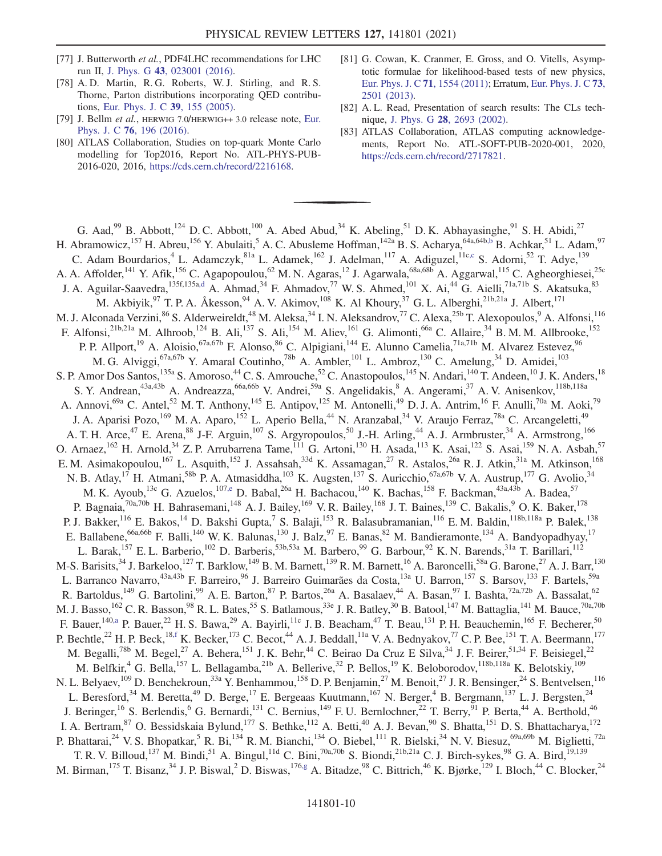- <span id="page-10-0"></span>[77] J. Butterworth et al., PDF4LHC recommendations for LHC run II, J. Phys. G 43[, 023001 \(2016\)](https://doi.org/10.1088/0954-3899/43/2/023001).
- <span id="page-10-1"></span>[78] A. D. Martin, R. G. Roberts, W. J. Stirling, and R. S. Thorne, Parton distributions incorporating QED contributions, [Eur. Phys. J. C](https://doi.org/10.1140/epjc/s2004-02088-7) 39, 155 (2005).
- <span id="page-10-2"></span>[79] J. Bellm et al., HERWIG 7.0/HERWIG++ 3.0 release note, [Eur.](https://doi.org/10.1140/epjc/s10052-016-4018-8) Phys. J. C 76[, 196 \(2016\).](https://doi.org/10.1140/epjc/s10052-016-4018-8)
- [80] ATLAS Collaboration, Studies on top-quark Monte Carlo modelling for Top2016, Report No. ATL-PHYS-PUB-2016-020, 2016, <https://cds.cern.ch/record/2216168>.
- <span id="page-10-3"></span>[81] G. Cowan, K. Cranmer, E. Gross, and O. Vitells, Asymptotic formulae for likelihood-based tests of new physics, [Eur. Phys. J. C](https://doi.org/10.1140/epjc/s10052-011-1554-0) 71, 1554 (2011); Erratum, [Eur. Phys. J. C](https://doi.org/10.1140/epjc/s10052-013-2501-z) 73, [2501 \(2013\)](https://doi.org/10.1140/epjc/s10052-013-2501-z).
- <span id="page-10-4"></span>[82] A. L. Read, Presentation of search results: The CLs technique, J. Phys. G 28[, 2693 \(2002\).](https://doi.org/10.1088/0954-3899/28/10/313)
- <span id="page-10-5"></span>[83] ATLAS Collaboration, ATLAS computing acknowledgements, Report No. ATL-SOFT-PUB-2020-001, 2020, [https://cds.cern.ch/record/2717821.](https://cds.cern.ch/record/2717821)

<span id="page-10-12"></span><span id="page-10-11"></span><span id="page-10-10"></span><span id="page-10-9"></span><span id="page-10-8"></span><span id="page-10-7"></span><span id="page-10-6"></span>G. Aad, <sup>99</sup> B. Abbott,<sup>124</sup> D. C. Abbott,<sup>100</sup> A. Abed Abud, <sup>34</sup> K. Abeling, <sup>51</sup> D. K. Abhayasinghe, <sup>91</sup> S. H. Abidi, <sup>27</sup> H. Abramowicz,<sup>157</sup> H. Abreu,<sup>156</sup> Y. Abulaiti,<sup>5</sup> A. C. Abusleme Hoffman,<sup>142a</sup> B. S. Acharya,<sup>64a,64b[,b](#page-22-0)</sup> B. Achkar,<sup>51</sup> L. Adam,<sup>97</sup> C. Adam Bourdarios,<sup>4</sup> L. Adamczyk,<sup>81a</sup> L. Adamek,<sup>162</sup> J. Adelman,<sup>117</sup> A. Adiguzel,<sup>11[c,c](#page-22-1)</sup> S. Adorni,<sup>52</sup> T. Adye,<sup>139</sup> A. A. Affolder,<sup>141</sup> Y. Afik,<sup>156</sup> C. Agapopoulou,<sup>62</sup> M. N. Agaras,<sup>12</sup> J. Agarwala,<sup>68a,68b</sup> A. Aggarwal,<sup>115</sup> C. Agheorghiesei,<sup>25c</sup> J. A. Aguilar-Saavedra,<sup>135f,135[a,d](#page-22-2)</sup> A. Ahmad,<sup>34</sup> F. Ahmadov,<sup>77</sup> W. S. Ahmed,<sup>101</sup> X. Ai,<sup>44</sup> G. Aielli,<sup>71a,71b</sup> S. Akatsuka,<sup>83</sup> M. Akbiyik,<sup>97</sup> T. P. A. Åkesson,<sup>94</sup> A. V. Akimov,<sup>108</sup> K. Al Khoury,<sup>37</sup> G. L. Alberghi,<sup>21b,21a</sup> J. Albert,<sup>171</sup> M. J. Alconada Verzini,<sup>86</sup> S. Alderweireldt,<sup>48</sup> M. Aleksa,<sup>34</sup> I. N. Aleksandrov,<sup>77</sup> C. Alexa,<sup>25b</sup> T. Alexopoulos,<sup>9</sup> A. Alfonsi,<sup>116</sup> F. Alfonsi,<sup>21b,21a</sup> M. Alhroob,<sup>124</sup> B. Ali,<sup>137</sup> S. Ali,<sup>154</sup> M. Aliev,<sup>161</sup> G. Alimonti,<sup>66a</sup> C. Allaire,<sup>34</sup> B. M. M. Allbrooke,<sup>152</sup> P. P. Allport,<sup>19</sup> A. Aloisio,<sup>67a,67b</sup> F. Alonso,<sup>86</sup> C. Alpigiani,<sup>144</sup> E. Alunno Camelia,<sup>71a,71b</sup> M. Alvarez Estevez,<sup>96</sup> M. G. Alviggi,<sup>67a,67b</sup> Y. Amaral Coutinho,<sup>78b</sup> A. Ambler,<sup>101</sup> L. Ambroz,<sup>130</sup> C. Amelung,<sup>34</sup> D. Amidei,<sup>103</sup> S. P. Amor Dos Santos,<sup>135a</sup> S. Amoroso,<sup>44</sup> C. S. Amrouche,<sup>52</sup> C. Anastopoulos,<sup>145</sup> N. Andari,<sup>140</sup> T. Andeen,<sup>10</sup> J. K. Anders,<sup>18</sup> S. Y. Andrean,<sup>43a,43b</sup> A. Andreazza,<sup>66a,66b</sup> V. Andrei,<sup>59a</sup> S. Angelidakis,<sup>8</sup> A. Angerami,<sup>37</sup> A. V. Anisenkov,<sup>118b,118a</sup> A. Annovi,<sup>69a</sup> C. Antel,<sup>52</sup> M. T. Anthony,<sup>145</sup> E. Antipov,<sup>125</sup> M. Antonelli,<sup>49</sup> D. J. A. Antrim,<sup>16</sup> F. Anulli,<sup>70a</sup> M. Aoki,<sup>79</sup> J. A. Aparisi Pozo,<sup>169</sup> M. A. Aparo,<sup>152</sup> L. Aperio Bella,<sup>44</sup> N. Aranzabal,<sup>34</sup> V. Araujo Ferraz,<sup>78a</sup> C. Arcangeletti,<sup>49</sup> A. T. H. Arce,<sup>47</sup> E. Arena,<sup>88</sup> J-F. Arguin,<sup>107</sup> S. Argyropoulos,<sup>50</sup> J.-H. Arling,<sup>44</sup> A. J. Armbruster,<sup>34</sup> A. Armstrong,<sup>166</sup> O. Arnaez,  $^{162}$  H. Arnold,  $^{34}$  Z. P. Arrubarrena Tame,  $^{111}$  G. Artoni,  $^{130}$  H. Asada,  $^{113}$  K. Asai,  $^{122}$  S. Asai,  $^{159}$  N. A. Asbah,  $^{57}$ E. M. Asimakopoulou,<sup>167</sup> L. Asquith,<sup>152</sup> J. Assahsah,<sup>33d</sup> K. Assamagan,<sup>27</sup> R. Astalos,<sup>26a</sup> R. J. Atkin,<sup>31a</sup> M. Atkinson,<sup>168</sup> N. B. Atlay,<sup>17</sup> H. Atmani,<sup>58b</sup> P. A. Atmasiddha,<sup>103</sup> K. Augsten,<sup>137</sup> S. Auricchio,<sup>67a,67b</sup> V. A. Austrup,<sup>177</sup> G. Avolio,<sup>34</sup> M. K. Ayoub,<sup>13c</sup> G. Azuelos,<sup>10[7,e](#page-22-3)</sup> D. Babal,<sup>26a</sup> H. Bachacou,<sup>140</sup> K. Bachas,<sup>158</sup> F. Backman,<sup>43a,43b</sup> A. Badea,<sup>57</sup> P. Bagnaia,<sup>70a,70b</sup> H. Bahrasemani,<sup>148</sup> A. J. Bailey,<sup>169</sup> V. R. Bailey,<sup>168</sup> J. T. Baines,<sup>139</sup> C. Bakalis,<sup>9</sup> O. K. Baker,<sup>178</sup> P. J. Bakker,<sup>116</sup> E. Bakos,<sup>14</sup> D. Bakshi Gupta,<sup>7</sup> S. Balaji,<sup>153</sup> R. Balasubramanian,<sup>116</sup> E. M. Baldin,<sup>118b,118a</sup> P. Balek,<sup>138</sup> E. Ballabene,  $66a,66b$  F. Balli,  $140$  W. K. Balunas,  $130$  J. Balz,  $97$  E. Banas,  $82$  M. Bandieramonte,  $134$  A. Bandyopadhyay,  $17$ L. Barak,<sup>157</sup> E. L. Barberio,<sup>102</sup> D. Barberis,<sup>53b,53a</sup> M. Barbero,<sup>99</sup> G. Barbour,<sup>92</sup> K. N. Barends,<sup>31a</sup> T. Barillari,<sup>112</sup> M-S. Barisits,<sup>34</sup> J. Barkeloo,<sup>127</sup> T. Barklow,<sup>149</sup> B. M. Barnett,<sup>139</sup> R. M. Barnett,<sup>16</sup> A. Baroncelli,<sup>58a</sup> G. Barone,<sup>27</sup> A. J. Barr,<sup>130</sup> L. Barranco Navarro,<sup>43a,43b</sup> F. Barreiro,<sup>96</sup> J. Barreiro Guimarães da Costa,<sup>13a</sup> U. Barron,<sup>157</sup> S. Barsov,<sup>133</sup> F. Bartels,<sup>59a</sup> R. Bartoldus,<sup>149</sup> G. Bartolini,<sup>99</sup> A. E. Barton,<sup>87</sup> P. Bartos,<sup>26a</sup> A. Basalaev,<sup>44</sup> A. Basan,<sup>97</sup> I. Bashta,<sup>72a,72b</sup> A. Bassalat,<sup>62</sup> M. J. Basso,  $^{162}$  C. R. Basson,  $^{98}$  R. L. Bates,  $^{55}$  S. Batlamous,  $^{33e}$  J. R. Batley,  $^{30}$  B. Batool,  $^{147}$  M. Battaglia,  $^{141}$  M. Bauce,  $^{70a,70b}$ F. Bauer,  $140, a$  P. Bauer,  $22$  H. S. Bawa,  $29$  A. Bayirli,  $11c$  J. B. Beacham,  $47$  T. Beau,  $131$  P. H. Beauchemin,  $165$  F. Becherer,  $50$ P. Bechtle,<sup>22</sup> H. P. Beck,<sup>18[,f](#page-22-5)</sup> K. Becker,<sup>173</sup> C. Becot,<sup>44</sup> A. J. Beddall,<sup>11a</sup> V. A. Bednyakov,<sup>77</sup> C. P. Bee,<sup>151</sup> T. A. Beermann,<sup>177</sup> M. Begalli,<sup>78b</sup> M. Begel,<sup>27</sup> A. Behera,<sup>151</sup> J. K. Behr,<sup>44</sup> C. Beirao Da Cruz E Silva,<sup>34</sup> J. F. Beirer,<sup>51,34</sup> F. Beisiegel,<sup>22</sup> M. Belfkir,<sup>4</sup> G. Bella,<sup>157</sup> L. Bellagamba,<sup>21b</sup> A. Bellerive,<sup>32</sup> P. Bellos,<sup>19</sup> K. Beloborodov,<sup>118b,118a</sup> K. Belotskiy,<sup>109</sup> N. L. Belyaev,<sup>109</sup> D. Benchekroun,<sup>33a</sup> Y. Benhammou,<sup>158</sup> D. P. Benjamin,<sup>27</sup> M. Benoit,<sup>27</sup> J. R. Bensinger,<sup>24</sup> S. Bentvelsen,<sup>116</sup> L. Beresford,<sup>34</sup> M. Beretta,<sup>49</sup> D. Berge,<sup>17</sup> E. Bergeaas Kuutmann,<sup>167</sup> N. Berger,<sup>4</sup> B. Bergmann,<sup>137</sup> L. J. Bergsten,<sup>24</sup> J. Beringer,<sup>16</sup> S. Berlendis,<sup>6</sup> G. Bernardi,<sup>131</sup> C. Bernius,<sup>149</sup> F. U. Bernlochner,<sup>22</sup> T. Berry,<sup>91</sup> P. Berta,<sup>44</sup> A. Berthold,<sup>46</sup> I. A. Bertram,  $87$  O. Bessidskaia Bylund,  $177$  S. Bethke,  $112$  A. Betti,  $40$  A. J. Bevan,  $90$  S. Bhatta,  $151$  D. S. Bhattacharya,  $172$ P. Bhattarai,<sup>24</sup> V. S. Bhopatkar,<sup>5</sup> R. Bi,<sup>134</sup> R. M. Bianchi,<sup>134</sup> O. Biebel,<sup>111</sup> R. Bielski,<sup>34</sup> N. V. Biesuz,<sup>69a,69b</sup> M. Biglietti,<sup>72a</sup> T. R. V. Billoud,<sup>137</sup> M. Bindi,<sup>51</sup> A. Bingul,<sup>11d</sup> C. Bini,<sup>70a,70b</sup> S. Biondi,<sup>21b,21a</sup> C. J. Birch-sykes,<sup>98</sup> G. A. Bird,<sup>19,139</sup> M. Birman,<sup>175</sup> T. Bisanz,<sup>34</sup> J. P. Biswal,<sup>2</sup> D. Biswas,<sup>17[6,g](#page-22-6)</sup> A. Bitadze,<sup>98</sup> C. Bittrich,<sup>46</sup> K. Bjørke,<sup>129</sup> I. Bloch,<sup>44</sup> C. Blocker,<sup>24</sup>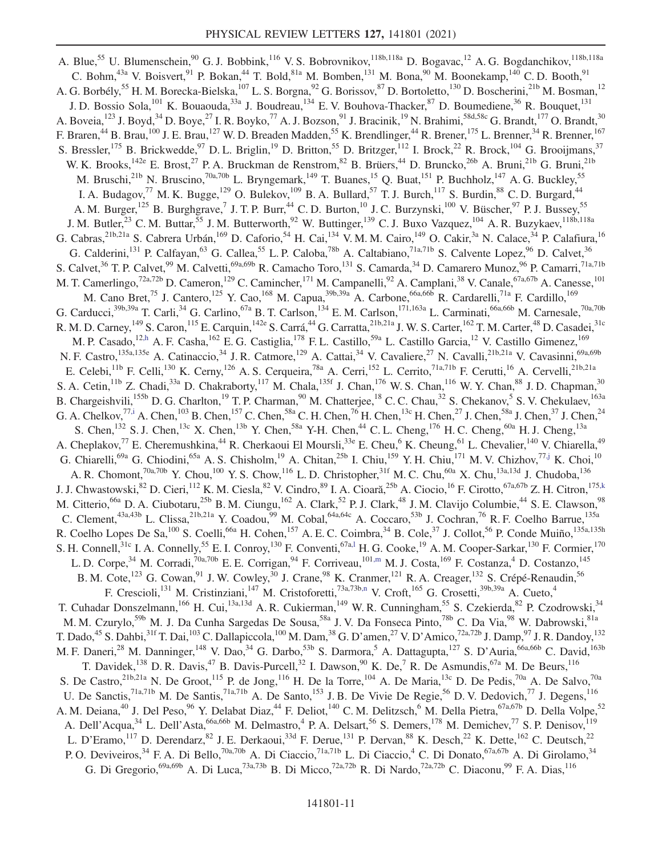<span id="page-11-6"></span><span id="page-11-5"></span><span id="page-11-4"></span><span id="page-11-3"></span><span id="page-11-2"></span><span id="page-11-1"></span><span id="page-11-0"></span>A. Blue,<sup>55</sup> U. Blumenschein,<sup>90</sup> G. J. Bobbink,<sup>116</sup> V. S. Bobrovnikov,<sup>118b,118a</sup> D. Bogavac,<sup>12</sup> A. G. Bogdanchikov,<sup>118b,118a</sup> C. Bohm,<sup>43a</sup> V. Boisvert,<sup>91</sup> P. Bokan,<sup>44</sup> T. Bold,<sup>81a</sup> M. Bomben,<sup>131</sup> M. Bona,<sup>90</sup> M. Boonekamp,<sup>140</sup> C.D. Booth,<sup>91</sup> A. G. Borbély,<sup>55</sup> H. M. Borecka-Bielska,<sup>107</sup> L. S. Borgna,<sup>92</sup> G. Borissov,<sup>87</sup> D. Bortoletto,<sup>130</sup> D. Boscherini,<sup>21b</sup> M. Bosman,<sup>12</sup> J. D. Bossio Sola,<sup>101</sup> K. Bouaouda,<sup>33a</sup> J. Boudreau,<sup>134</sup> E. V. Bouhova-Thacker,<sup>87</sup> D. Boumediene,<sup>36</sup> R. Bouquet,<sup>131</sup> A. Boveia,<sup>123</sup> J. Boyd,<sup>34</sup> D. Boye,<sup>27</sup> I. R. Boyko,<sup>77</sup> A. J. Bozson,<sup>91</sup> J. Bracinik,<sup>19</sup> N. Brahimi,<sup>58d,58c</sup> G. Brandt,<sup>177</sup> O. Brandt,<sup>30</sup> F. Braren,<sup>44</sup> B. Brau,<sup>100</sup> J. E. Brau,<sup>127</sup> W. D. Breaden Madden,<sup>55</sup> K. Brendlinger,<sup>44</sup> R. Brener,<sup>175</sup> L. Brenner,<sup>34</sup> R. Brenner,<sup>167</sup> S. Bressler,<sup>175</sup> B. Brickwedde,<sup>97</sup> D. L. Briglin,<sup>19</sup> D. Britton,<sup>55</sup> D. Britzger,<sup>112</sup> I. Brock,<sup>22</sup> R. Brock,<sup>104</sup> G. Brooijmans,<sup>37</sup> W. K. Brooks,<sup>142e</sup> E. Brost,<sup>27</sup> P. A. Bruckman de Renstrom,<sup>82</sup> B. Brüers,<sup>44</sup> D. Bruncko,<sup>26b</sup> A. Bruni,<sup>21b</sup> G. Bruni,<sup>21b</sup> M. Bruschi,<sup>21b</sup> N. Bruscino,<sup>70a,70b</sup> L. Bryngemark,<sup>149</sup> T. Buanes,<sup>15</sup> Q. Buat,<sup>151</sup> P. Buchholz,<sup>147</sup> A. G. Buckley,<sup>55</sup> I. A. Budagov,<sup>77</sup> M. K. Bugge,<sup>129</sup> O. Bulekov,<sup>109</sup> B. A. Bullard,<sup>57</sup> T. J. Burch,<sup>117</sup> S. Burdin,<sup>88</sup> C. D. Burgard,<sup>44</sup> A. M. Burger,<sup>125</sup> B. Burghgrave,<sup>7</sup> J. T. P. Burr,<sup>44</sup> C. D. Burton,<sup>10</sup> J. C. Burzynski,<sup>100</sup> V. Büscher,<sup>97</sup> P. J. Bussey,<sup>55</sup> J. M. Butler,<sup>23</sup> C. M. Buttar,<sup>55</sup> J. M. Butterworth,<sup>92</sup> W. Buttinger,<sup>139</sup> C. J. Buxo Vazquez,<sup>104</sup> A. R. Buzykaev,<sup>118b,118a</sup> G. Cabras,<sup>21b,21a</sup> S. Cabrera Urbán,<sup>169</sup> D. Caforio,<sup>54</sup> H. Cai,<sup>134</sup> V. M. M. Cairo,<sup>149</sup> O. Cakir,<sup>3a</sup> N. Calace,<sup>34</sup> P. Calafiura,<sup>16</sup> G. Calderini,<sup>131</sup> P. Calfayan,<sup>63</sup> G. Callea,<sup>55</sup> L. P. Caloba,<sup>78b</sup> A. Caltabiano,<sup>71a,71b</sup> S. Calvente Lopez,<sup>96</sup> D. Calvet,<sup>36</sup> S. Calvet,<sup>36</sup> T. P. Calvet,<sup>99</sup> M. Calvetti,<sup>69a,69b</sup> R. Camacho Toro,<sup>131</sup> S. Camarda,<sup>34</sup> D. Camarero Munoz,<sup>96</sup> P. Camarri,<sup>71a,71b</sup> M. T. Camerlingo,<sup>72a,72b</sup> D. Cameron,<sup>129</sup> C. Camincher,<sup>171</sup> M. Campanelli,<sup>92</sup> A. Camplani,<sup>38</sup> V. Canale,<sup>67a,67b</sup> A. Canesse,<sup>101</sup> M. Cano Bret,<sup>75</sup> J. Cantero,<sup>125</sup> Y. Cao,<sup>168</sup> M. Capua,<sup>39b,39a</sup> A. Carbone,<sup>66a,66b</sup> R. Cardarelli,<sup>71a</sup> F. Cardillo,<sup>169</sup> G. Carducci,  $39b,39a$  T. Carli,  $34$  G. Carlino,  $67a$  B. T. Carlson,  $134$  E. M. Carlson,  $171,163a$  L. Carminati,  $66a,66b$  M. Carnesale,  $70a,70b$ R. M. D. Carney,  $^{149}$  S. Caron,  $^{115}$  E. Carquin,  $^{142e}$  S. Carrá,  $^{44}$  G. Carratta,  $^{21b,21a}$  J. W. S. Carter,  $^{162}$  T. M. Carter,  $^{48}$  D. Casadei,  $^{31c}$ M. P. Casado,<sup>1[2,h](#page-22-7)</sup> A. F. Casha,<sup>162</sup> E. G. Castiglia,<sup>178</sup> F. L. Castillo,<sup>59a</sup> L. Castillo Garcia,<sup>12</sup> V. Castillo Gimenez,<sup>169</sup> N. F. Castro,<sup>135a,135e</sup> A. Catinaccio,<sup>34</sup> J. R. Catmore,<sup>129</sup> A. Cattai,<sup>34</sup> V. Cavaliere,<sup>27</sup> N. Cavalli,<sup>21b,21a</sup> V. Cavasinni,<sup>69a,69b</sup> E. Celebi, <sup>11b</sup> F. Celli, <sup>130</sup> K. Cerny, <sup>126</sup> A. S. Cerqueira, <sup>78a</sup> A. Cerri, <sup>152</sup> L. Cerrito, <sup>71a, 71b</sup> F. Cerutti, <sup>16</sup> A. Cervelli, <sup>21b, 21a</sup> S. A. Cetin, <sup>11b</sup> Z. Chadi, <sup>33a</sup> D. Chakraborty, <sup>117</sup> M. Chala, <sup>135f</sup> J. Chan, <sup>176</sup> W. S. Chan, <sup>116</sup> W. Y. Chan, <sup>88</sup> J. D. Chapman, <sup>30</sup> B. Chargeishvili,<sup>155b</sup> D. G. Charlton,<sup>19</sup> T. P. Charman,<sup>90</sup> M. Chatterjee,<sup>18</sup> C. C. Chau,<sup>32</sup> S. Chekanov,<sup>5</sup> S. V. Chekulaev,<sup>163a</sup> G. A. Chelkov,  $^{77, i}$  A. Chen,  $^{103}$  B. Chen,  $^{157}$  C. Chen,  $^{58a}$  C. H. Chen,  $^{76}$  H. Chen,  $^{13c}$  H. Chen,  $^{27}$  J. Chen,  $^{58a}$  J. Chen,  $^{37}$  J. Chen,  $^{24}$ S. Chen,<sup>132</sup> S. J. Chen,<sup>13c</sup> X. Chen,<sup>13b</sup> Y. Chen,<sup>58a</sup> Y-H. Chen,<sup>44</sup> C. L. Cheng,<sup>176</sup> H. C. Cheng,<sup>60a</sup> H. J. Cheng,<sup>13a</sup> A. Cheplakov,<sup>77</sup> E. Cheremushkina,<sup>44</sup> R. Cherkaoui El Moursli,<sup>33e</sup> E. Cheu,<sup>6</sup> K. Cheung,<sup>61</sup> L. Chevalier,<sup>140</sup> V. Chiarella,<sup>49</sup> G. Chiarelli,<sup>69a</sup> G. Chiodini,<sup>65a</sup> A. S. Chisholm,<sup>19</sup> A. Chitan,<sup>25b</sup> I. Chiu,<sup>159</sup> Y. H. Chiu,<sup>171</sup> M. V. Chizhov,<sup>7[7,j](#page-22-9)</sup> K. Choi,<sup>10</sup> A. R. Chomont,<sup>70a,70b</sup> Y. Chou,<sup>100</sup> Y. S. Chow,<sup>116</sup> L. D. Christopher,<sup>31f</sup> M. C. Chu,<sup>60a</sup> X. Chu,<sup>13a,13d</sup> J. Chudoba,<sup>136</sup> J. J. Chwastowski,<sup>82</sup> D. Cieri,<sup>112</sup> K. M. Ciesla,<sup>82</sup> V. Cindro,<sup>89</sup> I. A. Cioară,<sup>25b</sup> A. Ciocio,<sup>16</sup> F. Cirotto,<sup>67a,67b</sup> Z. H. Citron,<sup>175[,k](#page-22-10)</sup> M. Citterio,<sup>66a</sup> D. A. Ciubotaru,<sup>25b</sup> B. M. Ciungu,<sup>162</sup> A. Clark,<sup>52</sup> P. J. Clark,<sup>48</sup> J. M. Clavijo Columbie,<sup>44</sup> S. E. Clawson,<sup>98</sup> C. Clement,<sup>43a,43b</sup> L. Clissa,<sup>21b,21a</sup> Y. Coadou,<sup>99</sup> M. Cobal,<sup>64a,64c</sup> A. Coccaro,<sup>53b</sup> J. Cochran,<sup>76</sup> R. F. Coelho Barrue,<sup>135a</sup> R. Coelho Lopes De Sa,<sup>100</sup> S. Coelli,<sup>66a</sup> H. Cohen,<sup>157</sup> A. E. C. Coimbra,<sup>34</sup> B. Cole,<sup>37</sup> J. Collot,<sup>56</sup> P. Conde Muiño,<sup>135a,135h</sup> S. H. Connell,<sup>31c</sup> I. A. Connelly,<sup>55</sup> E. I. Conroy,<sup>130</sup> F. Conventi,<sup>67a,1</sup> H. G. Cooke,<sup>19</sup> A. M. Cooper-Sarkar,<sup>130</sup> F. Cormier,<sup>170</sup> L. D. Corpe,<sup>34</sup> M. Corradi,<sup>70a,70b</sup> E. E. Corrigan,<sup>94</sup> F. Corriveau,<sup>10[1,m](#page-22-12)</sup> M. J. Costa,<sup>169</sup> F. Costanza,<sup>4</sup> D. Costanzo,<sup>145</sup> B. M. Cote,<sup>123</sup> G. Cowan,<sup>91</sup> J. W. Cowley,<sup>30</sup> J. Crane,<sup>98</sup> K. Cranmer,<sup>121</sup> R. A. Creager,<sup>132</sup> S. Crépé-Renaudin,<sup>56</sup> F. Crescioli,<sup>131</sup> M. Cristinziani,<sup>147</sup> M. Cristoforetti,<sup>73a,73[b,n](#page-22-13)</sup> V. Croft,<sup>165</sup> G. Crosetti,<sup>39b,39a</sup> A. Cueto,<sup>4</sup> T. Cuhadar Donszelmann,<sup>166</sup> H. Cui,<sup>13a,13d</sup> A. R. Cukierman,<sup>149</sup> W. R. Cunningham,<sup>55</sup> S. Czekierda,<sup>82</sup> P. Czodrowski,<sup>34</sup> M. M. Czurylo,<sup>59b</sup> M. J. Da Cunha Sargedas De Sousa,<sup>58a</sup> J. V. Da Fonseca Pinto,<sup>78b</sup> C. Da Via,<sup>98</sup> W. Dabrowski,<sup>81a</sup> T. Dado,<sup>45</sup> S. Dahbi,<sup>31f</sup> T. Dai,<sup>103</sup> C. Dallapiccola,<sup>100</sup> M. Dam,<sup>38</sup> G. D'amen,<sup>27</sup> V. D'Amico,<sup>72a,72b</sup> J. Damp,<sup>97</sup> J. R. Dandoy,<sup>132</sup> M. F. Daneri,<sup>28</sup> M. Danninger,<sup>148</sup> V. Dao,<sup>34</sup> G. Darbo,<sup>53b</sup> S. Darmora,<sup>5</sup> A. Dattagupta,<sup>127</sup> S. D'Auria,<sup>66a,66b</sup> C. David,<sup>163b</sup> T. Davidek,<sup>138</sup> D. R. Davis,<sup>47</sup> B. Davis-Purcell,<sup>32</sup> I. Dawson,<sup>90</sup> K. De,<sup>7</sup> R. De Asmundis,<sup>67a</sup> M. De Beurs,<sup>116</sup> S. De Castro,<sup>21b,21a</sup> N. De Groot,<sup>115</sup> P. de Jong,<sup>116</sup> H. De la Torre,<sup>104</sup> A. De Maria,<sup>13c</sup> D. De Pedis,<sup>70a</sup> A. De Salvo,<sup>70a</sup> U. De Sanctis,  $^{71a,71b}$  M. De Santis,  $^{71a,71b}$  A. De Santo,  $^{153}$  J. B. De Vivie De Regie,  $^{56}$  D. V. Dedovich,  $^{77}$  J. Degens,  $^{116}$ A. M. Deiana,<sup>40</sup> J. Del Peso,<sup>96</sup> Y. Delabat Diaz,<sup>44</sup> F. Deliot,<sup>140</sup> C. M. Delitzsch,<sup>6</sup> M. Della Pietra,<sup>67a,67b</sup> D. Della Volpe,<sup>52</sup> A. Dell'Acqua,<sup>34</sup> L. Dell'Asta,<sup>66a,66b</sup> M. Delmastro,<sup>4</sup> P. A. Delsart,<sup>56</sup> S. Demers,<sup>178</sup> M. Demichev,<sup>77</sup> S. P. Denisov,<sup>119</sup> L. D'Eramo,<sup>117</sup> D. Derendarz,<sup>82</sup> J. E. Derkaoui,<sup>33d</sup> F. Derue,<sup>131</sup> P. Dervan,<sup>88</sup> K. Desch,<sup>22</sup> K. Dette,<sup>162</sup> C. Deutsch,<sup>22</sup> P. O. Deviveiros,<sup>34</sup> F. A. Di Bello,<sup>70a,70b</sup> A. Di Ciaccio,<sup>71a,71b</sup> L. Di Ciaccio,<sup>4</sup> C. Di Donato,<sup>67a,67b</sup> A. Di Girolamo,<sup>34</sup> G. Di Gregorio,<sup>69a,69b</sup> A. Di Luca,<sup>73a,73b</sup> B. Di Micco,<sup>72a,72b</sup> R. Di Nardo,<sup>72a,72b</sup> C. Diaconu,<sup>99</sup> F. A. Dias,<sup>116</sup>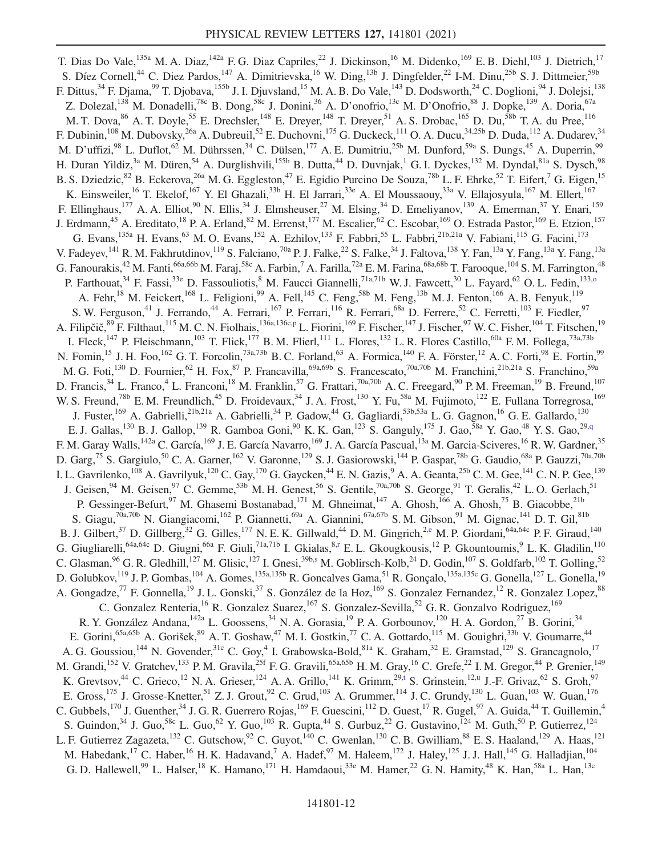<span id="page-12-5"></span><span id="page-12-4"></span><span id="page-12-3"></span><span id="page-12-2"></span><span id="page-12-1"></span><span id="page-12-0"></span>T. Dias Do Vale,<sup>135a</sup> M. A. Diaz,<sup>142a</sup> F. G. Diaz Capriles,<sup>22</sup> J. Dickinson,<sup>16</sup> M. Didenko,<sup>169</sup> E. B. Diehl,<sup>103</sup> J. Dietrich,<sup>17</sup> S. Díez Cornell,<sup>44</sup> C. Diez Pardos,<sup>147</sup> A. Dimitrievska,<sup>16</sup> W. Ding,<sup>13b</sup> J. Dingfelder,<sup>22</sup> I-M. Dinu,<sup>25b</sup> S. J. Dittmeier,<sup>59b</sup> F. Dittus,<sup>34</sup> F. Djama,<sup>99</sup> T. Djobava,<sup>155b</sup> J. I. Djuvsland,<sup>15</sup> M. A. B. Do Vale,<sup>143</sup> D. Dodsworth,<sup>24</sup> C. Doglioni,<sup>94</sup> J. Dolejsi,<sup>138</sup> Z. Dolezal,<sup>138</sup> M. Donadelli,<sup>78c</sup> B. Dong,<sup>58c</sup> J. Donini,<sup>36</sup> A. D'onofrio,<sup>13c</sup> M. D'Onofrio,<sup>88</sup> J. Dopke,<sup>139</sup> A. Doria,<sup>67a</sup> M. T. Dova, <sup>86</sup> A. T. Doyle, <sup>55</sup> E. Drechsler, <sup>148</sup> E. Dreyer, <sup>148</sup> T. Dreyer, <sup>51</sup> A. S. Drobac, <sup>165</sup> D. Du, <sup>58b</sup> T. A. du Pree, <sup>116</sup> F. Dubinin,<sup>108</sup> M. Dubovsky,<sup>26a</sup> A. Dubreuil,<sup>52</sup> E. Duchovni,<sup>175</sup> G. Duckeck,<sup>111</sup> O. A. Ducu,<sup>34,25b</sup> D. Duda,<sup>112</sup> A. Dudarev,<sup>34</sup> M. D'uffizi,<sup>98</sup> L. Duflot,<sup>62</sup> M. Dührssen,<sup>34</sup> C. Dülsen,<sup>177</sup> A. E. Dumitriu,<sup>25b</sup> M. Dunford,<sup>59a</sup> S. Dungs,<sup>45</sup> A. Duperrin,<sup>99</sup> H. Duran Yildiz,<sup>3a</sup> M. Düren,<sup>54</sup> A. Durglishvili,<sup>155b</sup> B. Dutta,<sup>44</sup> D. Duvnjak,<sup>1</sup> G. I. Dyckes,<sup>132</sup> M. Dyndal,<sup>81a</sup> S. Dysch,<sup>98</sup> B. S. Dziedzic, <sup>82</sup> B. Eckerova, <sup>26a</sup> M. G. Eggleston, <sup>47</sup> E. Egidio Purcino De Souza, <sup>78b</sup> L. F. Ehrke, <sup>52</sup> T. Eifert, <sup>7</sup> G. Eigen, <sup>15</sup> K. Einsweiler,<sup>16</sup> T. Ekelof,<sup>167</sup> Y. El Ghazali,<sup>33b</sup> H. El Jarrari,<sup>33e</sup> A. El Moussaouy,<sup>33a</sup> V. Ellajosyula,<sup>167</sup> M. Ellert,<sup>167</sup> F. Ellinghaus,<sup>177</sup> A. A. Elliot,<sup>90</sup> N. Ellis,<sup>34</sup> J. Elmsheuser,<sup>27</sup> M. Elsing,<sup>34</sup> D. Emeliyanov,<sup>139</sup> A. Emerman,<sup>37</sup> Y. Enari,<sup>159</sup> J. Erdmann,<sup>45</sup> A. Ereditato,<sup>18</sup> P. A. Erland,<sup>82</sup> M. Errenst,<sup>177</sup> M. Escalier,<sup>62</sup> C. Escobar,<sup>169</sup> O. Estrada Pastor,<sup>169</sup> E. Etzion,<sup>157</sup> G. Evans,<sup>135a</sup> H. Evans,<sup>63</sup> M. O. Evans,<sup>152</sup> A. Ezhilov,<sup>133</sup> F. Fabbri,<sup>55</sup> L. Fabbri,<sup>21b,21a</sup> V. Fabiani,<sup>115</sup> G. Facini,<sup>173</sup> V. Fadeyev,<sup>141</sup> R. M. Fakhrutdinov,<sup>119</sup> S. Falciano,<sup>70a</sup> P. J. Falke,<sup>22</sup> S. Falke,<sup>34</sup> J. Faltova,<sup>138</sup> Y. Fan,<sup>13a</sup> Y. Fang,<sup>13a</sup> Y. Fang,<sup>13a</sup> G. Fanourakis,  $^{42}$  M. Fanti,  $^{66a,66b}$  M. Faraj,  $^{58c}$  A. Farbin,  $^7$  A. Farilla,  $^{72a}$  E. M. Farina,  $^{68a,68b}$  T. Farooque,  $^{104}$  S. M. Farrington,  $^{48}$ P. Farthouat,<sup>34</sup> F. Fassi,<sup>33e</sup> D. Fassouliotis,<sup>8</sup> M. Faucci Giannelli,<sup>71a,71b</sup> W. J. Fawcett,<sup>30</sup> L. Fayard,<sup>62</sup> O. L. Fedin,<sup>133,0</sup> A. Fehr,<sup>18</sup> M. Feickert,<sup>168</sup> L. Feligioni,<sup>99</sup> A. Fell,<sup>145</sup> C. Feng,<sup>58b</sup> M. Feng,<sup>13b</sup> M. J. Fenton,<sup>166</sup> A. B. Fenyuk,<sup>119</sup> S. W. Ferguson,<sup>41</sup> J. Ferrando,<sup>44</sup> A. Ferrari,<sup>167</sup> P. Ferrari,<sup>116</sup> R. Ferrari,<sup>68a</sup> D. Ferrere,<sup>52</sup> C. Ferretti,<sup>103</sup> F. Fiedler,<sup>97</sup> A. Filipčič,<sup>89</sup> F. Filthaut,<sup>115</sup> M. C. N. Fiolhais,<sup>136a,136c[,p](#page-22-15)</sup> L. Fiorini,<sup>169</sup> F. Fischer,<sup>147</sup> J. Fischer,<sup>97</sup> W. C. Fisher,<sup>104</sup> T. Fitschen,<sup>19</sup> I. Fleck,<sup>147</sup> P. Fleischmann,<sup>103</sup> T. Flick,<sup>177</sup> B. M. Flierl,<sup>111</sup> L. Flores,<sup>132</sup> L. R. Flores Castillo,<sup>60a</sup> F. M. Follega,<sup>73a,73b</sup> N. Fomin,<sup>15</sup> J. H. Foo,<sup>162</sup> G. T. Forcolin,<sup>73a,73b</sup> B. C. Forland,<sup>63</sup> A. Formica,<sup>140</sup> F. A. Förster,<sup>12</sup> A. C. Forti,<sup>98</sup> E. Fortin,<sup>99</sup> M. G. Foti,<sup>130</sup> D. Fournier,<sup>62</sup> H. Fox,<sup>87</sup> P. Francavilla,<sup>69a,69b</sup> S. Francescato,<sup>70a,70b</sup> M. Franchini,<sup>21b,21a</sup> S. Franchino,<sup>59a</sup> D. Francis,<sup>34</sup> L. Franco,<sup>4</sup> L. Franconi,<sup>18</sup> M. Franklin,<sup>57</sup> G. Frattari,<sup>70a,70b</sup> A. C. Freegard,<sup>90</sup> P. M. Freeman,<sup>19</sup> B. Freund,<sup>107</sup> W. S. Freund,<sup>78b</sup> E. M. Freundlich,<sup>45</sup> D. Froidevaux,<sup>34</sup> J. A. Frost,<sup>130</sup> Y. Fu,<sup>58a</sup> M. Fujimoto,<sup>122</sup> E. Fullana Torregrosa,<sup>169</sup> J. Fuster,<sup>169</sup> A. Gabrielli,<sup>21b,21a</sup> A. Gabrielli,<sup>34</sup> P. Gadow,<sup>44</sup> G. Gagliardi,<sup>53b,53a</sup> L. G. Gagnon,<sup>16</sup> G. E. Gallardo,<sup>130</sup> E. J. Gallas,<sup>130</sup> B. J. Gallop,<sup>139</sup> R. Gamboa Goni,<sup>90</sup> K. K. Gan,<sup>123</sup> S. Ganguly,<sup>175</sup> J. Gao,<sup>58a</sup> Y. Gao,<sup>48</sup> Y. S. Gao,<sup>29[,q](#page-22-16)</sup> F. M. Garay Walls, <sup>142a</sup> C. García, <sup>169</sup> J. E. García Navarro, <sup>169</sup> J. A. García Pascual, <sup>13a</sup> M. Garcia-Sciveres, <sup>16</sup> R. W. Gardner, <sup>35</sup> D. Garg,<sup>75</sup> S. Gargiulo,<sup>50</sup> C. A. Garner,<sup>162</sup> V. Garonne,<sup>129</sup> S. J. Gasiorowski,<sup>144</sup> P. Gaspar,<sup>78b</sup> G. Gaudio,<sup>68a</sup> P. Gauzzi,<sup>70a,70b</sup> I. L. Gavrilenko,  $^{108}$  A. Gavrilyuk,  $^{120}$  C. Gay,  $^{170}$  G. Gaycken,  $^{44}$  E. N. Gazis,  $^{9}$  A. A. Geanta,  $^{25b}$  C. M. Gee,  $^{141}$  C. N. P. Gee,  $^{139}$ J. Geisen,<sup>94</sup> M. Geisen,<sup>97</sup> C. Gemme,<sup>53b</sup> M. H. Genest,<sup>56</sup> S. Gentile,<sup>70a,70b</sup> S. George,<sup>91</sup> T. Geralis,<sup>42</sup> L. O. Gerlach,<sup>51</sup> P. Gessinger-Befurt,<sup>97</sup> M. Ghasemi Bostanabad,<sup>171</sup> M. Ghneimat,<sup>147</sup> A. Ghosh,<sup>166</sup> A. Ghosh,<sup>75</sup> B. Giacobbe,<sup>21b</sup> S. Giagu,<sup>70a,70b</sup> N. Giangiacomi,<sup>162</sup> P. Giannetti,<sup>69a</sup> A. Giannini,<sup>67a,67b</sup> S.M. Gibson,<sup>91</sup> M. Gignac,<sup>141</sup> D.T. Gil,<sup>81b</sup> B. J. Gilbert,<sup>37</sup> D. Gillberg,<sup>32</sup> G. Gilles,<sup>177</sup> N. E. K. Gillwald,<sup>44</sup> D. M. Gingrich,<sup>2[,e](#page-22-3)</sup> M. P. Giordani,<sup>64a,64c</sup> P. F. Giraud,<sup>140</sup> G. Giugliarelli,<sup>64a,64c</sup> D. Giugni,<sup>66a</sup> F. Giuli,<sup>71a,71b</sup> I. Gkialas,<sup>[8,r](#page-22-17)</sup> E. L. Gkougkousis,<sup>12</sup> P. Gkountoumis,<sup>9</sup> L. K. Gladilin,<sup>110</sup> C. Glasman,  $96$  G. R. Gledhill,  $^{127}$  M. Glisic,  $^{127}$  I. Gnesi,  $^{39b,s}$  $^{39b,s}$  $^{39b,s}$  M. Goblirsch-Kolb,  $^{24}$  D. Godin,  $^{107}$  S. Goldfarb,  $^{102}$  T. Golling,  $^{52}$ D. Golubkov,<sup>119</sup> J. P. Gombas,<sup>104</sup> A. Gomes,<sup>135a,135b</sup> R. Goncalves Gama,<sup>51</sup> R. Gonçalo,<sup>135a,135c</sup> G. Gonella,<sup>127</sup> L. Gonella,<sup>19</sup> A. Gongadze,<sup>77</sup> F. Gonnella,<sup>19</sup> J. L. Gonski,<sup>37</sup> S. González de la Hoz,<sup>169</sup> S. Gonzalez Fernandez,<sup>12</sup> R. Gonzalez Lopez,<sup>88</sup> C. Gonzalez Renteria,<sup>16</sup> R. Gonzalez Suarez,<sup>167</sup> S. Gonzalez-Sevilla,<sup>52</sup> G. R. Gonzalvo Rodriguez,<sup>169</sup> R. Y. González Andana, <sup>142a</sup> L. Goossens, <sup>34</sup> N. A. Gorasia, <sup>19</sup> P. A. Gorbounov, <sup>120</sup> H. A. Gordon, <sup>27</sup> B. Gorini, <sup>34</sup> E. Gorini,<sup>65a,65b</sup> A. Gorišek,<sup>89</sup> A. T. Goshaw,<sup>47</sup> M. I. Gostkin,<sup>77</sup> C. A. Gottardo,<sup>115</sup> M. Gouighri,<sup>33b</sup> V. Goumarre,<sup>44</sup> A. G. Goussiou,<sup>144</sup> N. Govender,<sup>31c</sup> C. Goy,<sup>4</sup> I. Grabowska-Bold,<sup>81a</sup> K. Graham,<sup>32</sup> E. Gramstad,<sup>129</sup> S. Grancagnolo,<sup>17</sup> M. Grandi, <sup>152</sup> V. Gratchev, <sup>133</sup> P. M. Gravila, <sup>25f</sup> F. G. Gravili, <sup>65a, 65b</sup> H. M. Gray, <sup>16</sup> C. Grefe, <sup>22</sup> I. M. Gregor, <sup>44</sup> P. Grenier, <sup>149</sup> K. Grevtsov,<sup>44</sup> C. Grieco,<sup>12</sup> N. A. Grieser,<sup>124</sup> A. A. Grillo,<sup>141</sup> K. Grimm,<sup>2[9,t](#page-22-19)</sup> S. Grinstein,<sup>1[2,u](#page-22-20)</sup> J.-F. Grivaz,<sup>62</sup> S. Groh,<sup>97</sup> E. Gross,<sup>175</sup> J. Grosse-Knetter,<sup>51</sup> Z. J. Grout,<sup>92</sup> C. Grud,<sup>103</sup> A. Grummer,<sup>114</sup> J. C. Grundy,<sup>130</sup> L. Guan,<sup>103</sup> W. Guan,<sup>176</sup> C. Gubbels,<sup>170</sup> J. Guenther,<sup>34</sup> J. G. R. Guerrero Rojas,<sup>169</sup> F. Guescini,<sup>112</sup> D. Guest,<sup>17</sup> R. Gugel,<sup>97</sup> A. Guida,<sup>44</sup> T. Guillemin,<sup>4</sup> S. Guindon,<sup>34</sup> J. Guo,<sup>58c</sup> L. Guo,<sup>62</sup> Y. Guo,<sup>103</sup> R. Gupta,<sup>44</sup> S. Gurbuz,<sup>22</sup> G. Gustavino,<sup>124</sup> M. Guth,<sup>50</sup> P. Gutierrez,<sup>124</sup> L. F. Gutierrez Zagazeta,<sup>132</sup> C. Gutschow,<sup>92</sup> C. Guyot,<sup>140</sup> C. Gwenlan,<sup>130</sup> C. B. Gwilliam,<sup>88</sup> E. S. Haaland,<sup>129</sup> A. Haas,<sup>121</sup> M. Habedank,<sup>17</sup> C. Haber,<sup>16</sup> H. K. Hadavand,<sup>7</sup> A. Hadef,<sup>97</sup> M. Haleem,<sup>172</sup> J. Haley,<sup>125</sup> J. J. Hall,<sup>145</sup> G. Halladjian,<sup>104</sup> G. D. Hallewell,<sup>99</sup> L. Halser,<sup>18</sup> K. Hamano,<sup>171</sup> H. Hamdaoui,<sup>33e</sup> M. Hamer,<sup>22</sup> G. N. Hamity,<sup>48</sup> K. Han,<sup>58a</sup> L. Han,<sup>13c</sup>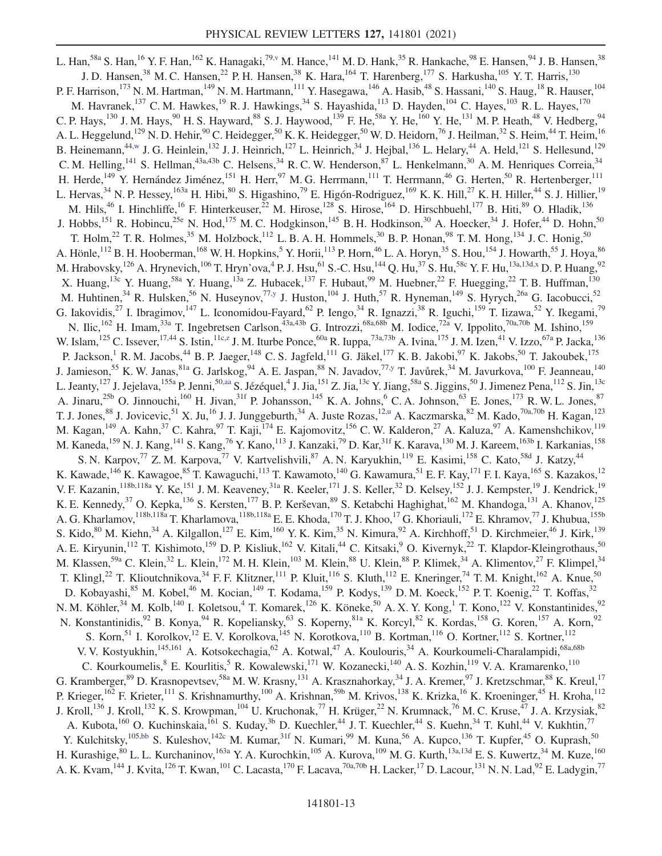<span id="page-13-6"></span><span id="page-13-5"></span><span id="page-13-4"></span><span id="page-13-3"></span><span id="page-13-2"></span><span id="page-13-1"></span><span id="page-13-0"></span>L. Han,<sup>58a</sup> S. Han,<sup>16</sup> Y. F. Han,<sup>162</sup> K. Hanagaki,<sup>7[9,v](#page-22-21)</sup> M. Hance,<sup>141</sup> M. D. Hank,<sup>35</sup> R. Hankache,<sup>98</sup> E. Hansen,<sup>94</sup> J. B. Hansen,<sup>38</sup> J. D. Hansen,<sup>38</sup> M. C. Hansen,<sup>22</sup> P. H. Hansen,<sup>38</sup> K. Hara,<sup>164</sup> T. Harenberg,<sup>177</sup> S. Harkusha,<sup>105</sup> Y. T. Harris,<sup>130</sup> P. F. Harrison,<sup>173</sup> N. M. Hartman,<sup>149</sup> N. M. Hartmann,<sup>111</sup> Y. Hasegawa,<sup>146</sup> A. Hasib,<sup>48</sup> S. Hassani,<sup>140</sup> S. Haug,<sup>18</sup> R. Hauser,<sup>104</sup> M. Havranek,<sup>137</sup> C. M. Hawkes,<sup>19</sup> R. J. Hawkings,<sup>34</sup> S. Hayashida,<sup>113</sup> D. Hayden,<sup>104</sup> C. Hayes,<sup>103</sup> R. L. Hayes,<sup>170</sup> C. P. Hays,<sup>130</sup> J. M. Hays,<sup>90</sup> H. S. Hayward,<sup>88</sup> S. J. Haywood,<sup>139</sup> F. He,<sup>58a</sup> Y. He,<sup>160</sup> Y. He,<sup>131</sup> M. P. Heath,<sup>48</sup> V. Hedberg,<sup>94</sup> A. L. Heggelund,<sup>129</sup> N. D. Hehir,<sup>90</sup> C. Heidegger,<sup>50</sup> K. K. Heidegger,<sup>50</sup> W. D. Heidorn,<sup>76</sup> J. Heilman,<sup>32</sup> S. Heim,<sup>44</sup> T. Heim,<sup>16</sup> B. Heinemann,<sup>4[4,w](#page-22-22)</sup> J. G. Heinlein,<sup>132</sup> J. J. Heinrich,<sup>127</sup> L. Heinrich,<sup>34</sup> J. Hejbal,<sup>136</sup> L. Helary,<sup>44</sup> A. Held,<sup>121</sup> S. Hellesund,<sup>129</sup> C. M. Helling,  $^{141}$  S. Hellman,  $^{43a,43b}$  C. Helsens,  $^{34}$  R. C. W. Henderson,  $^{87}$  L. Henkelmann,  $^{30}$  A. M. Henriques Correia,  $^{34}$ H. Herde,<sup>149</sup> Y. Hernández Jiménez,<sup>151</sup> H. Herr,<sup>97</sup> M. G. Herrmann,<sup>111</sup> T. Herrmann,<sup>46</sup> G. Herten,<sup>50</sup> R. Hertenberger,<sup>111</sup> L. Hervas,<sup>34</sup> N. P. Hessey,<sup>163a</sup> H. Hibi,<sup>80</sup> S. Higashino,<sup>79</sup> E. Higón-Rodriguez,<sup>169</sup> K. K. Hill,<sup>27</sup> K. H. Hiller,<sup>44</sup> S. J. Hillier,<sup>19</sup> M. Hils,<sup>46</sup> I. Hinchliffe,<sup>16</sup> F. Hinterkeuser,<sup>22</sup> M. Hirose,<sup>128</sup> S. Hirose,<sup>164</sup> D. Hirschbuehl,<sup>177</sup> B. Hiti,<sup>89</sup> O. Hladik,<sup>136</sup> J. Hobbs,<sup>151</sup> R. Hobincu,<sup>25e</sup> N. Hod,<sup>175</sup> M. C. Hodgkinson,<sup>145</sup> B. H. Hodkinson,<sup>30</sup> A. Hoecker,<sup>34</sup> J. Hofer,<sup>44</sup> D. Hohn,<sup>50</sup> T. Holm,<sup>22</sup> T. R. Holmes,<sup>35</sup> M. Holzbock,<sup>112</sup> L. B. A. H. Hommels,<sup>30</sup> B. P. Honan,<sup>98</sup> T. M. Hong,<sup>134</sup> J. C. Honig,<sup>50</sup> A. Hönle,<sup>112</sup> B. H. Hooberman,<sup>168</sup> W. H. Hopkins,<sup>5</sup> Y. Horii,<sup>113</sup> P. Horn,<sup>46</sup> L. A. Horyn,<sup>35</sup> S. Hou,<sup>154</sup> J. Howarth,<sup>55</sup> J. Hoya,<sup>86</sup> M. Hrabovsky,  $^{126}$  A. Hrynevich,  $^{106}$  T. Hryn'ova,  $^4$  P. J. Hsu,  $^{61}$  S.-C. Hsu,  $^{144}$  Q. Hu,  $^{37}$  S. Hu,  $^{58c}$  Y. F. Hu,  $^{13a,13d,x}$  $^{13a,13d,x}$  $^{13a,13d,x}$  D. P. Huang,  $^{92}$ X. Huang,<sup>13c</sup> Y. Huang,<sup>58a</sup> Y. Huang,<sup>13a</sup> Z. Hubacek,<sup>137</sup> F. Hubaut,<sup>99</sup> M. Huebner,<sup>22</sup> F. Huegging,<sup>22</sup> T. B. Huffman,<sup>130</sup> M. Huhtinen,<sup>34</sup> R. Hulsken,<sup>56</sup> N. Huseynov,<sup>77[,y](#page-22-24)</sup> J. Huston,<sup>104</sup> J. Huth,<sup>57</sup> R. Hyneman,<sup>149</sup> S. Hyrych,<sup>26a</sup> G. Iacobucci,<sup>52</sup> G. Iakovidis,<sup>27</sup> I. Ibragimov,<sup>147</sup> L. Iconomidou-Fayard,<sup>62</sup> P. Iengo,<sup>34</sup> R. Ignazzi,<sup>38</sup> R. Iguchi,<sup>159</sup> T. Iizawa,<sup>52</sup> Y. Ikegami,<sup>79</sup> N. Ilic,<sup>162</sup> H. Imam,<sup>33a</sup> T. Ingebretsen Carlson,<sup>43a,43b</sup> G. Introzzi,<sup>68a,68b</sup> M. Iodice,<sup>72a</sup> V. Ippolito,<sup>70a,70b</sup> M. Ishino,<sup>159</sup> W. Islam,  $^{125}$  C. Issever,  $^{17,44}$  S. Istin,  $^{11c,z}$  $^{11c,z}$  $^{11c,z}$  J. M. Iturbe Ponce,  $^{60a}$  R. Iuppa,  $^{73a,73b}$  A. Ivina,  $^{175}$  J. M. Izen,  $^{41}$  V. Izzo,  $^{67a}$  P. Jacka,  $^{136}$ P. Jackson,<sup>1</sup> R. M. Jacobs,<sup>44</sup> B. P. Jaeger,<sup>148</sup> C. S. Jagfeld,<sup>111</sup> G. Jäkel,<sup>177</sup> K. B. Jakobi,<sup>97</sup> K. Jakobs,<sup>50</sup> T. Jakoubek,<sup>175</sup> J. Jamieson,<sup>55</sup> K. W. Janas,<sup>81a</sup> G. Jarlskog,<sup>94</sup> A. E. Jaspan,<sup>88</sup> N. Javadov,<sup>77[,y](#page-22-24)</sup> T. Javůrek,<sup>34</sup> M. Javurkova,<sup>100</sup> F. Jeanneau,<sup>140</sup> L. Jeanty,  $^{127}$  J. Jejelava,  $^{155a}$  P. Jenni,  $^{50,aa}$  $^{50,aa}$  $^{50,aa}$  S. Jézéquel, $^4$  J. Jia,  $^{151}$  Z. Jia,  $^{13c}$  Y. Jiang,  $^{58a}$  S. Jiggins,  $^{50}$  J. Jimenez Pena,  $^{112}$  S. Jin,  $^{13c}$ A. Jinaru,<sup>25b</sup> O. Jinnouchi,<sup>160</sup> H. Jivan,<sup>31f</sup> P. Johansson,<sup>145</sup> K. A. Johns,<sup>6</sup> C. A. Johnson,<sup>63</sup> E. Jones,<sup>173</sup> R. W. L. Jones,<sup>87</sup> T. J. Jones,<sup>88</sup> J. Jovicevic,<sup>51</sup> X. Ju,<sup>16</sup> J. J. Junggeburth,<sup>34</sup> A. Juste Rozas,<sup>12[,u](#page-22-20)</sup> A. Kaczmarska,<sup>82</sup> M. Kado,<sup>70a,70b</sup> H. Kagan,<sup>123</sup> M. Kagan,<sup>149</sup> A. Kahn,<sup>37</sup> C. Kahra,<sup>97</sup> T. Kaji,<sup>174</sup> E. Kajomovitz,<sup>156</sup> C.W. Kalderon,<sup>27</sup> A. Kaluza,<sup>97</sup> A. Kamenshchikov,<sup>119</sup> M. Kaneda, <sup>159</sup> N. J. Kang, <sup>141</sup> S. Kang, <sup>76</sup> Y. Kano, <sup>113</sup> J. Kanzaki, <sup>79</sup> D. Kar, <sup>31f</sup> K. Karava, <sup>130</sup> M. J. Kareem, <sup>163b</sup> I. Karkanias, <sup>158</sup> S. N. Karpov,<sup>77</sup> Z. M. Karpova,<sup>77</sup> V. Kartvelishvili,<sup>87</sup> A. N. Karyukhin,<sup>119</sup> E. Kasimi,<sup>158</sup> C. Kato,<sup>58d</sup> J. Katzy,<sup>44</sup> K. Kawade, <sup>146</sup> K. Kawagoe, <sup>85</sup> T. Kawaguchi, <sup>113</sup> T. Kawamoto, <sup>140</sup> G. Kawamura, <sup>51</sup> E. F. Kay, <sup>171</sup> F. I. Kaya, <sup>165</sup> S. Kazakos, <sup>12</sup> V. F. Kazanin, <sup>118b,118a</sup> Y. Ke,<sup>151</sup> J. M. Keaveney, <sup>31a</sup> R. Keeler, <sup>171</sup> J. S. Keller, <sup>32</sup> D. Kelsey, <sup>152</sup> J. J. Kempster, <sup>19</sup> J. Kendrick, <sup>19</sup> K. E. Kennedy,<sup>37</sup> O. Kepka,<sup>136</sup> S. Kersten,<sup>177</sup> B. P. Kerševan,<sup>89</sup> S. Ketabchi Haghighat,<sup>162</sup> M. Khandoga,<sup>131</sup> A. Khanov,<sup>125</sup> A. G. Kharlamov,<sup>118b,118a</sup> T. Kharlamova,<sup>118b,118a</sup> E. E. Khoda,<sup>170</sup> T. J. Khoo,<sup>17</sup> G. Khoriauli,<sup>172</sup> E. Khramov,<sup>77</sup> J. Khubua,<sup>155b</sup> S. Kido,<sup>80</sup> M. Kiehn,<sup>34</sup> A. Kilgallon,<sup>127</sup> E. Kim,<sup>160</sup> Y. K. Kim,<sup>35</sup> N. Kimura,<sup>92</sup> A. Kirchhoff,<sup>51</sup> D. Kirchmeier,<sup>46</sup> J. Kirk,<sup>139</sup> A. E. Kiryunin,<sup>112</sup> T. Kishimoto,<sup>159</sup> D. P. Kisliuk,<sup>162</sup> V. Kitali,<sup>44</sup> C. Kitsaki,<sup>9</sup> O. Kivernyk,<sup>22</sup> T. Klapdor-Kleingrothaus,<sup>50</sup> M. Klassen,<sup>59a</sup> C. Klein,<sup>32</sup> L. Klein,<sup>172</sup> M. H. Klein,<sup>103</sup> M. Klein,<sup>88</sup> U. Klein,<sup>88</sup> P. Klimek,<sup>34</sup> A. Klimentov,<sup>27</sup> F. Klimpel,<sup>34</sup> T. Klingl,<sup>22</sup> T. Klioutchnikova,<sup>34</sup> F. F. Klitzner,<sup>111</sup> P. Kluit,<sup>116</sup> S. Kluth,<sup>112</sup> E. Kneringer,<sup>74</sup> T. M. Knight,<sup>162</sup> A. Knue,<sup>50</sup> D. Kobayashi,<sup>85</sup> M. Kobel,<sup>46</sup> M. Kocian,<sup>149</sup> T. Kodama,<sup>159</sup> P. Kodys,<sup>139</sup> D. M. Koeck,<sup>152</sup> P. T. Koenig,<sup>22</sup> T. Koffas,<sup>32</sup> N. M. Köhler,<sup>34</sup> M. Kolb,<sup>140</sup> I. Koletsou,<sup>4</sup> T. Komarek,<sup>126</sup> K. Köneke,<sup>50</sup> A. X. Y. Kong,<sup>1</sup> T. Kono,<sup>122</sup> V. Konstantinides,<sup>92</sup> N. Konstantinidis, <sup>92</sup> B. Konya, <sup>94</sup> R. Kopeliansky, <sup>63</sup> S. Koperny, <sup>81a</sup> K. Korcyl, <sup>82</sup> K. Kordas, <sup>158</sup> G. Koren, <sup>157</sup> A. Korn, <sup>92</sup> S. Korn,<sup>51</sup> I. Korolkov,<sup>12</sup> E. V. Korolkova,<sup>145</sup> N. Korotkova,<sup>110</sup> B. Kortman,<sup>116</sup> O. Kortner,<sup>112</sup> S. Kortner,<sup>112</sup> V. V. Kostyukhin, <sup>145,161</sup> A. Kotsokechagia, <sup>62</sup> A. Kotwal, <sup>47</sup> A. Koulouris, <sup>34</sup> A. Kourkoumeli-Charalampidi, <sup>68a, 68b</sup> C. Kourkoumelis, <sup>8</sup> E. Kourlitis, <sup>5</sup> R. Kowalewski, <sup>171</sup> W. Kozanecki, <sup>140</sup> A. S. Kozhin, <sup>119</sup> V. A. Kramarenko, <sup>110</sup> G. Kramberger,<sup>89</sup> D. Krasnopevtsev,<sup>58a</sup> M. W. Krasny,<sup>131</sup> A. Krasznahorkay,<sup>34</sup> J. A. Kremer,<sup>97</sup> J. Kretzschmar,<sup>88</sup> K. Kreul,<sup>17</sup> P. Krieger,<sup>162</sup> F. Krieter,<sup>111</sup> S. Krishnamurthy,<sup>100</sup> A. Krishnan,<sup>59b</sup> M. Krivos,<sup>138</sup> K. Krizka,<sup>16</sup> K. Kroeninger,<sup>45</sup> H. Kroha,<sup>112</sup> J. Kroll,<sup>136</sup> J. Kroll,<sup>132</sup> K. S. Krowpman,<sup>104</sup> U. Kruchonak,<sup>77</sup> H. Krüger,<sup>22</sup> N. Krumnack,<sup>76</sup> M. C. Kruse,<sup>47</sup> J. A. Krzysiak,<sup>82</sup> A. Kubota,<sup>160</sup> O. Kuchinskaia,<sup>161</sup> S. Kuday,<sup>3b</sup> D. Kuechler,<sup>44</sup> J. T. Kuechler,<sup>44</sup> S. Kuehn,<sup>34</sup> T. Kuhl,<sup>44</sup> V. Kukhtin,<sup>77</sup> Y. Kulchitsky,<sup>105[,bb](#page-22-27)</sup> S. Kuleshov,<sup>142c</sup> M. Kumar,<sup>31f</sup> N. Kumari,<sup>99</sup> M. Kuna,<sup>56</sup> A. Kupco,<sup>136</sup> T. Kupfer,<sup>45</sup> O. Kuprash,<sup>50</sup> H. Kurashige, <sup>80</sup> L. L. Kurchaninov, <sup>163a</sup> Y. A. Kurochkin, <sup>105</sup> A. Kurova, <sup>109</sup> M. G. Kurth, <sup>13a, 13d</sup> E. S. Kuwertz, <sup>34</sup> M. Kuze, <sup>160</sup> A. K. Kvam, <sup>144</sup> J. Kvita, <sup>126</sup> T. Kwan, <sup>101</sup> C. Lacasta, <sup>170</sup> F. Lacava, <sup>70a, 70b</sup> H. Lacker, <sup>17</sup> D. Lacour, <sup>131</sup> N. N. Lad, <sup>92</sup> E. Ladygin, <sup>77</sup>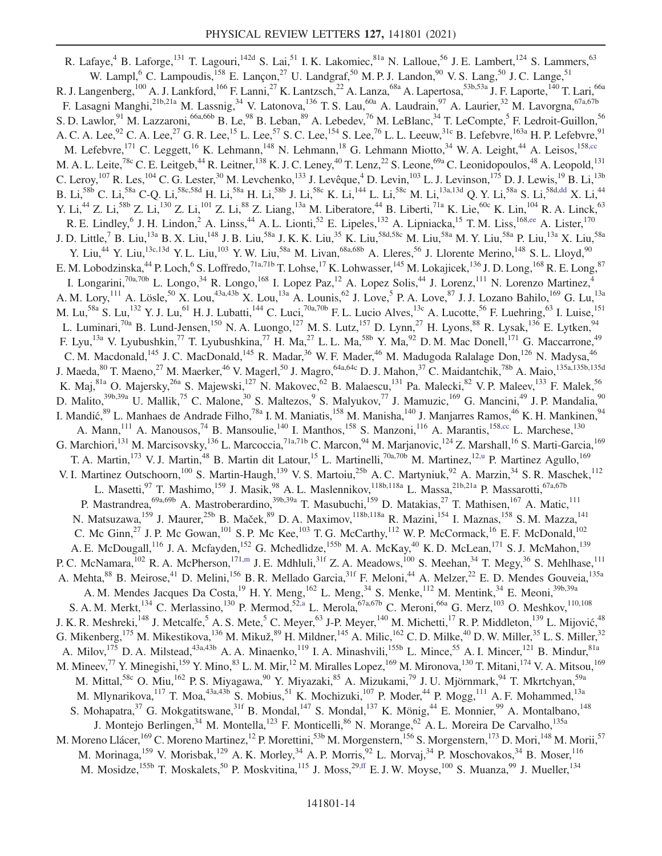<span id="page-14-3"></span><span id="page-14-2"></span><span id="page-14-1"></span><span id="page-14-0"></span>R. Lafaye,<sup>4</sup> B. Laforge,<sup>131</sup> T. Lagouri,<sup>142d</sup> S. Lai,<sup>51</sup> I. K. Lakomiec,<sup>81a</sup> N. Lalloue,<sup>56</sup> J. E. Lambert,<sup>124</sup> S. Lammers,<sup>63</sup> W. Lampl,<sup>6</sup> C. Lampoudis, <sup>158</sup> E. Lançon, 27 U. Landgraf, <sup>50</sup> M. P. J. Landon, <sup>90</sup> V. S. Lang, <sup>50</sup> J. C. Lange, <sup>51</sup> R. J. Langenberg,<sup>100</sup> A. J. Lankford,<sup>166</sup> F. Lanni,<sup>27</sup> K. Lantzsch,<sup>22</sup> A. Lanza,<sup>68a</sup> A. Lapertosa,<sup>53b,53a</sup> J. F. Laporte,<sup>140</sup> T. Lari,<sup>66a</sup> F. Lasagni Manghi,<sup>21b,21a</sup> M. Lassnig,<sup>34</sup> V. Latonova,<sup>136</sup> T. S. Lau,<sup>60a</sup> A. Laudrain,<sup>97</sup> A. Laurier,<sup>32</sup> M. Lavorgna,<sup>67a,67b</sup> S. D. Lawlor, <sup>91</sup> M. Lazzaroni, <sup>66a,66b</sup> B. Le, <sup>98</sup> B. Leban, <sup>89</sup> A. Lebedev, <sup>76</sup> M. LeBlanc, <sup>34</sup> T. LeCompte, <sup>5</sup> F. Ledroit-Guillon, <sup>56</sup> A. C. A. Lee, $^{92}$  C. A. Lee, $^{27}$  G. R. Lee, $^{15}$  L. Lee, $^{57}$  S. C. Lee, $^{154}$  S. Lee, $^{76}$  L. L. Leeuw, $^{31c}$  B. Lefebvre, $^{163a}$  H. P. Lefebvre, $^{91}$ M. Lefebvre,<sup>171</sup> C. Leggett,<sup>16</sup> K. Lehmann,<sup>148</sup> N. Lehmann,<sup>18</sup> G. Lehmann Miotto,<sup>34</sup> W. A. Leight,<sup>44</sup> A. Leisos,<sup>158[,cc](#page-22-28)</sup> M. A. L. Leite,<sup>78c</sup> C. E. Leitgeb,<sup>44</sup> R. Leitner,<sup>138</sup> K. J. C. Leney,<sup>40</sup> T. Lenz,<sup>22</sup> S. Leone,<sup>69a</sup> C. Leonidopoulos,<sup>48</sup> A. Leopold,<sup>131</sup> C. Leroy,  $^{107}$  R. Les,  $^{104}$  C. G. Lester,  $^{30}$  M. Levchenko,  $^{133}$  J. Levêque,  $^{4}$  D. Levin,  $^{103}$  L. J. Levinson,  $^{175}$  D. J. Lewis,  $^{19}$  B. Li,  $^{13b}$ B. Li, $^{58\text{b}}$  C. Li, $^{58\text{a}}$  C-Q. Li, $^{58\text{c},58\text{d}}$  H. Li, $^{58\text{a}}$  H. Li, $^{58\text{b}}$  J. Li, $^{58\text{c}}$  K. Li, $^{144}$  L. Li, $^{58\text{c}}$  M. Li, $^{13\text{a},13\text{d}}$  Q. Y. Li, $^{58\text{a}}$  S. Li, $^{58\text{d},\text{dd}}$  X. Li, $^{44}$ Y. Li,<sup>44</sup> Z. Li,<sup>58b</sup> Z. Li,<sup>130</sup> Z. Li,<sup>101</sup> Z. Li,<sup>88</sup> Z. Liang,<sup>13a</sup> M. Liberatore,<sup>44</sup> B. Liberti,<sup>71a</sup> K. Lie,<sup>60c</sup> K. Lin,<sup>104</sup> R. A. Linck,<sup>63</sup> R. E. Lindley, <sup>6</sup> J. H. Lindon, <sup>2</sup> A. Linss, <sup>44</sup> A. L. Lionti, <sup>52</sup> E. Lipeles, <sup>132</sup> A. Lipniacka, <sup>15</sup> T. M. Liss, <sup>16[8,ee](#page-22-30)</sup> A. Lister, <sup>170</sup> J. D. Little,<sup>7</sup> B. Liu,<sup>13a</sup> B. X. Liu,<sup>148</sup> J. B. Liu,<sup>58a</sup> J. K. K. Liu,<sup>35</sup> K. Liu,<sup>58d,58c</sup> M. Liu,<sup>58a</sup> M. Y. Liu,<sup>58a</sup> P. Liu,<sup>13a</sup> X. Liu,<sup>58a</sup> Y. Liu,<sup>44</sup> Y. Liu,<sup>13c,13d</sup> Y. L. Liu,<sup>103</sup> Y. W. Liu,<sup>58a</sup> M. Livan,<sup>68a,68b</sup> A. Lleres,<sup>56</sup> J. Llorente Merino,<sup>148</sup> S. L. Lloyd,<sup>90</sup> E. M. Lobodzinska,  $^{44}$  P. Loch,  $^6$  S. Loffredo,  $^{71a,71b}$  T. Lohse,  $^{17}$  K. Lohwasser,  $^{145}$  M. Lokajicek,  $^{136}$  J. D. Long,  $^{168}$  R. E. Long,  $^{87}$ I. Longarini,<sup>70a,70b</sup> L. Longo,<sup>34</sup> R. Longo,<sup>168</sup> I. Lopez Paz,<sup>12</sup> A. Lopez Solis,<sup>44</sup> J. Lorenz,<sup>111</sup> N. Lorenzo Martinez,<sup>4</sup> A. M. Lory,<sup>111</sup> A. Lösle,<sup>50</sup> X. Lou,<sup>43a,43b</sup> X. Lou,<sup>13a</sup> A. Lounis,<sup>62</sup> J. Love,<sup>5</sup> P. A. Love,<sup>87</sup> J. J. Lozano Bahilo,<sup>169</sup> G. Lu,<sup>13a</sup> M. Lu,<sup>58a</sup> S. Lu,<sup>132</sup> Y. J. Lu,<sup>61</sup> H. J. Lubatti,<sup>144</sup> C. Luci,<sup>70a,70b</sup> F. L. Lucio Alves,<sup>13c</sup> A. Lucotte,<sup>56</sup> F. Luehring,<sup>63</sup> I. Luise,<sup>151</sup> L. Luminari,<sup>70a</sup> B. Lund-Jensen,<sup>150</sup> N. A. Luongo,<sup>127</sup> M. S. Lutz,<sup>157</sup> D. Lynn,<sup>27</sup> H. Lyons,<sup>88</sup> R. Lysak,<sup>136</sup> E. Lytken,<sup>94</sup> F. Lyu,<sup>13a</sup> V. Lyubushkin,<sup>77</sup> T. Lyubushkina,<sup>77</sup> H. Ma,<sup>27</sup> L. L. Ma,<sup>58b</sup> Y. Ma,<sup>92</sup> D. M. Mac Donell,<sup>171</sup> G. Maccarrone,<sup>49</sup> C. M. Macdonald,<sup>145</sup> J. C. MacDonald,<sup>145</sup> R. Madar,<sup>36</sup> W. F. Mader,<sup>46</sup> M. Madugoda Ralalage Don,<sup>126</sup> N. Madysa,<sup>46</sup> J. Maeda,<sup>80</sup> T. Maeno,<sup>27</sup> M. Maerker,<sup>46</sup> V. Magerl,<sup>50</sup> J. Magro,<sup>64a,64c</sup> D. J. Mahon,<sup>37</sup> C. Maidantchik,<sup>78b</sup> A. Maio,<sup>135a,135b,135d</sup> K. Maj,<sup>81a</sup> O. Majersky,<sup>26a</sup> S. Majewski,<sup>127</sup> N. Makovec,<sup>62</sup> B. Malaescu,<sup>131</sup> Pa. Malecki,<sup>82</sup> V. P. Maleev,<sup>133</sup> F. Malek,<sup>56</sup> D. Malito,<sup>39b,39a</sup> U. Mallik,<sup>75</sup> C. Malone,<sup>30</sup> S. Maltezos,<sup>9</sup> S. Malyukov,<sup>77</sup> J. Mamuzic,<sup>169</sup> G. Mancini,<sup>49</sup> J. P. Mandalia,<sup>90</sup> I. Mandić, <sup>89</sup> L. Manhaes de Andrade Filho, <sup>78a</sup> I. M. Maniatis, <sup>158</sup> M. Manisha, <sup>140</sup> J. Manjarres Ramos, <sup>46</sup> K. H. Mankinen, <sup>94</sup> A. Mann,<sup>111</sup> A. Manousos,<sup>74</sup> B. Mansoulie,<sup>140</sup> I. Manthos,<sup>158</sup> S. Manzoni,<sup>116</sup> A. Marantis,<sup>15[8,cc](#page-22-28)</sup> L. Marchese,<sup>130</sup> G. Marchiori,<sup>131</sup> M. Marcisovsky,<sup>136</sup> L. Marcoccia,<sup>71a,71b</sup> C. Marcon,<sup>94</sup> M. Marjanovic,<sup>124</sup> Z. Marshall,<sup>16</sup> S. Marti-Garcia,<sup>169</sup> T. A. Martin,<sup>173</sup> V. J. Martin,<sup>48</sup> B. Martin dit Latour,<sup>15</sup> L. Martinelli,<sup>70a,70b</sup> M. Martinez,<sup>1[2,u](#page-22-20)</sup> P. Martinez Agullo,<sup>169</sup> V. I. Martinez Outschoorn,<sup>100</sup> S. Martin-Haugh,<sup>139</sup> V. S. Martoiu,<sup>25b</sup> A. C. Martyniuk,<sup>92</sup> A. Marzin,<sup>34</sup> S. R. Maschek,<sup>112</sup> L. Masetti,<sup>97</sup> T. Mashimo,<sup>159</sup> J. Masik,<sup>98</sup> A. L. Maslennikov,<sup>118b,118a</sup> L. Massa,<sup>21b,21a</sup> P. Massarotti,<sup>67a,67b</sup> P. Mastrandrea,<sup>69a,69b</sup> A. Mastroberardino,<sup>39b,39a</sup> T. Masubuchi,<sup>159</sup> D. Matakias,<sup>27</sup> T. Mathisen,<sup>167</sup> A. Matic,<sup>111</sup> N. Matsuzawa,<sup>159</sup> J. Maurer,<sup>25b</sup> B. Maček,<sup>89</sup> D. A. Maximov,<sup>118b,118a</sup> R. Mazini,<sup>154</sup> I. Maznas,<sup>158</sup> S. M. Mazza,<sup>141</sup> C. Mc Ginn,<sup>27</sup> J. P. Mc Gowan,<sup>101</sup> S. P. Mc Kee,<sup>103</sup> T. G. McCarthy,<sup>112</sup> W. P. McCormack,<sup>16</sup> E. F. McDonald,<sup>102</sup> A. E. McDougall,<sup>116</sup> J. A. Mcfayden,<sup>152</sup> G. Mchedlidze,<sup>155b</sup> M. A. McKay,<sup>40</sup> K. D. McLean,<sup>171</sup> S. J. McMahon,<sup>139</sup> P. C. McNamara,  $^{102}$  R. A. McPherson,  $^{171,m}$  $^{171,m}$  $^{171,m}$  J. E. Mdhluli,  $^{31f}$  Z. A. Meadows,  $^{100}$  S. Meehan,  $^{34}$  T. Megy,  $^{36}$  S. Mehlhase,  $^{111}$ A. Mehta,<sup>88</sup> B. Meirose,<sup>41</sup> D. Melini,<sup>156</sup> B. R. Mellado Garcia,<sup>31f</sup> F. Meloni,<sup>44</sup> A. Melzer,<sup>22</sup> E. D. Mendes Gouveia,<sup>135a</sup> A. M. Mendes Jacques Da Costa,<sup>19</sup> H. Y. Meng,<sup>162</sup> L. Meng,<sup>34</sup> S. Menke,<sup>112</sup> M. Mentink,<sup>34</sup> E. Meoni,<sup>39b,39a</sup> S. A. M. Merkt,<sup>134</sup> C. Merlassino,<sup>130</sup> P. Mermod,<sup>5[2,a](#page-22-4)</sup> L. Merola,<sup>67a,67b</sup> C. Meroni,<sup>66a</sup> G. Merz,<sup>103</sup> O. Meshkov,<sup>110,108</sup> J. K. R. Meshreki, <sup>148</sup> J. Metcalfe, <sup>5</sup> A. S. Mete, <sup>5</sup> C. Meyer, <sup>63</sup> J-P. Meyer, <sup>140</sup> M. Michetti, <sup>17</sup> R. P. Middleton, <sup>139</sup> L. Mijović, <sup>48</sup> G. Mikenberg, <sup>175</sup> M. Mikestikova, <sup>136</sup> M. Mikuž, <sup>89</sup> H. Mildner, <sup>145</sup> A. Milic, <sup>162</sup> C. D. Milke, <sup>40</sup> D. W. Miller, <sup>35</sup> L. S. Miller, <sup>32</sup> A. Milov,<sup>175</sup> D. A. Milstead,<sup>43a,43b</sup> A. A. Minaenko,<sup>119</sup> I. A. Minashvili,<sup>155b</sup> L. Mince,<sup>55</sup> A. I. Mincer,<sup>121</sup> B. Mindur,<sup>81a</sup> M. Mineev,<sup>77</sup> Y. Minegishi,<sup>159</sup> Y. Mino,<sup>83</sup> L. M. Mir,<sup>12</sup> M. Miralles Lopez,<sup>169</sup> M. Mironova,<sup>130</sup> T. Mitani,<sup>174</sup> V. A. Mitsou,<sup>169</sup> M. Mittal,<sup>58c</sup> O. Miu,<sup>162</sup> P. S. Miyagawa,<sup>90</sup> Y. Miyazaki,<sup>85</sup> A. Mizukami,<sup>79</sup> J. U. Mjörnmark,<sup>94</sup> T. Mkrtchyan,<sup>59a</sup> M. Mlynarikova,<sup>117</sup> T. Moa,<sup>43a,43b</sup> S. Mobius,<sup>51</sup> K. Mochizuki,<sup>107</sup> P. Moder,<sup>44</sup> P. Mogg,<sup>111</sup> A. F. Mohammed,<sup>13a</sup> S. Mohapatra,<sup>37</sup> G. Mokgatitswane,<sup>31f</sup> B. Mondal,<sup>147</sup> S. Mondal,<sup>137</sup> K. Mönig,<sup>44</sup> E. Monnier,<sup>99</sup> A. Montalbano,<sup>148</sup> J. Montejo Berlingen,<sup>34</sup> M. Montella,<sup>123</sup> F. Monticelli,<sup>86</sup> N. Morange,<sup>62</sup> A. L. Moreira De Carvalho,<sup>135a</sup> M. Moreno Llácer, <sup>169</sup> C. Moreno Martinez, <sup>12</sup> P. Morettini, <sup>53b</sup> M. Morgenstern, <sup>156</sup> S. Morgenstern, <sup>173</sup> D. Mori, <sup>148</sup> M. Morii, <sup>57</sup> M. Morinaga, <sup>159</sup> V. Morisbak, <sup>129</sup> A. K. Morley, <sup>34</sup> A. P. Morris, <sup>92</sup> L. Morvaj, <sup>34</sup> P. Moschovakos, <sup>34</sup> B. Moser, <sup>116</sup> M. Mosidze,<sup>155b</sup> T. Moskalets,<sup>50</sup> P. Moskvitina,<sup>115</sup> J. Moss,<sup>2[9,ff](#page-22-31)</sup> E. J. W. Moyse,<sup>100</sup> S. Muanza,<sup>99</sup> J. Mueller,<sup>134</sup>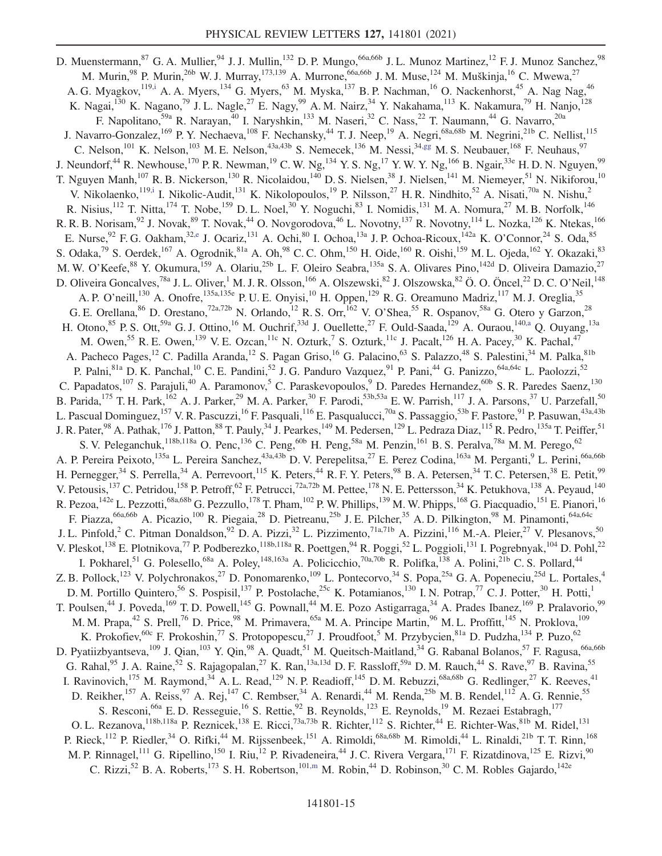<span id="page-15-0"></span>D. Muenstermann,<sup>87</sup> G. A. Mullier,<sup>94</sup> J. J. Mullin,<sup>132</sup> D. P. Mungo,<sup>66a,66b</sup> J. L. Munoz Martinez,<sup>12</sup> F. J. Munoz Sanchez,<sup>98</sup> M. Murin,<sup>98</sup> P. Murin,<sup>26b</sup> W. J. Murray,<sup>173,139</sup> A. Murrone,<sup>66a,66b</sup> J. M. Muse,<sup>124</sup> M. Muškinja,<sup>16</sup> C. Mwewa,<sup>27</sup> A. G. Myagkov,<sup>119[,i](#page-22-8)</sup> A. A. Myers,<sup>134</sup> G. Myers,<sup>63</sup> M. Myska,<sup>137</sup> B. P. Nachman,<sup>16</sup> O. Nackenhorst,<sup>45</sup> A. Nag Nag,<sup>46</sup> K. Nagai,<sup>130</sup> K. Nagano,<sup>79</sup> J. L. Nagle,<sup>27</sup> E. Nagy,<sup>99</sup> A. M. Nairz,<sup>34</sup> Y. Nakahama,<sup>113</sup> K. Nakamura,<sup>79</sup> H. Nanjo,<sup>128</sup> F. Napolitano,<sup>59a</sup> R. Narayan,<sup>40</sup> I. Naryshkin,<sup>133</sup> M. Naseri,<sup>32</sup> C. Nass,<sup>22</sup> T. Naumann,<sup>44</sup> G. Navarro,<sup>20a</sup> J. Navarro-Gonzalez,<sup>169</sup> P. Y. Nechaeva,<sup>108</sup> F. Nechansky,<sup>44</sup> T. J. Neep,<sup>19</sup> A. Negri,<sup>68a,68b</sup> M. Negrini,<sup>21b</sup> C. Nellist,<sup>115</sup> C. Nelson,<sup>101</sup> K. Nelson,<sup>103</sup> M. E. Nelson,<sup>43a,43b</sup> S. Nemecek,<sup>136</sup> M. Nessi,<sup>3[4,gg](#page-22-32)</sup> M. S. Neubauer,<sup>168</sup> F. Neuhaus,<sup>97</sup> J. Neundorf,<sup>44</sup> R. Newhouse,<sup>170</sup> P. R. Newman,<sup>19</sup> C. W. Ng,<sup>134</sup> Y. S. Ng,<sup>17</sup> Y. W. Y. Ng,<sup>166</sup> B. Ngair,<sup>33e</sup> H. D. N. Nguyen,<sup>99</sup> T. Nguyen Manh,<sup>107</sup> R. B. Nickerson,<sup>130</sup> R. Nicolaidou,<sup>140</sup> D. S. Nielsen,<sup>38</sup> J. Nielsen,<sup>141</sup> M. Niemeyer,<sup>51</sup> N. Nikiforou,<sup>10</sup> V. Nikolaenko,  $^{119,i}$  $^{119,i}$  $^{119,i}$  I. Nikolic-Audit,  $^{131}$  K. Nikolopoulos,  $^{19}$  P. Nilsson,  $^{27}$  H. R. Nindhito,  $^{52}$  A. Nisati,  $^{70a}$  N. Nishu,  $^{2}$ R. Nisius,<sup>112</sup> T. Nitta,<sup>174</sup> T. Nobe,<sup>159</sup> D. L. Noel,<sup>30</sup> Y. Noguchi,<sup>83</sup> I. Nomidis,<sup>131</sup> M. A. Nomura,<sup>27</sup> M. B. Norfolk,<sup>146</sup> R. R. B. Norisam,<sup>92</sup> J. Novak,<sup>89</sup> T. Novak,<sup>44</sup> O. Novgorodova,<sup>46</sup> L. Novotny,<sup>137</sup> R. Novotny,<sup>114</sup> L. Nozka,<sup>126</sup> K. Ntekas,<sup>166</sup> E. Nurse,  $92$  F. G. Oakham,  $32,$ e J. Ocariz,  $131$  A. Ochi,  $80$  I. Ochoa,  $13a$  J. P. Ochoa-Ricoux,  $142a$  K. O'Connor,  $24$  S. Oda,  $85$ S. Odaka,<sup>79</sup> S. Oerdek,<sup>167</sup> A. Ogrodnik,<sup>81a</sup> A. Oh,<sup>98</sup> C. C. Ohm,<sup>150</sup> H. Oide,<sup>160</sup> R. Oishi,<sup>159</sup> M. L. Ojeda,<sup>162</sup> Y. Okazaki,<sup>83</sup> M. W. O'Keefe,<sup>88</sup> Y. Okumura,<sup>159</sup> A. Olariu,<sup>25b</sup> L. F. Oleiro Seabra,<sup>135a</sup> S. A. Olivares Pino,<sup>142d</sup> D. Oliveira Damazio,<sup>27</sup> D. Oliveira Goncalves,<sup>78a</sup> J. L. Oliver,<sup>1</sup> M. J. R. Olsson,<sup>166</sup> A. Olszewski,<sup>82</sup> J. Olszowska,<sup>82</sup> Ö. O. Öncel,<sup>22</sup> D. C. O'Neil,<sup>148</sup> A. P. O'neill,<sup>130</sup> A. Onofre,<sup>135a,135e</sup> P. U. E. Onyisi,<sup>10</sup> H. Oppen,<sup>129</sup> R. G. Oreamuno Madriz,<sup>117</sup> M. J. Oreglia,<sup>35</sup> G. E. Orellana,  $^{86}$  D. Orestano,  $^{72a,72b}$  N. Orlando,  $^{12}$  R. S. Orr,  $^{162}$  V. O'Shea,  $^{55}$  R. Ospanov,  $^{58a}$  G. Otero y Garzon,  $^{28}$ H. Otono,  $^{85}$  P. S. Ott,  $^{59a}$  G. J. Ottino,  $^{16}$  M. Ouchrif,  $^{33d}$  J. Ouellette,  $^{27}$  F. Ould-Saada,  $^{129}$  A. Ouraou,  $^{140,a}$  $^{140,a}$  $^{140,a}$  Q. Ouyang,  $^{13a}$ M. Owen,<sup>55</sup> R. E. Owen,<sup>139</sup> V. E. Ozcan,<sup>11c</sup> N. Ozturk,<sup>7</sup> S. Ozturk,<sup>11c</sup> J. Pacalt,<sup>126</sup> H. A. Pacey,<sup>30</sup> K. Pachal,<sup>47</sup> A. Pacheco Pages,<sup>12</sup> C. Padilla Aranda,<sup>12</sup> S. Pagan Griso,<sup>16</sup> G. Palacino,<sup>63</sup> S. Palazzo,<sup>48</sup> S. Palestini,<sup>34</sup> M. Palka,<sup>81b</sup> P. Palni,<sup>81a</sup> D. K. Panchal,<sup>10</sup> C. E. Pandini,<sup>52</sup> J. G. Panduro Vazquez,<sup>91</sup> P. Pani,<sup>44</sup> G. Panizzo,<sup>64a,64c</sup> L. Paolozzi,<sup>52</sup> C. Papadatos,<sup>107</sup> S. Parajuli,<sup>40</sup> A. Paramonov,<sup>5</sup> C. Paraskevopoulos,<sup>9</sup> D. Paredes Hernandez,<sup>60b</sup> S. R. Paredes Saenz,<sup>130</sup> B. Parida, <sup>175</sup> T. H. Park, <sup>162</sup> A. J. Parker, <sup>29</sup> M. A. Parker, <sup>30</sup> F. Parodi, <sup>53b, 53a</sup> E. W. Parrish, <sup>117</sup> J. A. Parsons, <sup>37</sup> U. Parzefall, <sup>50</sup> L. Pascual Dominguez,<sup>157</sup> V. R. Pascuzzi,<sup>16</sup> F. Pasquali,<sup>116</sup> E. Pasqualucci,<sup>70a</sup> S. Passaggio,<sup>53b</sup> F. Pastore,<sup>91</sup> P. Pasuwan,<sup>43a,43b</sup> J. R. Pater,<sup>98</sup> A. Pathak,<sup>176</sup> J. Patton,<sup>88</sup> T. Pauly,<sup>34</sup> J. Pearkes,<sup>149</sup> M. Pedersen,<sup>129</sup> L. Pedraza Diaz,<sup>115</sup> R. Pedro,<sup>135a</sup> T. Peiffer,<sup>51</sup> S. V. Peleganchuk,  $^{118b,118a}$  O. Penc,  $^{136}$  C. Peng,  $^{60b}$  H. Peng,  $^{58a}$  M. Penzin,  $^{161}$  B. S. Peralva,  $^{78a}$  M. M. Perego,  $^{62}$ A. P. Pereira Peixoto,<sup>135a</sup> L. Pereira Sanchez,<sup>43a,43b</sup> D. V. Perepelitsa,<sup>27</sup> E. Perez Codina,<sup>163a</sup> M. Perganti,<sup>9</sup> L. Perini,<sup>66a,66b</sup> H. Pernegger,<sup>34</sup> S. Perrella,<sup>34</sup> A. Perrevoort,<sup>115</sup> K. Peters,<sup>44</sup> R. F. Y. Peters,<sup>98</sup> B. A. Petersen,<sup>34</sup> T. C. Petersen,<sup>38</sup> E. Petit,<sup>99</sup> V. Petousis,  $^{137}$  C. Petridou,  $^{158}$  P. Petroff,  $^{62}$  F. Petrucci,  $^{72a,72b}$  M. Pettee,  $^{178}$  N. E. Pettersson,  $^{34}$  K. Petukhova,  $^{138}$  A. Peyaud,  $^{140}$ R. Pezoa, <sup>142e</sup> L. Pezzotti,<sup>68a,68b</sup> G. Pezzullo,<sup>178</sup> T. Pham, <sup>102</sup> P. W. Phillips, <sup>139</sup> M. W. Phipps, <sup>168</sup> G. Piacquadio, <sup>151</sup> E. Pianori, <sup>16</sup> F. Piazza,<sup>66a,66b</sup> A. Picazio,<sup>100</sup> R. Piegaia,<sup>28</sup> D. Pietreanu,<sup>25b</sup> J. E. Pilcher,<sup>35</sup> A. D. Pilkington,<sup>98</sup> M. Pinamonti,<sup>64a,64c</sup> J. L. Pinfold,<sup>2</sup> C. Pitman Donaldson,<sup>92</sup> D. A. Pizzi,<sup>32</sup> L. Pizzimento,<sup>71a,71b</sup> A. Pizzini,<sup>116</sup> M.-A. Pleier,<sup>27</sup> V. Plesanovs,<sup>50</sup> V. Pleskot,<sup>138</sup> E. Plotnikova,<sup>77</sup> P. Podberezko,<sup>118b,118a</sup> R. Poettgen,<sup>94</sup> R. Poggi,<sup>52</sup> L. Poggioli,<sup>131</sup> I. Pogrebnyak,<sup>104</sup> D. Pohl,<sup>22</sup> I. Pokharel,<sup>51</sup> G. Polesello,<sup>68a</sup> A. Poley,<sup>148,163a</sup> A. Policicchio,<sup>70a,70b</sup> R. Polifka,<sup>138</sup> A. Polini,<sup>21b</sup> C. S. Pollard,<sup>44</sup> Z. B. Pollock,<sup>123</sup> V. Polychronakos,<sup>27</sup> D. Ponomarenko,<sup>109</sup> L. Pontecorvo,<sup>34</sup> S. Popa,<sup>25a</sup> G. A. Popeneciu,<sup>25d</sup> L. Portales,<sup>4</sup> D. M. Portillo Quintero,<sup>56</sup> S. Pospisil,<sup>137</sup> P. Postolache,<sup>25c</sup> K. Potamianos,<sup>130</sup> I. N. Potrap,<sup>77</sup> C. J. Potter,<sup>30</sup> H. Potti,<sup>1</sup> T. Poulsen,<sup>44</sup> J. Poveda,<sup>169</sup> T. D. Powell,<sup>145</sup> G. Pownall,<sup>44</sup> M. E. Pozo Astigarraga,<sup>34</sup> A. Prades Ibanez,<sup>169</sup> P. Pralavorio,<sup>99</sup> M. M. Prapa,<sup>42</sup> S. Prell,<sup>76</sup> D. Price,<sup>98</sup> M. Primavera,<sup>65a</sup> M. A. Principe Martin,<sup>96</sup> M. L. Proffitt,<sup>145</sup> N. Proklova,<sup>109</sup> K. Prokofiev,<sup>60c</sup> F. Prokoshin,<sup>77</sup> S. Protopopescu,<sup>27</sup> J. Proudfoot,<sup>5</sup> M. Przybycien,<sup>81a</sup> D. Pudzha,<sup>134</sup> P. Puzo,<sup>62</sup> D. Pyatiizbyantseva,<sup>109</sup> J. Qian,<sup>103</sup> Y. Qin,<sup>98</sup> A. Quadt,<sup>51</sup> M. Queitsch-Maitland,<sup>34</sup> G. Rabanal Bolanos,<sup>57</sup> F. Ragusa,<sup>66a,66b</sup> G. Rahal,  $95$  J. A. Raine,  $52$  S. Rajagopalan,  $27$  K. Ran,  $13a,13d$  D. F. Rassloff,  $59a$  D. M. Rauch,  $44$  S. Rave,  $97$  B. Ravina,  $55$ I. Ravinovich,<sup>175</sup> M. Raymond,<sup>34</sup> A. L. Read,<sup>129</sup> N. P. Readioff,<sup>145</sup> D. M. Rebuzzi,<sup>68a,68b</sup> G. Redlinger,<sup>27</sup> K. Reeves,<sup>41</sup> D. Reikher,<sup>157</sup> A. Reiss,<sup>97</sup> A. Rej,<sup>147</sup> C. Rembser,<sup>34</sup> A. Renardi,<sup>44</sup> M. Renda,<sup>25b</sup> M. B. Rendel,<sup>112</sup> A. G. Rennie,<sup>55</sup> S. Resconi,<sup>66a</sup> E. D. Resseguie,<sup>16</sup> S. Rettie,<sup>92</sup> B. Reynolds,<sup>123</sup> E. Reynolds,<sup>19</sup> M. Rezaei Estabragh,<sup>177</sup> O. L. Rezanova,  $^{118b,118a}$  P. Reznicek,  $^{138}$  E. Ricci,  $^{73a,73b}$  R. Richter,  $^{112}$  S. Richter,  $^{44}$  E. Richter-Was,  $^{81b}$  M. Ridel,  $^{131}$ P. Rieck,<sup>112</sup> P. Riedler,<sup>34</sup> O. Rifki,<sup>44</sup> M. Rijssenbeek,<sup>151</sup> A. Rimoldi,<sup>68a,68b</sup> M. Rimoldi,<sup>44</sup> L. Rinaldi,<sup>21b</sup> T. T. Rinn,<sup>168</sup> M. P. Rinnagel,<sup>111</sup> G. Ripellino,<sup>150</sup> I. Riu,<sup>12</sup> P. Rivadeneira,<sup>44</sup> J. C. Rivera Vergara,<sup>171</sup> F. Rizatdinova,<sup>125</sup> E. Rizvi,<sup>90</sup> C. Rizzi,<sup>52</sup> B. A. Roberts,<sup>173</sup> S. H. Robertson,<sup>101[,m](#page-22-12)</sup> M. Robin,<sup>44</sup> D. Robinson,<sup>30</sup> C. M. Robles Gajardo,<sup>142e</sup>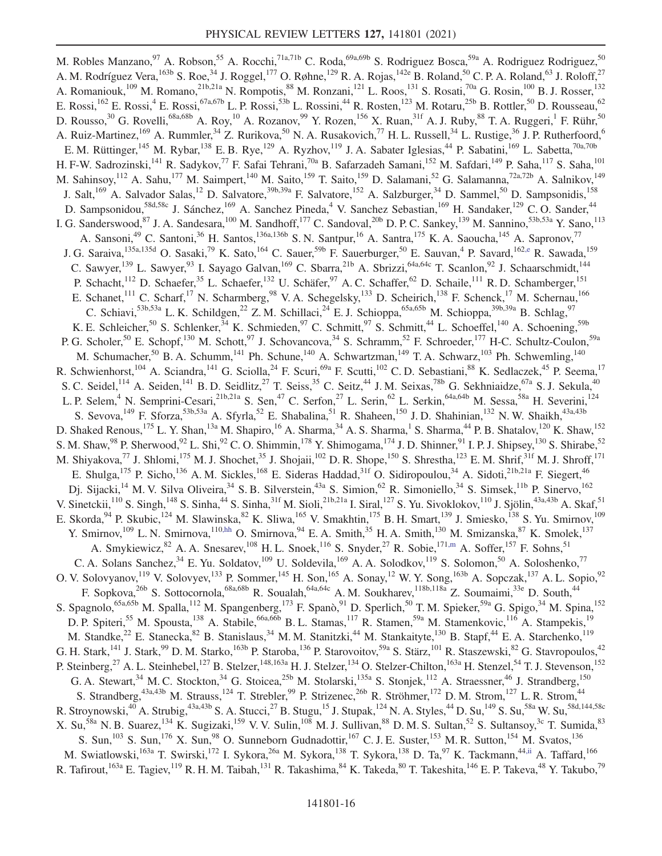<span id="page-16-1"></span><span id="page-16-0"></span>M. Robles Manzano,<sup>97</sup> A. Robson,<sup>55</sup> A. Rocchi,<sup>71a,71b</sup> C. Roda,<sup>69a,69b</sup> S. Rodriguez Bosca,<sup>59a</sup> A. Rodriguez Rodriguez,<sup>50</sup> A. M. Rodríguez Vera, <sup>163b</sup> S. Roe,<sup>34</sup> J. Roggel,<sup>177</sup> O. Røhne, <sup>129</sup> R. A. Rojas, <sup>142e</sup> B. Roland, <sup>50</sup> C. P. A. Roland, <sup>63</sup> J. Roloff, <sup>27</sup> A. Romaniouk,<sup>109</sup> M. Romano,<sup>21b,21a</sup> N. Rompotis,<sup>88</sup> M. Ronzani,<sup>121</sup> L. Roos,<sup>131</sup> S. Rosati,<sup>70a</sup> G. Rosin,<sup>100</sup> B. J. Rosser,<sup>132</sup> E. Rossi,<sup>162</sup> E. Rossi,<sup>4</sup> E. Rossi,<sup>67a,67b</sup> L. P. Rossi,<sup>53b</sup> L. Rossini,<sup>44</sup> R. Rosten,<sup>123</sup> M. Rotaru,<sup>25b</sup> B. Rottler,<sup>50</sup> D. Rousseau,<sup>62</sup> D. Rousso,<sup>30</sup> G. Rovelli,<sup>68a,68b</sup> A. Roy,<sup>10</sup> A. Rozanov,<sup>99</sup> Y. Rozen,<sup>156</sup> X. Ruan,<sup>31f</sup> A. J. Ruby,<sup>88</sup> T. A. Ruggeri,<sup>1</sup> F. Rühr,<sup>50</sup> A. Ruiz-Martinez,<sup>169</sup> A. Rummler,<sup>34</sup> Z. Rurikova,<sup>50</sup> N. A. Rusakovich,<sup>77</sup> H. L. Russell,<sup>34</sup> L. Rustige,<sup>36</sup> J. P. Rutherfoord,<sup>6</sup> E. M. Rüttinger,<sup>145</sup> M. Rybar,<sup>138</sup> E. B. Rye,<sup>129</sup> A. Ryzhov,<sup>119</sup> J. A. Sabater Iglesias,<sup>44</sup> P. Sabatini,<sup>169</sup> L. Sabetta,<sup>70a,70b</sup> H. F-W. Sadrozinski,<sup>141</sup> R. Sadykov,<sup>77</sup> F. Safai Tehrani,<sup>70a</sup> B. Safarzadeh Samani,<sup>152</sup> M. Safdari,<sup>149</sup> P. Saha,<sup>117</sup> S. Saha,<sup>101</sup> M. Sahinsoy, 112 A. Sahu, 177 M. Saimpert, <sup>140</sup> M. Saito, <sup>159</sup> T. Saito, <sup>159</sup> D. Salamani, <sup>52</sup> G. Salamanna, <sup>72a, 72b</sup> A. Salnikov, <sup>149</sup> J. Salt,<sup>169</sup> A. Salvador Salas,<sup>12</sup> D. Salvatore,<sup>39b,39a</sup> F. Salvatore,<sup>152</sup> A. Salzburger,<sup>34</sup> D. Sammel,<sup>50</sup> D. Sampsonidis,<sup>158</sup> D. Sampsonidou,<sup>58d,58c</sup> J. Sánchez,<sup>169</sup> A. Sanchez Pineda,<sup>4</sup> V. Sanchez Sebastian,<sup>169</sup> H. Sandaker,<sup>129</sup> C. O. Sander,<sup>44</sup> I. G. Sanderswood, <sup>87</sup> J. A. Sandesara, <sup>100</sup> M. Sandhoff, <sup>177</sup> C. Sandoval, <sup>20b</sup> D. P. C. Sankey, <sup>139</sup> M. Sannino, <sup>53b, 53a</sup> Y. Sano, <sup>113</sup> A. Sansoni,<sup>49</sup> C. Santoni,<sup>36</sup> H. Santos,<sup>136a,136b</sup> S. N. Santpur,<sup>16</sup> A. Santra,<sup>175</sup> K. A. Saoucha,<sup>145</sup> A. Sapronov,<sup>77</sup> J. G. Saraiva,<sup>135a,135d</sup> O. Sasaki,<sup>79</sup> K. Sato,<sup>164</sup> C. Sauer,<sup>59b</sup> F. Sauerburger,<sup>50</sup> E. Sauvan,<sup>4</sup> P. Savard,<sup>162[,e](#page-22-3)</sup> R. Sawada,<sup>159</sup> C. Sawyer,<sup>139</sup> L. Sawyer,<sup>93</sup> I. Sayago Galvan,<sup>169</sup> C. Sbarra,<sup>21b</sup> A. Sbrizzi,<sup>64a,64c</sup> T. Scanlon,<sup>92</sup> J. Schaarschmidt,<sup>144</sup> P. Schacht,<sup>112</sup> D. Schaefer,<sup>35</sup> L. Schaefer,<sup>132</sup> U. Schäfer,<sup>97</sup> A. C. Schaffer,<sup>62</sup> D. Schaile,<sup>111</sup> R. D. Schamberger,<sup>151</sup> E. Schanet,<sup>111</sup> C. Scharf,<sup>17</sup> N. Scharmberg,<sup>98</sup> V. A. Schegelsky,<sup>133</sup> D. Scheirich,<sup>138</sup> F. Schenck,<sup>17</sup> M. Schernau,<sup>166</sup> C. Schiavi,<sup>53b,53a</sup> L. K. Schildgen,<sup>22</sup> Z. M. Schillaci,<sup>24</sup> E. J. Schioppa,<sup>65a,65b</sup> M. Schioppa,<sup>39b,39a</sup> B. Schlag,<sup>97</sup> K. E. Schleicher,<sup>50</sup> S. Schlenker,<sup>34</sup> K. Schmieden,<sup>97</sup> C. Schmitt,<sup>97</sup> S. Schmitt,<sup>44</sup> L. Schoeffel,<sup>140</sup> A. Schoening,<sup>59b</sup> P. G. Scholer,<sup>50</sup> E. Schopf,<sup>130</sup> M. Schott,<sup>97</sup> J. Schovancova,<sup>34</sup> S. Schramm,<sup>52</sup> F. Schroeder,<sup>177</sup> H-C. Schultz-Coulon,<sup>59a</sup> M. Schumacher,<sup>50</sup> B. A. Schumm,<sup>141</sup> Ph. Schune,<sup>140</sup> A. Schwartzman,<sup>149</sup> T. A. Schwarz,<sup>103</sup> Ph. Schwemling,<sup>140</sup> R. Schwienhorst,<sup>104</sup> A. Sciandra,<sup>141</sup> G. Sciolla,<sup>24</sup> F. Scuri,<sup>69a</sup> F. Scutti,<sup>102</sup> C. D. Sebastiani,<sup>88</sup> K. Sedlaczek,<sup>45</sup> P. Seema,<sup>17</sup> S. C. Seidel,<sup>114</sup> A. Seiden,<sup>141</sup> B. D. Seidlitz,<sup>27</sup> T. Seiss,<sup>35</sup> C. Seitz,<sup>44</sup> J. M. Seixas,<sup>78b</sup> G. Sekhniaidze,<sup>67a</sup> S. J. Sekula,<sup>40</sup> L. P. Selem,<sup>4</sup> N. Semprini-Cesari,<sup>21b,21a</sup> S. Sen,<sup>47</sup> C. Serfon,<sup>27</sup> L. Serin,<sup>62</sup> L. Serkin,<sup>64a,64b</sup> M. Sessa,<sup>58a</sup> H. Severini,<sup>124</sup> S. Sevova,<sup>149</sup> F. Sforza,<sup>53b,53a</sup> A. Sfyrla,<sup>52</sup> E. Shabalina,<sup>51</sup> R. Shaheen,<sup>150</sup> J.D. Shahinian,<sup>132</sup> N.W. Shaikh,<sup>43a,43b</sup> D. Shaked Renous,  $^{175}$  L. Y. Shan,  $^{13a}$  M. Shapiro,  $^{16}$  A. Sharma,  $^{34}$  A. S. Sharma,  $^{1}$  S. Sharma,  $^{44}$  P. B. Shatalov,  $^{120}$  K. Shaw,  $^{152}$ S. M. Shaw,  $98$  P. Sherwood,  $92$  L. Shi,  $92$  C. O. Shimmin,  $178$  Y. Shimogama,  $174$  J. D. Shinner,  $91$  I. P. J. Shipsey,  $130$  S. Shirabe,  $52$ M. Shiyakova,<sup>77</sup> J. Shlomi,<sup>175</sup> M. J. Shochet,<sup>35</sup> J. Shojaii,<sup>102</sup> D. R. Shope,<sup>150</sup> S. Shrestha,<sup>123</sup> E. M. Shrif,<sup>31f</sup> M. J. Shroff,<sup>171</sup> E. Shulga,<sup>175</sup> P. Sicho,<sup>136</sup> A. M. Sickles,<sup>168</sup> E. Sideras Haddad,<sup>31f</sup> O. Sidiropoulou,<sup>34</sup> A. Sidoti,<sup>21b,21a</sup> F. Siegert,<sup>46</sup> Dj. Sijacki,<sup>14</sup> M. V. Silva Oliveira,<sup>34</sup> S. B. Silverstein,<sup>43a</sup> S. Simion,<sup>62</sup> R. Simoniello,<sup>34</sup> S. Simsek,<sup>11b</sup> P. Sinervo,<sup>162</sup> V. Sinetckii,  $^{110}$  S. Singh,  $^{148}$  S. Sinha,  $^{44}$  S. Sinha,  $^{31f}$  M. Sioli,  $^{21b,21a}$  I. Siral,  $^{127}$  S. Yu. Sivoklokov,  $^{110}$  J. Sjölin,  $^{43a,43b}$  A. Skaf,  $^{51}$ E. Skorda, <sup>94</sup> P. Skubic, <sup>124</sup> M. Slawinska, <sup>82</sup> K. Sliwa, <sup>165</sup> V. Smakhtin, <sup>175</sup> B. H. Smart, <sup>139</sup> J. Smiesko, <sup>138</sup> S. Yu. Smirnov, <sup>109</sup> Y. Smirnov,<sup>109</sup> L. N. Smirnova,<sup>110[,hh](#page-22-33)</sup> O. Smirnova,<sup>94</sup> E. A. Smith,<sup>35</sup> H. A. Smith,<sup>130</sup> M. Smizanska,<sup>87</sup> K. Smolek,<sup>137</sup> A. Smykiewicz,  $82$  A. A. Snesarev,  $108$  H. L. Snoek,  $116$  S. Snyder,  $27$  R. Sobie,  $171$ [,m](#page-22-12) A. Soffer,  $157$  F. Sohns,  $51$ C. A. Solans Sanchez,  $34$  E. Yu. Soldatov,  $109$  U. Soldevila,  $169$  A. A. Solodkov,  $119$  S. Solomon,  $50$  A. Soloshenko,  $77$ O. V. Solovyanov,<sup>119</sup> V. Solovyev,<sup>133</sup> P. Sommer,<sup>145</sup> H. Son,<sup>165</sup> A. Sonay,<sup>12</sup> W. Y. Song,<sup>163b</sup> A. Sopczak,<sup>137</sup> A. L. Sopio,<sup>92</sup> F. Sopkova,<sup>26b</sup> S. Sottocornola,<sup>68a,68b</sup> R. Soualah,<sup>64a,64c</sup> A. M. Soukharev,<sup>118b,118a</sup> Z. Soumaimi,<sup>33e</sup> D. South,<sup>44</sup> S. Spagnolo,<sup>65a,65b</sup> M. Spalla,<sup>112</sup> M. Spangenberg,<sup>173</sup> F. Spanò,<sup>91</sup> D. Sperlich,<sup>50</sup> T. M. Spieker,<sup>59a</sup> G. Spigo,<sup>34</sup> M. Spina,<sup>152</sup> D. P. Spiteri,<sup>55</sup> M. Spousta,<sup>138</sup> A. Stabile,<sup>66a,66b</sup> B. L. Stamas,<sup>117</sup> R. Stamen,<sup>59a</sup> M. Stamenkovic,<sup>116</sup> A. Stampekis,<sup>19</sup> M. Standke,<sup>22</sup> E. Stanecka,<sup>82</sup> B. Stanislaus,<sup>34</sup> M. M. Stanitzki,<sup>44</sup> M. Stankaityte,<sup>130</sup> B. Stapf,<sup>44</sup> E. A. Starchenko,<sup>119</sup> G. H. Stark,<sup>141</sup> J. Stark,<sup>99</sup> D. M. Starko,<sup>163b</sup> P. Staroba,<sup>136</sup> P. Starovoitov,<sup>59a</sup> S. Stärz,<sup>101</sup> R. Staszewski,<sup>82</sup> G. Stavropoulos,<sup>42</sup> P. Steinberg,<sup>27</sup> A. L. Steinhebel,<sup>127</sup> B. Stelzer,<sup>148,163a</sup> H. J. Stelzer,<sup>134</sup> O. Stelzer-Chilton,<sup>163a</sup> H. Stenzel,<sup>54</sup> T. J. Stevenson,<sup>152</sup> G. A. Stewart,  $34$  M. C. Stockton,  $34$  G. Stoicea,  $25b$  M. Stolarski,  $135a$  S. Stonjek,  $112$  A. Straessner,  $46$  J. Strandberg,  $150$ S. Strandberg,<sup>43a,43b</sup> M. Strauss,<sup>124</sup> T. Strebler,<sup>99</sup> P. Strizenec,<sup>26b</sup> R. Ströhmer,<sup>172</sup> D. M. Strom,<sup>127</sup> L. R. Strom,<sup>44</sup> R. Stroynowski, $^{40}$  A. Strubig, $^{43a,43b S. A. Stucci, $^{27}$  B. Stugu, $^{15}$  J. Stupak, $^{124}$  N. A. Styles, $^{44}$  D. Su, $^{149}$  S. Su, $^{58a}$  W. Su, $^{58d,144,58c}$$ X. Su,<sup>58a</sup> N. B. Suarez,<sup>134</sup> K. Sugizaki,<sup>159</sup> V. V. Sulin,<sup>108</sup> M. J. Sullivan,<sup>88</sup> D. M. S. Sultan,<sup>52</sup> S. Sultansoy,<sup>3c</sup> T. Sumida,<sup>83</sup> S. Sun,<sup>103</sup> S. Sun,<sup>176</sup> X. Sun,<sup>98</sup> O. Sunneborn Gudnadottir,<sup>167</sup> C. J. E. Suster,<sup>153</sup> M. R. Sutton,<sup>154</sup> M. Svatos,<sup>136</sup> M. Swiatlowski,<sup>163a</sup> T. Swirski,<sup>172</sup> I. Sykora,<sup>26a</sup> M. Sykora,<sup>138</sup> T. Sykora,<sup>138</sup> D. Ta,<sup>97</sup> K. Tackmann,<sup>4[4,ii](#page-23-0)</sup> A. Taffard,<sup>166</sup> R. Tafirout, $^{163a}$  E. Tagiev, $^{119}$  R. H. M. Taibah, $^{131}$  R. Takashima, $^{84}$  K. Takeda, $^{80}$  T. Takeshita, $^{146}$  E. P. Takeva, $^{48}$  Y. Takubo, $^{79}$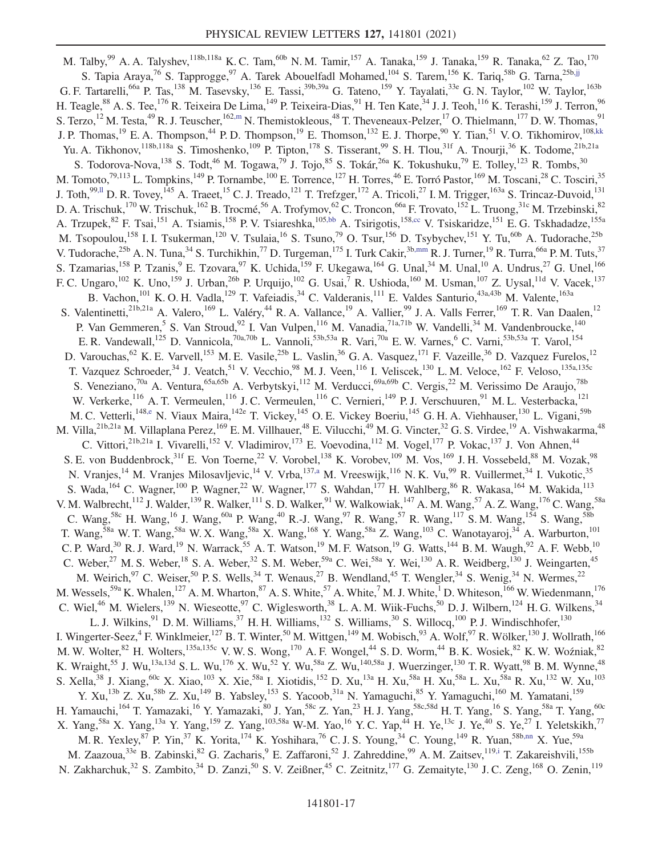<span id="page-17-4"></span><span id="page-17-3"></span><span id="page-17-2"></span><span id="page-17-1"></span><span id="page-17-0"></span>M. Talby,<sup>99</sup> A. A. Talyshev,<sup>118b,118a</sup> K. C. Tam,<sup>60b</sup> N. M. Tamir,<sup>157</sup> A. Tanaka,<sup>159</sup> J. Tanaka,<sup>159</sup> R. Tanaka,<sup>62</sup> Z. Tao,<sup>170</sup> S. Tapia Araya,<sup>76</sup> S. Tapprogge,<sup>97</sup> A. Tarek Abouelfadl Mohamed,<sup>104</sup> S. Tarem,<sup>156</sup> K. Tariq,<sup>58b</sup> G. Tarna,<sup>25b[,jj](#page-23-1)</sup> G. F. Tartarelli,<sup>66a</sup> P. Tas,<sup>138</sup> M. Tasevsky,<sup>136</sup> E. Tassi,<sup>39b,39a</sup> G. Tateno,<sup>159</sup> Y. Tayalati,<sup>33e</sup> G. N. Taylor,<sup>102</sup> W. Taylor,<sup>163b</sup> H. Teagle, $^{88}$  A. S. Tee,  $^{176}$  R. Teixeira De Lima, $^{149}$  P. Teixeira-Dias, $^{91}$  H. Ten Kate, $^{34}$  J. J. Teoh, $^{116}$  K. Terashi, $^{159}$  J. Terron, $^{96}$ S. Terzo,<sup>12</sup> M. Testa,<sup>49</sup> R. J. Teuscher,<sup>16[2,m](#page-22-12)</sup> N. Themistokleous,<sup>48</sup> T. Theveneaux-Pelzer,<sup>17</sup> O. Thielmann,<sup>177</sup> D. W. Thomas,<sup>91</sup> J. P. Thomas,<sup>19</sup> E. A. Thompson,<sup>44</sup> P. D. Thompson,<sup>19</sup> E. Thomson,<sup>132</sup> E. J. Thorpe,<sup>90</sup> Y. Tian,<sup>51</sup> V. O. Tikhomirov,<sup>10[8,kk](#page-23-2)</sup> Yu. A. Tikhonov, <sup>118b,118a</sup> S. Timoshenko, <sup>109</sup> P. Tipton, <sup>178</sup> S. Tisserant, <sup>99</sup> S. H. Tlou, <sup>31f</sup> A. Tnourji, <sup>36</sup> K. Todome, <sup>21b,21a</sup> S. Todorova-Nova,  $^{138}$  S. Todt,  $^{46}$  M. Togawa,  $^{79}$  J. Tojo,  $^{85}$  S. Tokár,  $^{26a}$  K. Tokushuku,  $^{79}$  E. Tolley,  $^{123}$  R. Tombs,  $^{30}$ M. Tomoto, $^{79,113}$  L. Tompkins, $^{149}$  P. Tornambe, $^{100}$  E. Torrence, $^{127}$  H. Torres, $^{46}$  E. Torró Pastor, $^{169}$  M. Toscani, $^{28}$  C. Tosciri, $^{35}$ J. Toth,<sup>9[9,ll](#page-23-3)</sup> D. R. Tovey,<sup>145</sup> A. Traeet,<sup>15</sup> C. J. Treado,<sup>121</sup> T. Trefzger,<sup>172</sup> A. Tricoli,<sup>27</sup> I. M. Trigger,<sup>163a</sup> S. Trincaz-Duvoid,<sup>131</sup> D. A. Trischuk,<sup>170</sup> W. Trischuk,<sup>162</sup> B. Trocmé,<sup>56</sup> A. Trofymov,<sup>62</sup> C. Troncon,<sup>66a</sup> F. Trovato,<sup>152</sup> L. Truong,<sup>31c</sup> M. Trzebinski,<sup>82</sup> A. Trzupek, <sup>82</sup> F. Tsai, <sup>151</sup> A. Tsiamis, <sup>158</sup> P. V. Tsiareshka, <sup>10[5,bb](#page-22-27)</sup> A. Tsirigotis, <sup>158[,cc](#page-22-28)</sup> V. Tsiskaridze, <sup>151</sup> E. G. Tskhadadze, <sup>155a</sup> M. Tsopoulou,<sup>158</sup> I. I. Tsukerman,<sup>120</sup> V. Tsulaia,<sup>16</sup> S. Tsuno,<sup>79</sup> O. Tsur,<sup>156</sup> D. Tsybychev,<sup>151</sup> Y. Tu,<sup>60b</sup> A. Tudorache,<sup>25b</sup> V. Tudorache, $^{25b}$  A. N. Tuna, $^{34}$  S. Turchikhin,<sup>77</sup> D. Turgeman, $^{175}$  I. Turk Cakir, $^{3b,mm}$  $^{3b,mm}$  $^{3b,mm}$  R. J. Turner, $^{19}$  R. Turra, $^{66a}$  P. M. Tuts, $^{37}$ S. Tzamarias,<sup>158</sup> P. Tzanis,<sup>9</sup> E. Tzovara,<sup>97</sup> K. Uchida,<sup>159</sup> F. Ukegawa,<sup>164</sup> G. Unal,<sup>34</sup> M. Unal,<sup>10</sup> A. Undrus,<sup>27</sup> G. Unel,<sup>166</sup> F. C. Ungaro,<sup>102</sup> K. Uno,<sup>159</sup> J. Urban,<sup>26b</sup> P. Urquijo,<sup>102</sup> G. Usai,<sup>7</sup> R. Ushioda,<sup>160</sup> M. Usman,<sup>107</sup> Z. Uysal,<sup>11d</sup> V. Vacek,<sup>137</sup> B. Vachon, <sup>101</sup> K. O. H. Vadla, <sup>129</sup> T. Vafeiadis, <sup>34</sup> C. Valderanis, <sup>111</sup> E. Valdes Santurio, <sup>43a, 43b</sup> M. Valente, <sup>163a</sup> S. Valentinetti,<sup>21b,21a</sup> A. Valero,<sup>169</sup> L. Valéry,<sup>44</sup> R. A. Vallance,<sup>19</sup> A. Vallier,<sup>99</sup> J. A. Valls Ferrer,<sup>169</sup> T. R. Van Daalen,<sup>12</sup> P. Van Gemmeren,<sup>5</sup> S. Van Stroud,<sup>92</sup> I. Van Vulpen,<sup>116</sup> M. Vanadia,<sup>71a,71b</sup> W. Vandelli,<sup>34</sup> M. Vandenbroucke,<sup>140</sup> E. R. Vandewall,<sup>125</sup> D. Vannicola,<sup>70a,70b</sup> L. Vannoli,<sup>53b,53a</sup> R. Vari,<sup>70a</sup> E. W. Varnes,<sup>6</sup> C. Varni,<sup>53b,53a</sup> T. Varol,<sup>154</sup> D. Varouchas, <sup>62</sup> K. E. Varvell, <sup>153</sup> M. E. Vasile, <sup>25b</sup> L. Vaslin, <sup>36</sup> G. A. Vasquez, <sup>171</sup> F. Vazeille, <sup>36</sup> D. Vazquez Furelos, <sup>12</sup> T. Vazquez Schroeder,<sup>34</sup> J. Veatch,<sup>51</sup> V. Vecchio,<sup>98</sup> M. J. Veen,<sup>116</sup> I. Veliscek,<sup>130</sup> L. M. Veloce,<sup>162</sup> F. Veloso,<sup>135a,135c</sup> S. Veneziano,<sup>70a</sup> A. Ventura,<sup>65a,65b</sup> A. Verbytskyi,<sup>112</sup> M. Verducci,<sup>69a,69b</sup> C. Vergis,<sup>22</sup> M. Verissimo De Araujo,<sup>78b</sup> W. Verkerke,<sup>116</sup> A. T. Vermeulen,<sup>116</sup> J. C. Vermeulen,<sup>116</sup> C. Vernieri,<sup>149</sup> P. J. Verschuuren,<sup>91</sup> M. L. Vesterbacka,<sup>121</sup> M. C. Vetterli,<sup>148[,e](#page-22-3)</sup> N. Viaux Maira,<sup>142e</sup> T. Vickey,<sup>145</sup> O. E. Vickey Boeriu,<sup>145</sup> G. H. A. Viehhauser,<sup>130</sup> L. Vigani,<sup>59b</sup> M. Villa,<sup>21b,21a</sup> M. Villaplana Perez,<sup>169</sup> E. M. Villhauer,<sup>48</sup> E. Vilucchi,<sup>49</sup> M. G. Vincter,<sup>32</sup> G. S. Virdee,<sup>19</sup> A. Vishwakarma,<sup>48</sup> C. Vittori,<sup>21b,21a</sup> I. Vivarelli,<sup>152</sup> V. Vladimirov,<sup>173</sup> E. Voevodina,<sup>112</sup> M. Vogel,<sup>177</sup> P. Vokac,<sup>137</sup> J. Von Ahnen,<sup>44</sup> S. E. von Buddenbrock,<sup>31f</sup> E. Von Toerne,<sup>22</sup> V. Vorobel,<sup>138</sup> K. Vorobev,<sup>109</sup> M. Vos,<sup>169</sup> J. H. Vossebeld,<sup>88</sup> M. Vozak,<sup>98</sup> N. Vranjes,<sup>14</sup> M. Vranjes Milosavljevic,<sup>14</sup> V. Vrba,<sup>137[,a](#page-22-4)</sup> M. Vreeswijk,<sup>116</sup> N. K. Vu,<sup>99</sup> R. Vuillermet,<sup>34</sup> I. Vukotic,<sup>35</sup> S. Wada,<sup>164</sup> C. Wagner,<sup>100</sup> P. Wagner,<sup>22</sup> W. Wagner,<sup>177</sup> S. Wahdan,<sup>177</sup> H. Wahlberg,<sup>86</sup> R. Wakasa,<sup>164</sup> M. Wakida,<sup>113</sup> V. M. Walbrecht,<sup>112</sup> J. Walder,<sup>139</sup> R. Walker,<sup>111</sup> S. D. Walker,<sup>91</sup> W. Walkowiak,<sup>147</sup> A. M. Wang,<sup>57</sup> A. Z. Wang,<sup>176</sup> C. Wang,<sup>58a</sup> C. Wang,<sup>58c</sup> H. Wang,<sup>16</sup> J. Wang,<sup>60a</sup> P. Wang,<sup>40</sup> R.-J. Wang,<sup>97</sup> R. Wang,<sup>57</sup> R. Wang,<sup>117</sup> S. M. Wang,<sup>154</sup> S. Wang,<sup>58b</sup> T. Wang,<sup>58a</sup> W. T. Wang,<sup>58a</sup> W. X. Wang,<sup>58a</sup> X. Wang,<sup>168</sup> Y. Wang,<sup>58a</sup> Z. Wang,<sup>103</sup> C. Wanotayaroj,<sup>34</sup> A. Warburton,<sup>101</sup> C. P. Ward,<sup>30</sup> R. J. Ward,<sup>19</sup> N. Warrack,<sup>55</sup> A. T. Watson,<sup>19</sup> M. F. Watson,<sup>19</sup> G. Watts,<sup>144</sup> B. M. Waugh,<sup>92</sup> A. F. Webb,<sup>10</sup> C. Weber,<sup>27</sup> M. S. Weber,<sup>18</sup> S. A. Weber,<sup>32</sup> S. M. Weber,<sup>59a</sup> C. Wei,<sup>58a</sup> Y. Wei,<sup>130</sup> A. R. Weidberg,<sup>130</sup> J. Weingarten,<sup>45</sup> M. Weirich,  $97$  C. Weiser,  $50$  P. S. Wells,  $34$  T. Wenaus,  $27$  B. Wendland,  $45$  T. Wengler,  $34$  S. Wenig,  $34$  N. Wermes,  $22$ M. Wessels,  $^{59a}$  K. Whalen,  $^{127}$  A. M. Wharton,  $^{87}$  A. S. White,  $^{57}$  A. White,  $^7$  M. J. White,  $^1$  D. Whiteson,  $^{166}$  W. Wiedenmann,  $^{176}$ C. Wiel,<sup>46</sup> M. Wielers,<sup>139</sup> N. Wieseotte,<sup>97</sup> C. Wiglesworth,<sup>38</sup> L. A. M. Wiik-Fuchs,<sup>50</sup> D. J. Wilbern,<sup>124</sup> H. G. Wilkens,<sup>34</sup> L. J. Wilkins,  $91$  D. M. Williams,  $37$  H. H. Williams,  $132$  S. Williams,  $30$  S. Willocq,  $100$  P. J. Windischhofer,  $130$ I. Wingerter-Seez,<sup>4</sup> F. Winklmeier,<sup>127</sup> B. T. Winter,<sup>50</sup> M. Wittgen,<sup>149</sup> M. Wobisch,<sup>93</sup> A. Wolf,<sup>97</sup> R. Wölker,<sup>130</sup> J. Wollrath,<sup>166</sup> M. W. Wolter, <sup>82</sup> H. Wolters, <sup>135a,135c</sup> V. W. S. Wong, <sup>170</sup> A. F. Wongel, <sup>44</sup> S. D. Worm, <sup>44</sup> B. K. Wosiek, <sup>82</sup> K. W. Woźniak, <sup>82</sup> K. Wraight,<sup>55</sup> J. Wu,<sup>13a,13d</sup> S. L. Wu,<sup>176</sup> X. Wu,<sup>52</sup> Y. Wu,<sup>58a</sup> Z. Wu,<sup>140,58a</sup> J. Wuerzinger,<sup>130</sup> T. R. Wyatt,<sup>98</sup> B. M. Wynne,<sup>48</sup> S. Xella,<sup>38</sup> J. Xiang,<sup>60c</sup> X. Xiao,<sup>103</sup> X. Xie,<sup>58a</sup> I. Xiotidis,<sup>152</sup> D. Xu,<sup>13a</sup> H. Xu,<sup>58a</sup> H. Xu,<sup>58a</sup> L. Xu,<sup>58a</sup> R. Xu,<sup>132</sup> W. Xu,<sup>103</sup> Y. Xu,<sup>13b</sup> Z. Xu,<sup>58b</sup> Z. Xu,<sup>149</sup> B. Yabsley,<sup>153</sup> S. Yacoob,<sup>31a</sup> N. Yamaguchi,<sup>85</sup> Y. Yamaguchi,<sup>160</sup> M. Yamatani,<sup>159</sup> H. Yamauchi,<sup>164</sup> T. Yamazaki,<sup>16</sup> Y. Yamazaki,<sup>80</sup> J. Yan,<sup>58c</sup> Z. Yan,<sup>23</sup> H. J. Yang,<sup>58c,58d</sup> H. T. Yang,<sup>16</sup> S. Yang,<sup>58a</sup> T. Yang,<sup>60c</sup> X. Yang,<sup>58a</sup> X. Yang,<sup>13a</sup> Y. Yang,<sup>159</sup> Z. Yang,<sup>103,58a</sup> W-M. Yao,<sup>16</sup> Y.C. Yap,<sup>44</sup> H. Ye,<sup>13c</sup> J. Ye,<sup>40</sup> S. Ye,<sup>27</sup> I. Yeletskikh,<sup>77</sup> M. R. Yexley, <sup>87</sup> P. Yin, <sup>37</sup> K. Yorita, <sup>174</sup> K. Yoshihara, <sup>76</sup> C. J. S. Young, <sup>34</sup> C. Young, <sup>149</sup> R. Yuan, <sup>58[b,nn](#page-23-5)</sup> X. Yue, <sup>59a</sup> M. Zaazoua,<sup>33e</sup> B. Zabinski,<sup>82</sup> G. Zacharis,<sup>9</sup> E. Zaffaroni,<sup>52</sup> J. Zahreddine,<sup>99</sup> A. M. Zaitsev,<sup>119[,i](#page-22-8)</sup> T. Zakareishvili,<sup>155b</sup> N. Zakharchuk,<sup>32</sup> S. Zambito,<sup>34</sup> D. Zanzi,<sup>50</sup> S. V. Zeißner,<sup>45</sup> C. Zeitnitz,<sup>177</sup> G. Zemaityte,<sup>130</sup> J. C. Zeng,<sup>168</sup> O. Zenin,<sup>119</sup>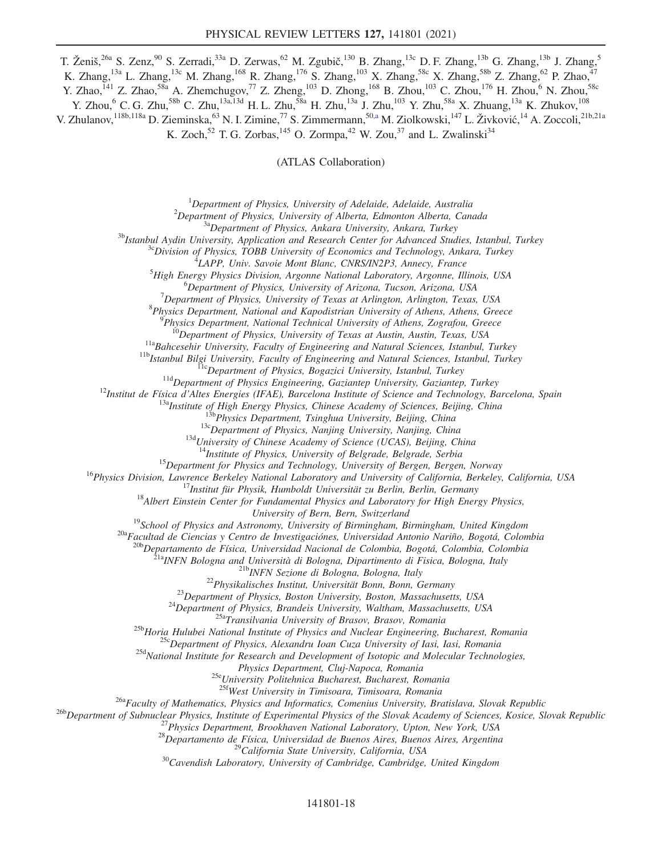T. Ženiš,<sup>26a</sup> S. Zenz,<sup>90</sup> S. Zerradi,<sup>33a</sup> D. Zerwas,<sup>62</sup> M. Zgubič,<sup>130</sup> B. Zhang,<sup>13c</sup> D. F. Zhang,<sup>13b</sup> G. Zhang,<sup>13b</sup> J. Zhang,<sup>5</sup> K. Zhang,<sup>13a</sup> L. Zhang,<sup>13c</sup> M. Zhang,<sup>168</sup> R. Zhang,<sup>176</sup> S. Zhang,<sup>103</sup> X. Zhang,<sup>58c</sup> X. Zhang,<sup>58b</sup> Z. Zhang,<sup>62</sup> P. Zhao,<sup>47</sup> Y. Zhao,<sup>141</sup> Z. Zhao,<sup>58a</sup> A. Zhemchugov,<sup>77</sup> Z. Zheng,<sup>103</sup> D. Zhong,<sup>168</sup> B. Zhou,<sup>103</sup> C. Zhou,<sup>176</sup> H. Zhou,<sup>6</sup> N. Zhou,<sup>58c</sup> Y. Zhou,  $6$  C. G. Zhu, $^{58b}$  C. Zhu, $^{13a,13d}$  H. L. Zhu, $^{58a}$  H. Zhu, $^{13a}$  J. Zhu, $^{103}$  Y. Zhu, $^{58a}$  X. Zhuang, $^{13a}$  K. Zhukov, $^{108}$ V. Zhulanov, <sup>118b,118a</sup> D. Zieminska, <sup>63</sup> N. I. Zimine, <sup>77</sup> S. Zimmermann, <sup>5[0,a](#page-22-4)</sup> M. Ziolkowski, <sup>147</sup> L. Živković, <sup>14</sup> A. Zoccoli, <sup>21b,21a</sup> K. Zoch,<sup>52</sup> T. G. Zorbas,<sup>145</sup> O. Zormpa,<sup>42</sup> W. Zou,<sup>37</sup> and L. Zwalinski<sup>34</sup>

(ATLAS Collaboration)

<sup>1</sup>Department of Physics, University of Adelaide, Adelaide, Australia<sup>2</sup>Department of Physics, University of Alberta, Edmonton Alberta, Can

<sup>2</sup>Department of Physics, University of Alberta, Edmonton Alberta, Canada<br><sup>3a</sup>Department of Physics, Ankara University, Ankara, Turkey<br><sup>3b</sup>Istanbul Aydin University, Application and Research Center for Advanced Studies, I

<sup>1</sup>LAPP, Univ. Savoie Mont Blanc, CNRS/IN2P3, Annecy, France

 ${}^{5}$ High Energy Physics Division, Argonne National Laboratory, Argonne, Illinois, USA

<sup>6</sup>Department of Physics, University of Arizona, Tucson, Arizona, USA

 $^7$ Department of Physics, University of Texas at Arlington, Arlington, Texas, USA

 ${}^8P$ hysics Department, National and Kapodistrian University of Athens, Athens, Greece  ${}^9P$ hysics Department, National Technical University of Athens, Zografou, Greece

<sup>10</sup>Department of Physics, University of Texas at Austin, Austin, Texas, USA<br><sup>11a</sup>Bahcesehir University, Faculty of Engineering and Natural Sciences, Istanbul, Turkey<br><sup>11b</sup>Istanbul Bilgi University, Faculty of Engineering

<sup>15</sup>Department for Physics and Technology, University of Bergen, Bergen, Norway<br><sup>16</sup>Physics Division, Lawrence Berkeley National Laboratory and University of California, Berkeley, California, USA<br><sup>17</sup>Institut für Physik, H

University of Bern, Bern, Switzerland<br><sup>19</sup>School of Physics and Astronomy, University of Birmingham, Birmingham, United Kingdom<br><sup>20a</sup>Facultad de Ciencias y Centro de Investigaciónes, Universidad Antonio Nariño, Bogotá, Co

20b<br>Departamento de Física, Universidad Nacional de Colombia, Bogotá, Colombia, Colombia<br><sup>21b</sup>INFN Bologna and Università di Bologna, Dipartimento di Fisica, Bologna, Italy<br><sup>21b</sup>INFN Sezione di Bologna, Bologna, Italy<br><sup>21</sup>

Physics Department, Cluj-Napoca, Romania<br><sup>25e</sup>University Politehnica Bucharest, Bucharest, Romania<br><sup>25f</sup>West University in Timisoara, Timisoara, Romania

<sup>26b</sup>Department of Subnuclear Physics, Institute of Experimental Physics of the Slovak Academy of Sciences, Kosice, Slovak Republic <sup>26b</sup>Department of Subnuclear Physics, Institute of Experimental Physics of the Slovak Ac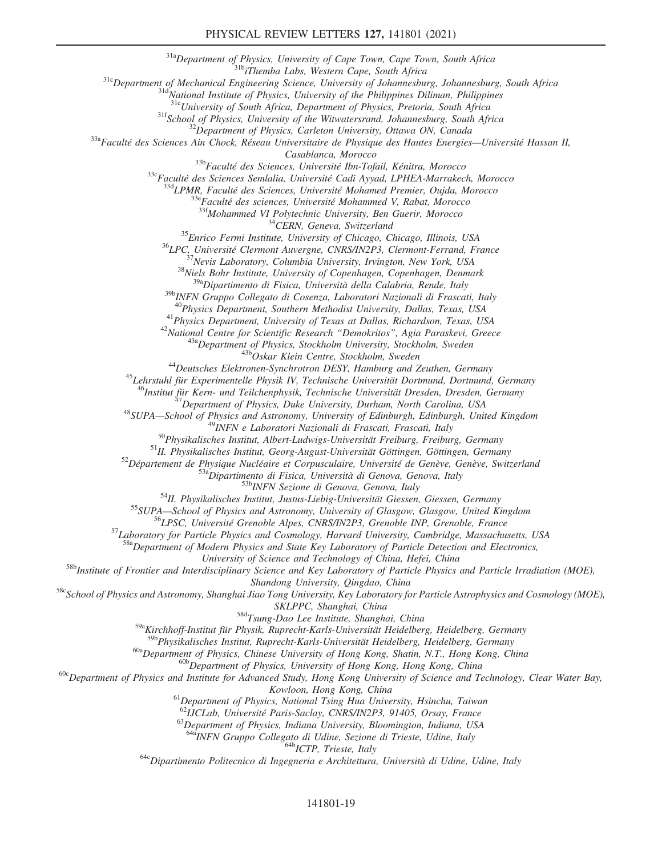#### PHYSICAL REVIEW LETTERS 127, 141801 (2021)

<sup>31a</sup>Department of Physics, University of Cape Town, Cape Town, South Africa<br><sup>31b</sup>iThemba Labs, Western Cape, South Africa<br><sup>31c</sup>Department of Mechanical Engineering Science, University of Johannesburg, Johannesburg, South

<sup>31f</sup>School of Physics, University of the Witwatersrand, Johannesburg, South Africa<br><sup>32</sup>Department of Physics, Carleton University, Ottawa ON, Canada<br><sup>33a</sup>Faculté des Sciences Ain Chock, Réseau Universitaire de Physique d

Casablanca, Morocco<br>
<sup>336</sup>Faculté des Sciences, Université Ibn-Tofail, Kénitra, Morocco<br>
<sup>336</sup>Faculté des Sciences Semlalia, Université Cadi Ayyad, LPHEA-Marrakech, Morocco<br>
<sup>334</sup>LPMR, Faculté des Sciences, Université Moh

 $39b$ INFN Gruppo Collegato di Cosenza, Laboratori Nazionali di Frascati, Italy<br> $40$ Physics Department, Southern Methodist University, Dallas, Texas, USA

<sup>41</sup> Physics Department, University of Texas at Dallas, Richardson, Texas, USA<br><sup>42</sup> National Centre for Scientific Research "Demokritos", Agia Paraskevi, Greece<br><sup>43a</sup> Department of Physics, Stockholm University, Stockholm

<sup>46</sup>Institut für Kern- und Teilchenphysik, Technische Universität Dresden, Dresden, Germany<br>
<sup>47</sup>Department of Physics, Duke University, Durham, North Carolina, USA<br>
<sup>48</sup>SUPA—School of Physics and Astronomy, University of <sup>57</sup>Laboratory for Particle Physics and Cosmology, Harvard University, Cambridge, Massachusetts, USA<br><sup>58a</sup>Department of Modern Physics and State Key Laboratory of Particle Detection and Electronics,

University of Science and Technology of China, Hefei, China<br><sup>58b</sup>Institute of Frontier and Interdisciplinary Science and Key Laboratory of Particle Physics and Particle Irradiation (MOE),

Shandong University, Qingdao, China<br>58cSchool of Physics and Astronomy, Shanghai Jiao Tong University, Key Laboratory for Particle Astrophysics and Cosmology (MOE),<br>5KLPPC, Shanghai, China

 $58d$ Tsung-Dao Lee Institute, Shanghai, China

<sup>59a</sup>Kirchhoff-Institut für Physik, Ruprecht-Karls-Universität Heidelberg, Heidelberg, Germany<br><sup>59b</sup>Physikalisches Institut, Ruprecht-Karls-Universität Heidelberg, Heidelberg, Germany

<sup>60a</sup>Department of Physics, Chinese University of Hong Kong, Shatin, N.T., Hong Kong, China<br><sup>60b</sup>Department of Physics, University of Hong Kong, Hong Kong, China<br><sup>60c</sup>Department of Physics and Institute for Advanced Study,

Kowloon, Hong Kong, China<br><sup>61</sup>Department of Physics, National Tsing Hua University, Hsinchu, Taiwan<sup>62</sup>IJCLab, Université Paris-Saclay, CNRS/IN2P3, 91405, Orsay, France

 $^{63}$ Department of Physics, Indiana University, Bloomington, Indiana, USA

 $\frac{648}{100}$  64a<sub>INFN</sub> Gruppo Collegato di Udine, Sezione di Trieste, Udine, Italy 64cDipartimento Politecnico di Ingegneria e Architettura, Università di Udine, Udine, Italy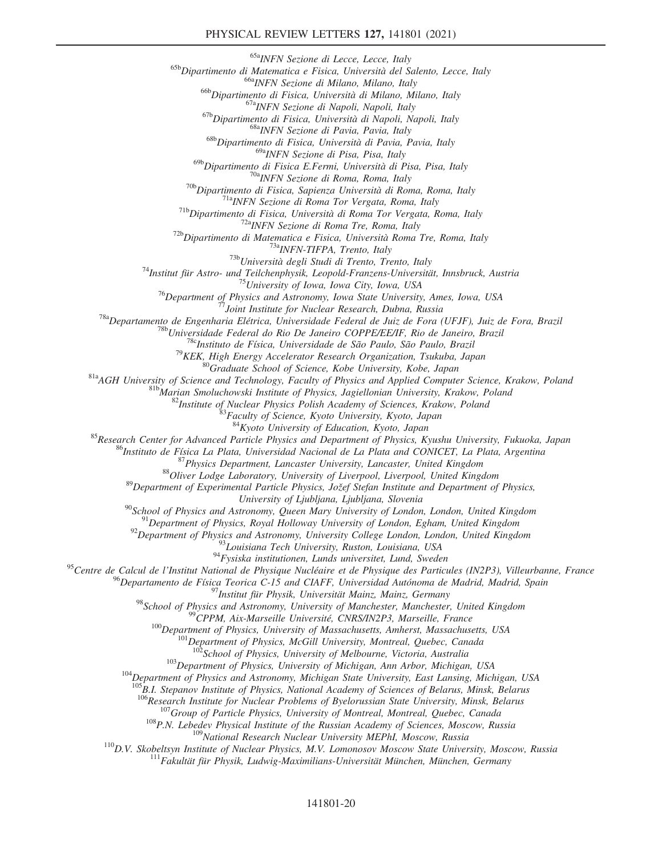#### PHYSICAL REVIEW LETTERS 127, 141801 (2021)

<sup>65b</sup>Dipartimento di Matematica e Fisica, Università del Salento, Lecce, Italy<br><sup>66b</sup>Dipartimento di Matematica e Fisica, Università del Salento, Lecce, Italy<br><sup>66b</sup>Dipartimento di Fisica, Università di Milano, Milano, Ital

<sup>69a</sup>INFN Sezione di Pisa, Pisa, Italy<br><sup>69b</sup>Dipartimento di Fisica E.Fermi, Università di Pisa, Pisa, Italy

<sup>696</sup>Dipartimento di Fisica E-Fermi, Università di Pisa, Pisa, Italy<br>
<sup>706</sup>Dipartimento di Fisica, Sapienza Università di Roma, Rang<br>
<sup>716</sup>NEW Sezione di Roma Tor Vergata, Roma, Italy<br>
<sup>716</sup>NEW Sezione di Roma Tor Vergata

<sup>85</sup> Research Center for Advanced Particle Physics, Kyoto University, Kyoto, Japan<br><sup>85</sup> Research Center for Advanced Particle Physics and Department of Physics, Kyushu University, Fukuoka, Japan<br><sup>86</sup> Instituto de Física L

University of Ljubljana, Ljubljana, Slovenia<br><sup>90</sup>School of Physics and Astronomy, Queen Mary University of London, London, United Kingdom<br><sup>91</sup>Department of Physics, Royal Holloway University of London, Egham, United Kingd

<sup>95</sup>Centre de Calcul de l'Institut National de Physique Nucléaire et de Physique des Particules (IN2P3), Villeurbanne, France

<sup>96</sup>Departamento de Física Teorica C-15 and CIAFF, Universidad Autónoma de Madrid, Madrid, Spain<br><sup>97</sup>Institut für Physik, Universität Mainz, Mainz, Germany<br><sup>98</sup>School of Physics and Astronomy, University of Manchester, Ma

 $^{103}$ Department of Physics, University of Michigan, Ann Arbor, Michigan, USA<br><sup>104</sup>Department of Physics and Astronomy, Michigan State University, East Lansing, Michigan, USA

 $^{105}B.1$ . Stepanov Institute of Physics, National Academy of Sciences of Belarus, Minsk, Belarus<br> $^{106}R$ esearch Institute for Nuclear Problems of Byelorussian State University, Minsk, Belarus

<sup>107</sup>Group of Particle Physics, University of Montreal, Montreal, Quebec, Canada<br><sup>108</sup>P.N. Lebedev Physical Institute of the Russian Academy of Sciences, Moscow, Russia<br><sup>109</sup>National Research Nuclear University MEPhI, Mos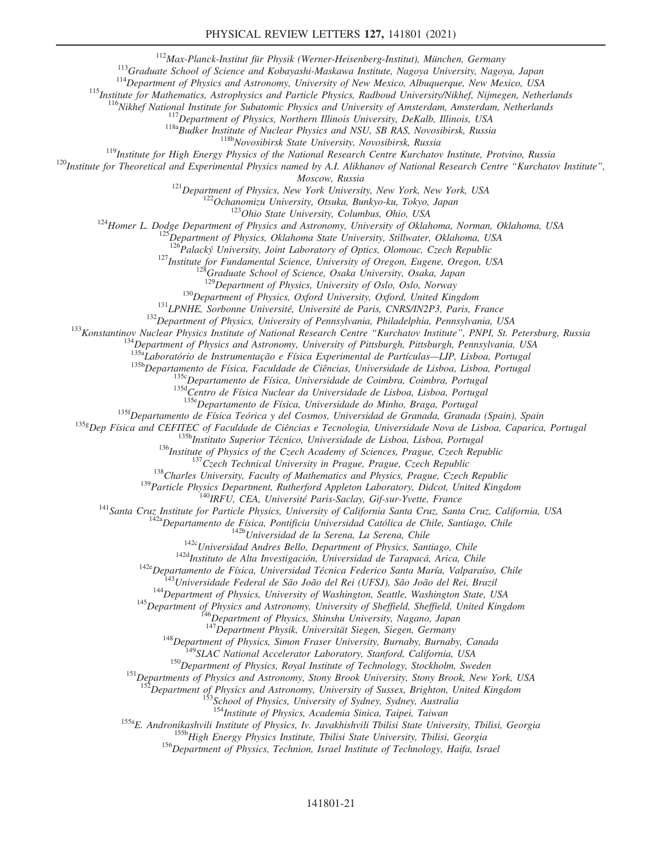<sup>113</sup>Graduate School of Science and Kobayashi-Maskawa Institute, Nagoya University, Nagoya, Japan<br><sup>113</sup>Graduate School of Science and Kobayashi-Maskawa Institute, Nagoya University, Nagoya, Japan<br><sup>114</sup>Department of Physic

<sup>121</sup>Department of Physics, New York University, New York, New York, USA<br><sup>122</sup>Ochanomizu University, Otsuka, Bunkyo-ku, Tokyo, Japan<br><sup>123</sup>Ohio State University, Columbus, Ohio, USA<br><sup>124</sup>Homer L. Dodge Department of Physic

<sup>127</sup>Institute for Fundamental Science, University of Oregon, Eugene, Oregon, USA<br><sup>128</sup>Graduate School of Science, Osaka University, Osaka, Japan<br><sup>129</sup>Department of Physics, University of Oslo, Oslo, Norway

<sup>130</sup>Department of Physics, Oxford University, Oxford, United Kingdom<br><sup>131</sup>LPNHE, Sorbonne Université, Université de Paris, CNRS/IN2P3, Paris, France<br><sup>132</sup>Department of Physics, University of Pennsylvania, Philadelphia, Pe

<sup>135b</sup>Departamento de Física, Faculdade de Ciências, Universidade de Lisboa, Lisboa, Portugal<br><sup>1356</sup>Departamento de Física, Universidade de Coimbra, Coimbra, Portugal<br><sup>135d</sup>Centro de Física Nuclear da Universidade de Lisb

<sup>135f</sup>Departamento de Física Teórica y del Cosmos, Universidad de Granada, Granada (Spain), Spain<br><sup>135g</sup>Dep Física and CEFITEC of Faculdade de Ciências e Tecnologia, Universidade Nova de Lisboa, Caparica, Portugal

<sup>135h</sup>Instituto Superior Técnico, Universidade de Lisboa, Lisboa, Portugal<br><sup>135h</sup>Institute of Physics of the Czech Academy of Sciences, Prague, Czech Republic<br><sup>137</sup>Czech Technical University in Prague, Technical Universit

<sup>148</sup>Department of Physics, Simon Fraser University, Burnaby, Burnaby, Canada<br><sup>149</sup>SLAC National Accelerator Laboratory, Stanford, California, USA<br><sup>150</sup>Department of Physics, Royal Institute of Technology, Stockholm, Swede

<sup>152</sup>Department of Physics and Astronomy, University of Sussex, Brighton, United Kingdom <sup>153</sup>School of Physics, University of Sydney, Sydney, Australia<br><sup>153</sup>Histitute of Physics, Academia Sinica, Taipei, Taiwan

<sup>155a</sup>E. Andronikashvili Institute of Physics, Iv. Javakhishvili Tbilisi State University, Tbilisi, Georgia<br><sup>155b</sup>High Energy Physics Institute, Tbilisi State University, Tbilisi, Georgia<br><sup>156</sup>Department of Physics, Techn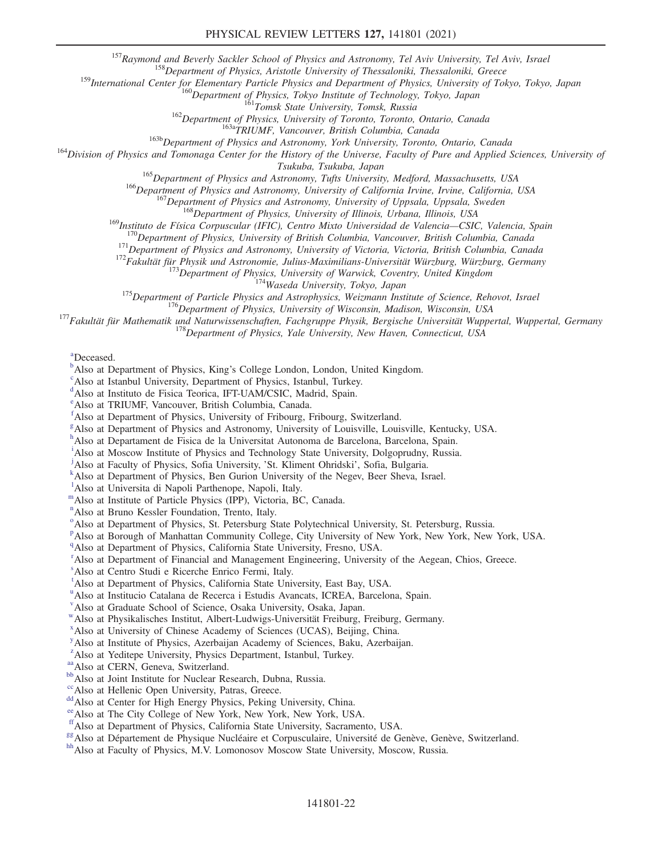<sup>157</sup>Raymond and Beverly Sackler School of Physics and Astronomy, Tel Aviv University, Tel Aviv, Israel<br><sup>158</sup>Department of Physics, Aristotle University of Thessaloniki, Thessaloniki, Greece<br><sup>159</sup>International Center for E

<sup>160</sup>Department of Physics, Tokyo Institute of Technology, Tokyo, Japan<br><sup>161</sup>Tomsk State University, Tomsk, Russia<br><sup>162</sup>Department of Physics, University of Toronto, Toronto, Ontario, Canada<br><sup>163b</sup>Department of Physics and

<sup>165</sup>Department of Physics and Astronomy, Tufts University, Medford, Massachusetts, USA<br><sup>166</sup>Department of Physics and Astronomy, University of California Irvine, Irvine, California, USA<br><sup>166</sup>Department of Physics and Ast

<sup>170</sup>Department of Physics, University of British Columbia, Vancouver, British Columbia, Canada<br><sup>171</sup>Department of Physics and Astronomy, University of Victoria, Victoria, British Columbia, Canada<br><sup>172</sup>Fakultät für Physik

<span id="page-22-4"></span>[a](#page-10-6) Deceased.

<span id="page-22-0"></span> $\mu^b$  $\mu^b$ Also at Department of Physi[c](#page-10-8)s, King's College London, London, United Kingdom.

<span id="page-22-1"></span>Also at Istanbul University, Department of Physics, Istanbul, Turkey.

- <span id="page-22-2"></span><sup>[d](#page-10-9)</sup>Also at Instituto de Fisica Teorica, IFT-UAM/CSIC, Madrid, Spain.
- <span id="page-22-3"></span>[e](#page-10-10) Also at TRIUMF, Vancouver, British Columbia, Canada.
- <span id="page-22-5"></span>[f](#page-10-11) Also at Department of Physics, University of Fribourg, Fribourg, Switzerland.
- <span id="page-22-6"></span><sup>[g](#page-10-12)</sup> Also at Department of Physics and Astronomy, University of Louisville, Louisville, Kentucky, USA.
- <span id="page-22-7"></span><sup>[h](#page-11-0)</sup>Also at Departament de Fisica de la Universitat Autonoma de Barcelona, Barcelona, Spain.
- <span id="page-22-8"></span><sup>[i](#page-11-1)</sup>Also at Moscow Institute of Physics and Technology State University, Dolgoprudny, Russia.

<span id="page-22-9"></span><sup>[j](#page-11-2)</sup>Also at Faculty of Physics, Sofia University, 'St. Kliment Ohrids[k](#page-11-3)i', Sofia, Bulgaria.

- <span id="page-22-10"></span>Also at Department of Physics, Ben Gurion University of the Negev, Beer Sheva, Israel.
- <span id="page-22-11"></span><sup>1</sup>A[l](#page-11-4)so at Universita di Napoli Parthenope, Napoli, Italy.

<span id="page-22-12"></span>[m](#page-11-5)Also at Institute of Particle Physics (IPP), Victoria, BC, Canada.

- <span id="page-22-13"></span>[n](#page-11-6) Also at Bruno Kessler Foundation, Trento, Italy.
- <span id="page-22-14"></span><sup>[o](#page-12-0)</sup>Also at Department of Physics, St. Petersburg State Polytechnical University, St. Petersburg, Russia.
- <span id="page-22-15"></span><su[p](#page-12-1)>p</sup>Also at Borough of Manhattan Community College, City University of New York, New York, New York, USA.
- <span id="page-22-16"></span><sup>[q](#page-12-2)</sup>Also at Department of Physics, California State University, Fresno, USA.
- <span id="page-22-17"></span><sup>[r](#page-12-3)</sup> Also at Department of Financial and Management Engineering, University of the Aegean, Chios, Greece.
- <span id="page-22-18"></span>[s](#page-12-4) Also at Centro Studi e Ricerche Enrico Fermi, Italy.
- <span id="page-22-19"></span><sup>[t](#page-12-5)</sup>Also at Department of Physics, California State University, East Bay, USA.
- <span id="page-22-20"></span><s[u](#page-12-5)p>u</sup>Also at Institucio Catalana de Recerca i Estudis Avancats, ICREA, Barcelona, Spain.
- <span id="page-22-21"></span>[v](#page-13-0) Also at Graduate School of Science, Osaka University, Osaka, Japan.
- <span id="page-22-22"></span>[w](#page-13-1)Also at Physikalisches Institut, Albert-Ludwigs-Universität Freiburg, Freiburg, Germany.
- <span id="page-22-23"></span>[x](#page-13-2) Also at University of Chinese Academy of Sciences (UCAS), Beijing, China.
- <span id="page-22-24"></span><sup>[y](#page-13-3)</sup> Also at Institute of Physics, Azerbaijan Academy of Sciences, Baku, Azerbaijan.
- <span id="page-22-25"></span><sup>[z](#page-13-4)</sup>Also at Yeditepe University, Physics Department, Istanbul, Turkey.
- <span id="page-22-27"></span>
- <span id="page-22-26"></span><sup>[aa](#page-13-5)</sup>Also at CERN, Geneva, Switzerland.<br><sup>[bb](#page-13-6)</sup>Also at Joint Institute for Nuclear Research, Dubna, Russia.<br><sup>cc</sup>Also at Hellenic Open University, Patras, Greece.
- <span id="page-22-28"></span>
- <span id="page-22-29"></span><sup>[dd](#page-14-1)</sup> Also at Center for High Energy Physics, Peking University, China.
- <span id="page-22-31"></span>
- <span id="page-22-30"></span><sup>[ee](#page-14-2)</sup>Also at The City College of New York, New York, New York, USA. f<sup>f</sup>Also at Department of Physics, California State University, Sacramento, USA.
- <span id="page-22-33"></span><span id="page-22-32"></span><sup>[gg](#page-15-0)</sup> Also at Département de Physique Nucléaire et Corpusculaire, Université de Genève, Genève, Switzerland.<br><sup>[hh](#page-16-0)</sup> Also at Faculty of Physics, M.V. Lomonosov Moscow State University, Moscow, Russia.
-